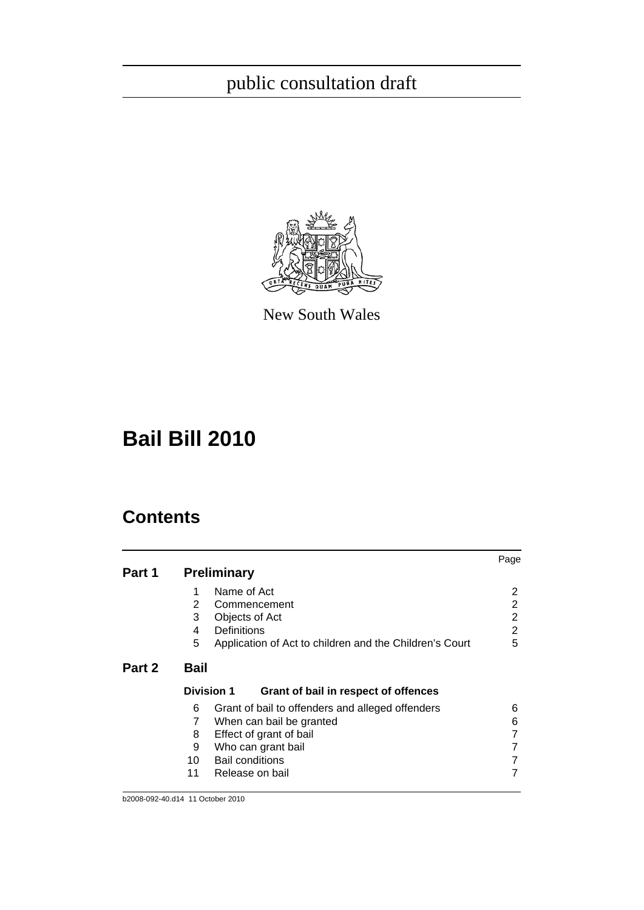

New South Wales

# **Bail Bill 2010**

|        |                                                              | Page |
|--------|--------------------------------------------------------------|------|
| Part 1 | <b>Preliminary</b>                                           |      |
|        | Name of Act<br>1                                             | 2    |
|        | $\overline{2}$<br>Commencement                               | 2    |
|        | 3<br>Objects of Act                                          | 2    |
|        | <b>Definitions</b><br>4                                      | 2    |
|        | 5<br>Application of Act to children and the Children's Court | 5    |
| Part 2 | <b>Bail</b>                                                  |      |
|        | <b>Division 1</b><br>Grant of bail in respect of offences    |      |
|        | 6<br>Grant of bail to offenders and alleged offenders        | 6    |
|        | 7<br>When can bail be granted                                | 6    |
|        | 8<br>Effect of grant of bail                                 |      |
|        | 9<br>Who can grant bail                                      |      |
|        | 10<br><b>Bail conditions</b>                                 |      |
|        | 11<br>Release on bail                                        |      |
|        |                                                              |      |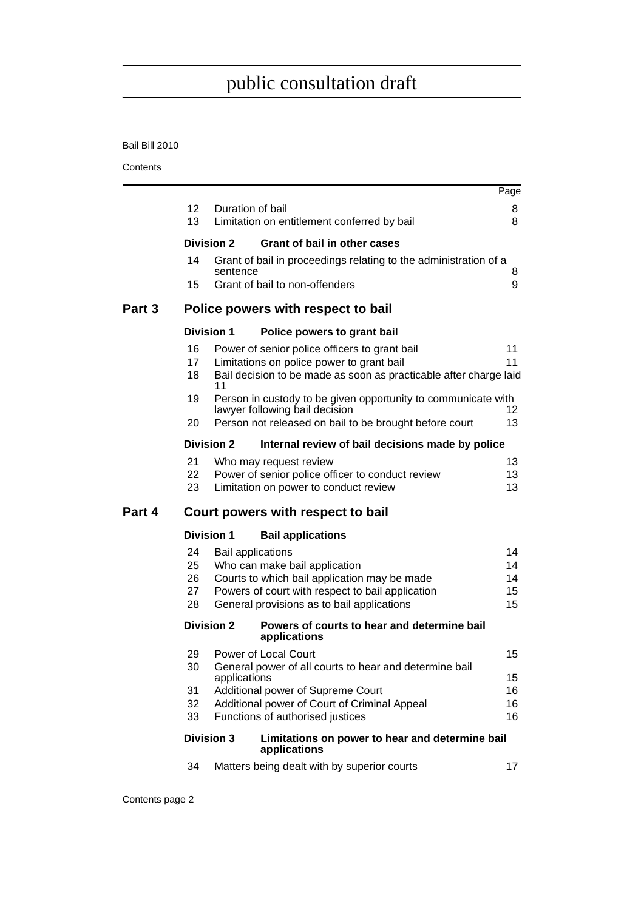#### Bail Bill 2010

|        |                            |                   |                                                                                                                                                                                                             | Page                       |
|--------|----------------------------|-------------------|-------------------------------------------------------------------------------------------------------------------------------------------------------------------------------------------------------------|----------------------------|
|        | 12 <sup>2</sup>            |                   | Duration of bail                                                                                                                                                                                            | 8                          |
|        | 13                         |                   | Limitation on entitlement conferred by bail                                                                                                                                                                 | 8                          |
|        |                            | <b>Division 2</b> | <b>Grant of bail in other cases</b>                                                                                                                                                                         |                            |
|        | 14                         | sentence          | Grant of bail in proceedings relating to the administration of a                                                                                                                                            | 8                          |
|        | 15                         |                   | Grant of bail to non-offenders                                                                                                                                                                              | 9                          |
| Part 3 |                            |                   | Police powers with respect to bail                                                                                                                                                                          |                            |
|        |                            | <b>Division 1</b> | Police powers to grant bail                                                                                                                                                                                 |                            |
|        | 16<br>17<br>18             | 11                | Power of senior police officers to grant bail<br>Limitations on police power to grant bail<br>Bail decision to be made as soon as practicable after charge laid                                             | 11<br>11                   |
|        | 19                         |                   | Person in custody to be given opportunity to communicate with<br>lawyer following bail decision                                                                                                             | 12                         |
|        | 20                         |                   | Person not released on bail to be brought before court                                                                                                                                                      | 13                         |
|        |                            | <b>Division 2</b> | Internal review of bail decisions made by police                                                                                                                                                            |                            |
|        | 21<br>22<br>23             |                   | Who may request review<br>Power of senior police officer to conduct review<br>Limitation on power to conduct review                                                                                         | 13<br>13<br>13             |
| Part 4 |                            |                   | Court powers with respect to bail                                                                                                                                                                           |                            |
|        |                            | <b>Division 1</b> | <b>Bail applications</b>                                                                                                                                                                                    |                            |
|        | 24<br>25<br>26<br>27<br>28 |                   | <b>Bail applications</b><br>Who can make bail application<br>Courts to which bail application may be made<br>Powers of court with respect to bail application<br>General provisions as to bail applications | 14<br>14<br>14<br>15<br>15 |
|        |                            | <b>Division 2</b> | Powers of courts to hear and determine bail<br>applications                                                                                                                                                 |                            |
|        | 29<br>30                   | applications      | <b>Power of Local Court</b><br>General power of all courts to hear and determine bail                                                                                                                       | 15<br>15                   |
|        | 31<br>32<br>33             |                   | Additional power of Supreme Court<br>Additional power of Court of Criminal Appeal<br>Functions of authorised justices                                                                                       | 16<br>16<br>16             |
|        |                            | <b>Division 3</b> | Limitations on power to hear and determine bail<br>applications                                                                                                                                             |                            |
|        | 34                         |                   | Matters being dealt with by superior courts                                                                                                                                                                 | 17                         |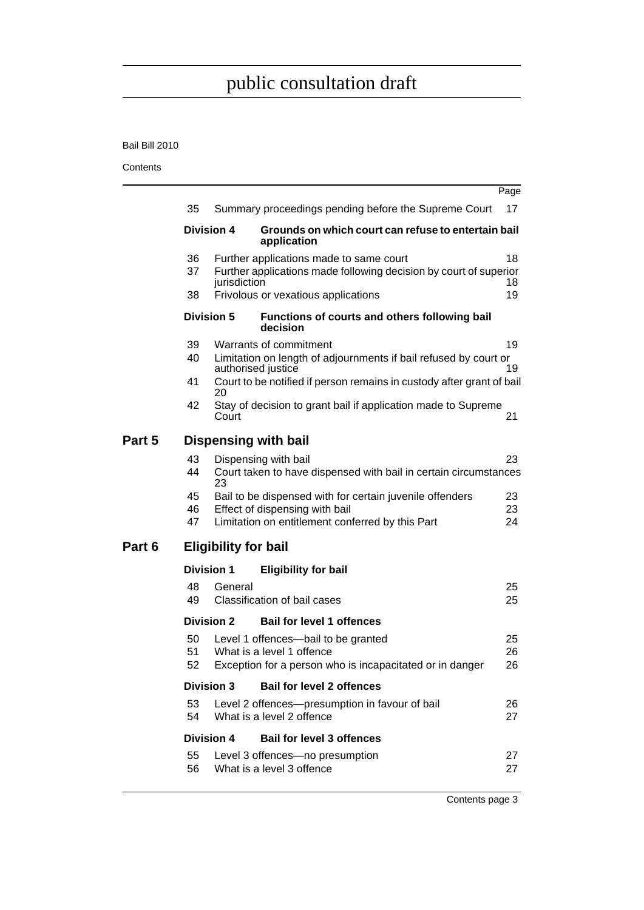#### Bail Bill 2010

**Contents** 

|        |                             |                   |                                                                                                                                                | Page           |  |  |  |
|--------|-----------------------------|-------------------|------------------------------------------------------------------------------------------------------------------------------------------------|----------------|--|--|--|
|        | 35                          |                   | Summary proceedings pending before the Supreme Court                                                                                           | 17             |  |  |  |
|        |                             | <b>Division 4</b> | Grounds on which court can refuse to entertain bail<br>application                                                                             |                |  |  |  |
|        | 36<br>37                    | jurisdiction      | Further applications made to same court<br>Further applications made following decision by court of superior                                   | 18<br>18.      |  |  |  |
|        | 38                          |                   | Frivolous or vexatious applications                                                                                                            | 19             |  |  |  |
|        |                             | <b>Division 5</b> | Functions of courts and others following bail<br>decision                                                                                      |                |  |  |  |
|        | 39<br>40                    |                   | Warrants of commitment                                                                                                                         | 19             |  |  |  |
|        |                             |                   | Limitation on length of adjournments if bail refused by court or<br>authorised justice                                                         | 19             |  |  |  |
|        | 41                          | 20                | Court to be notified if person remains in custody after grant of bail                                                                          |                |  |  |  |
|        | 42                          | Court             | Stay of decision to grant bail if application made to Supreme                                                                                  | 21             |  |  |  |
| Part 5 |                             |                   | <b>Dispensing with bail</b>                                                                                                                    |                |  |  |  |
|        | 43<br>44                    | 23                | Dispensing with bail<br>Court taken to have dispensed with bail in certain circumstances                                                       | 23             |  |  |  |
|        | 45<br>46<br>47              |                   | Bail to be dispensed with for certain juvenile offenders<br>Effect of dispensing with bail<br>Limitation on entitlement conferred by this Part | 23<br>23<br>24 |  |  |  |
| Part 6 | <b>Eligibility for bail</b> |                   |                                                                                                                                                |                |  |  |  |
|        |                             | <b>Division 1</b> | <b>Eligibility for bail</b>                                                                                                                    |                |  |  |  |
|        | 48<br>49                    | General           | Classification of bail cases                                                                                                                   | 25<br>25       |  |  |  |
|        |                             | <b>Division 2</b> | <b>Bail for level 1 offences</b>                                                                                                               |                |  |  |  |
|        | 50<br>51<br>52              |                   | Level 1 offences-bail to be granted<br>What is a level 1 offence<br>Exception for a person who is incapacitated or in danger                   | 25<br>26<br>26 |  |  |  |
|        |                             | <b>Division 3</b> | <b>Bail for level 2 offences</b>                                                                                                               |                |  |  |  |
|        | 53<br>54                    |                   | Level 2 offences-presumption in favour of bail<br>What is a level 2 offence                                                                    | 26<br>27       |  |  |  |
|        |                             | <b>Division 4</b> | <b>Bail for level 3 offences</b>                                                                                                               |                |  |  |  |
|        | 55<br>56                    |                   | Level 3 offences-no presumption<br>What is a level 3 offence                                                                                   | 27<br>27       |  |  |  |
|        |                             |                   |                                                                                                                                                |                |  |  |  |

Contents page 3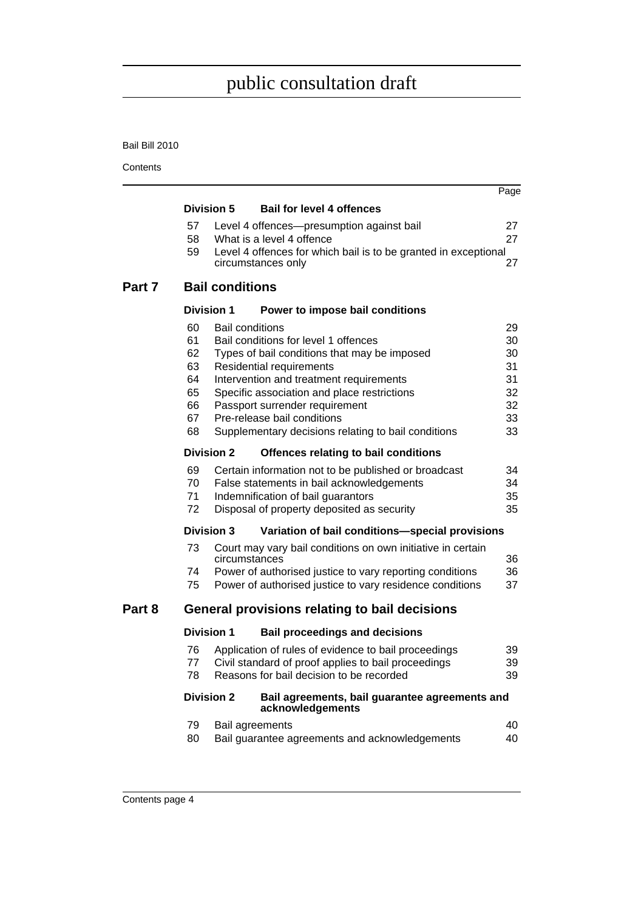#### Bail Bill 2010

|        |            |                        |                                                                                                 | Page     |
|--------|------------|------------------------|-------------------------------------------------------------------------------------------------|----------|
|        |            | <b>Division 5</b>      | <b>Bail for level 4 offences</b>                                                                |          |
|        | 57<br>58   |                        | Level 4 offences—presumption against bail<br>What is a level 4 offence                          | 27<br>27 |
|        | 59         |                        | Level 4 offences for which bail is to be granted in exceptional<br>circumstances only           | 27       |
| Part 7 |            | <b>Bail conditions</b> |                                                                                                 |          |
|        |            | <b>Division 1</b>      | Power to impose bail conditions                                                                 |          |
|        | 60         |                        | <b>Bail conditions</b>                                                                          | 29       |
|        | 61<br>62   |                        | Bail conditions for level 1 offences                                                            | 30       |
|        | 63         |                        | Types of bail conditions that may be imposed<br>Residential requirements                        | 30<br>31 |
|        | 64         |                        | Intervention and treatment requirements                                                         | 31       |
|        | 65         |                        | Specific association and place restrictions                                                     | 32       |
|        | 66<br>67   |                        | Passport surrender requirement<br>Pre-release bail conditions                                   | 32<br>33 |
|        | 68         |                        | Supplementary decisions relating to bail conditions                                             | 33       |
|        |            | <b>Division 2</b>      | Offences relating to bail conditions                                                            |          |
|        | 69         |                        | Certain information not to be published or broadcast                                            | 34       |
|        | 70         |                        | False statements in bail acknowledgements                                                       | 34       |
|        | 71         |                        | Indemnification of bail guarantors                                                              | 35       |
|        | 72         |                        | Disposal of property deposited as security                                                      | 35       |
|        |            | <b>Division 3</b>      | Variation of bail conditions-special provisions                                                 |          |
|        | 73         |                        | Court may vary bail conditions on own initiative in certain<br>circumstances                    | 36       |
|        | 74         |                        | Power of authorised justice to vary reporting conditions                                        | 36       |
|        | 75         |                        | Power of authorised justice to vary residence conditions                                        | 37       |
| Part 8 |            |                        | General provisions relating to bail decisions                                                   |          |
|        |            | <b>Division 1</b>      | <b>Bail proceedings and decisions</b>                                                           |          |
|        | 76         |                        | Application of rules of evidence to bail proceedings                                            | 39       |
|        | 77 -<br>78 |                        | Civil standard of proof applies to bail proceedings<br>Reasons for bail decision to be recorded | 39<br>39 |
|        |            | <b>Division 2</b>      | Bail agreements, bail guarantee agreements and                                                  |          |
|        |            |                        | acknowledgements                                                                                |          |
|        | 79         |                        | <b>Bail agreements</b>                                                                          | 40       |
|        | 80         |                        | Bail guarantee agreements and acknowledgements                                                  | 40       |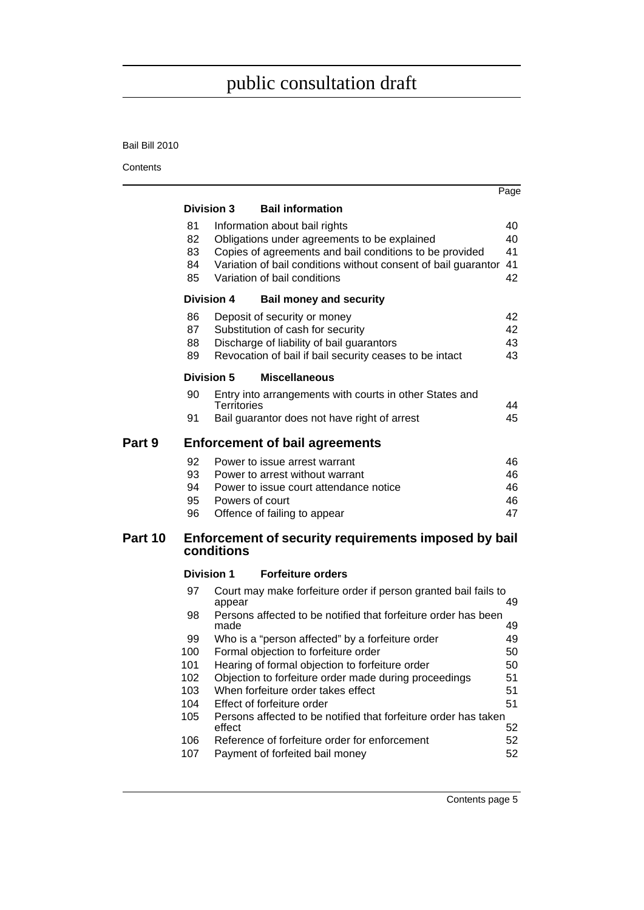#### Bail Bill 2010

|         |            |                                                                                               | Page |
|---------|------------|-----------------------------------------------------------------------------------------------|------|
|         |            | <b>Bail information</b><br><b>Division 3</b>                                                  |      |
|         | 81         | Information about bail rights                                                                 | 40   |
|         | 82         | Obligations under agreements to be explained                                                  | 40   |
|         | 83         | Copies of agreements and bail conditions to be provided                                       | 41   |
|         | 84         | Variation of bail conditions without consent of bail guarantor                                | 41   |
|         | 85         | Variation of bail conditions                                                                  | 42   |
|         |            | <b>Division 4</b><br><b>Bail money and security</b>                                           |      |
|         | 86         | Deposit of security or money                                                                  | 42   |
|         | 87         | Substitution of cash for security                                                             | 42   |
|         | 88         | Discharge of liability of bail guarantors                                                     | 43   |
|         | 89         | Revocation of bail if bail security ceases to be intact                                       | 43   |
|         |            | Division 5<br><b>Miscellaneous</b>                                                            |      |
|         | 90         | Entry into arrangements with courts in other States and<br><b>Territories</b>                 | 44   |
|         | 91         | Bail guarantor does not have right of arrest                                                  | 45   |
| Part 9  |            | <b>Enforcement of bail agreements</b>                                                         |      |
|         | 92         | Power to issue arrest warrant                                                                 | 46   |
|         | 93         | Power to arrest without warrant                                                               | 46   |
|         | 94         | Power to issue court attendance notice                                                        | 46   |
|         | 95         | Powers of court                                                                               | 46   |
|         | 96         | Offence of failing to appear                                                                  | 47   |
| Part 10 |            | Enforcement of security requirements imposed by bail<br>conditions                            |      |
|         |            | <b>Forfeiture orders</b><br><b>Division 1</b>                                                 |      |
|         |            |                                                                                               |      |
|         | 97         | Court may make forfeiture order if person granted bail fails to<br>appear                     | 49   |
|         | 98         | Persons affected to be notified that forfeiture order has been<br>made                        | 49   |
|         | 99         | Who is a "person affected" by a forfeiture order                                              | 49   |
|         | 100        | Formal objection to forfeiture order                                                          | 50   |
|         | 101        | Hearing of formal objection to forfeiture order                                               | 50   |
|         | 102        | Objection to forfeiture order made during proceedings                                         | 51   |
|         | 103        | When forfeiture order takes effect                                                            | 51   |
|         | 104<br>105 | Effect of forfeiture order<br>Persons affected to be notified that forfeiture order has taken | 51   |
|         |            | effect                                                                                        | 52   |
|         | 106        | Reference of forfeiture order for enforcement                                                 | 52   |
|         | 107        | Payment of forfeited bail money                                                               | 52   |
|         |            |                                                                                               |      |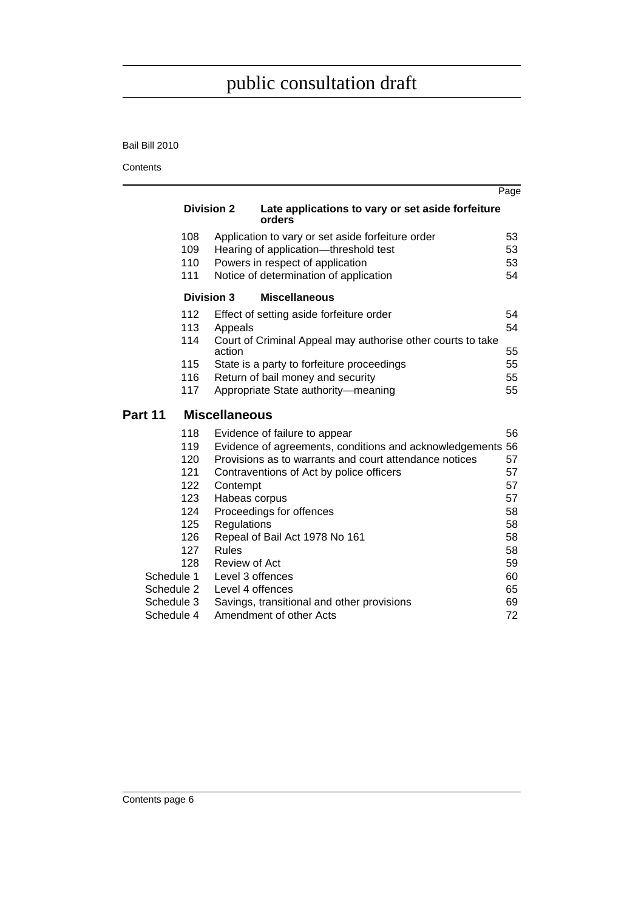#### Bail Bill 2010

|            |                      |                                                             | Page |
|------------|----------------------|-------------------------------------------------------------|------|
|            | <b>Division 2</b>    | Late applications to vary or set aside forfeiture<br>orders |      |
| 108        |                      | Application to vary or set aside forfeiture order           | 53   |
| 109        |                      | Hearing of application-threshold test                       | 53   |
| 110        |                      | Powers in respect of application                            | 53   |
| 111        |                      | Notice of determination of application                      | 54   |
|            | <b>Division 3</b>    | <b>Miscellaneous</b>                                        |      |
| 112        |                      | Effect of setting aside forfeiture order                    | 54   |
| 113        | Appeals              |                                                             | 54   |
| 114        |                      | Court of Criminal Appeal may authorise other courts to take |      |
|            | action               |                                                             | 55   |
| 115        |                      | State is a party to forfeiture proceedings                  | 55   |
| 116        |                      | Return of bail money and security                           | 55   |
| 117        |                      | Appropriate State authority-meaning                         | 55   |
| Part 11    | <b>Miscellaneous</b> |                                                             |      |
| 118        |                      | Evidence of failure to appear                               | 56   |
| 119        |                      | Evidence of agreements, conditions and acknowledgements 56  |      |
| 120        |                      | Provisions as to warrants and court attendance notices      | 57   |
| 121        |                      | Contraventions of Act by police officers                    | 57   |
| 122        | Contempt             |                                                             | 57   |
| 123        | Habeas corpus        |                                                             | 57   |
| 124        |                      | Proceedings for offences                                    | 58   |
| 125        | Regulations          |                                                             | 58   |
| 126        |                      | Repeal of Bail Act 1978 No 161                              | 58   |
| 127        | <b>Rules</b>         |                                                             | 58   |
| 128        | Review of Act        |                                                             | 59   |
| Schedule 1 | Level 3 offences     |                                                             | 60   |
| Schedule 2 | Level 4 offences     |                                                             | 65   |
| Schedule 3 |                      | Savings, transitional and other provisions                  | 69   |
| Schedule 4 |                      | Amendment of other Acts                                     | 72   |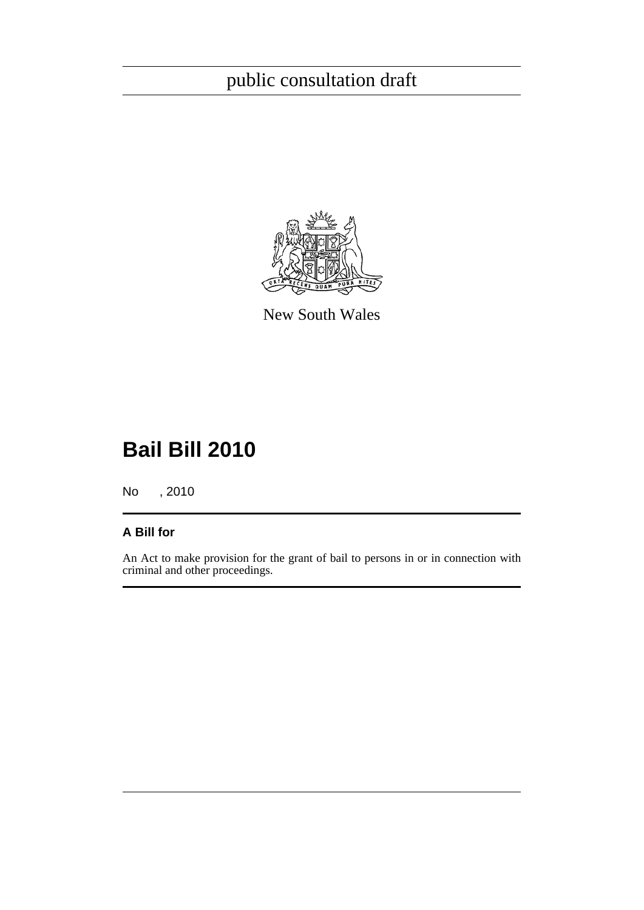

New South Wales

# **Bail Bill 2010**

No , 2010

### **A Bill for**

An Act to make provision for the grant of bail to persons in or in connection with criminal and other proceedings.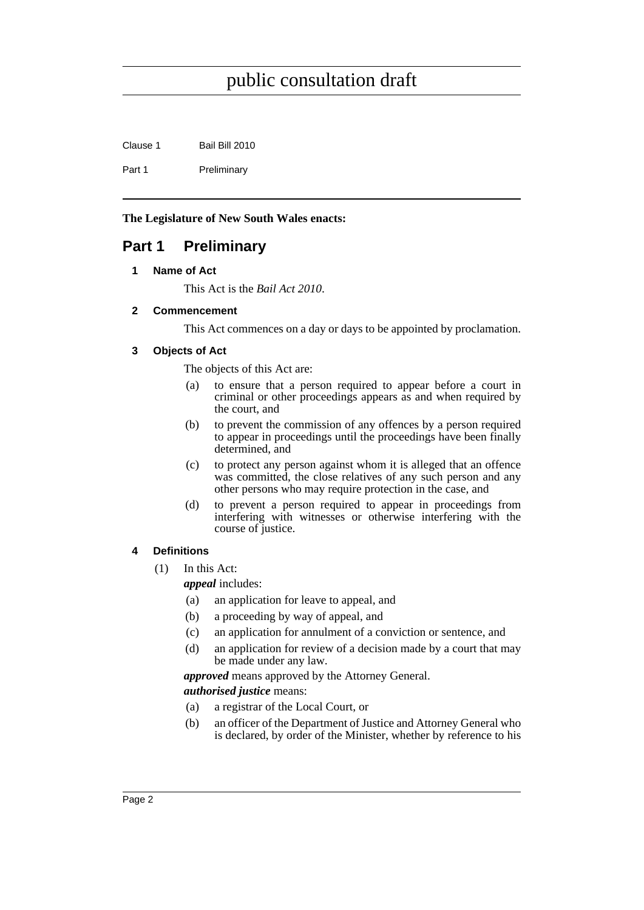Clause 1 Bail Bill 2010

Part 1 Preliminary

**The Legislature of New South Wales enacts:**

### <span id="page-7-1"></span><span id="page-7-0"></span>**Part 1 Preliminary**

#### **1 Name of Act**

This Act is the *Bail Act 2010*.

#### <span id="page-7-2"></span>**2 Commencement**

This Act commences on a day or days to be appointed by proclamation.

#### <span id="page-7-3"></span>**3 Objects of Act**

The objects of this Act are:

- (a) to ensure that a person required to appear before a court in criminal or other proceedings appears as and when required by the court, and
- (b) to prevent the commission of any offences by a person required to appear in proceedings until the proceedings have been finally determined, and
- (c) to protect any person against whom it is alleged that an offence was committed, the close relatives of any such person and any other persons who may require protection in the case, and
- (d) to prevent a person required to appear in proceedings from interfering with witnesses or otherwise interfering with the course of justice.

### <span id="page-7-4"></span>**4 Definitions**

- (1) In this Act:
	- *appeal* includes:
	- (a) an application for leave to appeal, and
	- (b) a proceeding by way of appeal, and
	- (c) an application for annulment of a conviction or sentence, and
	- (d) an application for review of a decision made by a court that may be made under any law.

*approved* means approved by the Attorney General. *authorised justice* means:

- (a) a registrar of the Local Court, or
- (b) an officer of the Department of Justice and Attorney General who is declared, by order of the Minister, whether by reference to his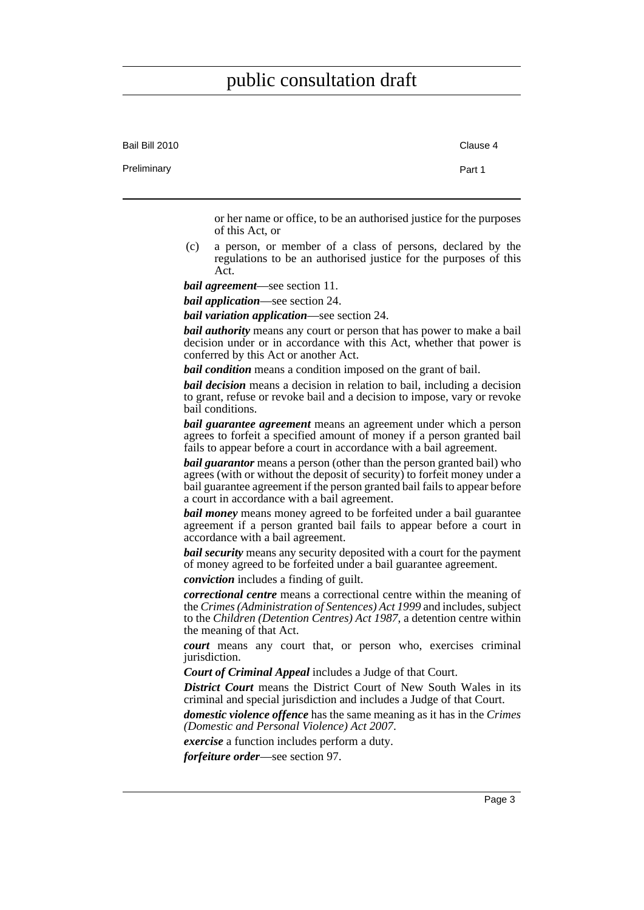| Bail Bill 2010 | Clause 4                                                                                                                                                                                                                                                                                        |
|----------------|-------------------------------------------------------------------------------------------------------------------------------------------------------------------------------------------------------------------------------------------------------------------------------------------------|
| Preliminary    | Part 1                                                                                                                                                                                                                                                                                          |
|                | or her name or office, to be an authorised justice for the purposes<br>of this Act, or                                                                                                                                                                                                          |
| (c)            | a person, or member of a class of persons, declared by the<br>regulations to be an authorised justice for the purposes of this<br>Act.                                                                                                                                                          |
|                | <i>bail agreement</i> —see section 11.                                                                                                                                                                                                                                                          |
|                | <i>bail application—see section 24.</i>                                                                                                                                                                                                                                                         |
|                | <i>bail variation application</i> —see section 24.                                                                                                                                                                                                                                              |
|                | <b><i>bail authority</i></b> means any court or person that has power to make a bail<br>decision under or in accordance with this Act, whether that power is<br>conferred by this Act or another Act.                                                                                           |
|                | <b>bail condition</b> means a condition imposed on the grant of bail.                                                                                                                                                                                                                           |
|                | <b>bail decision</b> means a decision in relation to bail, including a decision<br>to grant, refuse or revoke bail and a decision to impose, vary or revoke<br>bail conditions.                                                                                                                 |
|                | <b>bail guarantee agreement</b> means an agreement under which a person<br>agrees to forfeit a specified amount of money if a person granted bail<br>fails to appear before a court in accordance with a bail agreement.                                                                        |
|                | <b><i>bail guarantor</i></b> means a person (other than the person granted bail) who<br>agrees (with or without the deposit of security) to forfeit money under a<br>bail guarantee agreement if the person granted bail fails to appear before<br>a court in accordance with a bail agreement. |
|                | <b>bail money</b> means money agreed to be forfeited under a bail guarantee<br>agreement if a person granted bail fails to appear before a court in<br>accordance with a bail agreement.                                                                                                        |
|                | <b>bail security</b> means any security deposited with a court for the payment<br>of money agreed to be forfeited under a bail guarantee agreement.                                                                                                                                             |
|                | conviction includes a finding of guilt.                                                                                                                                                                                                                                                         |
|                | correctional centre means a correctional centre within the meaning of<br>the Crimes (Administration of Sentences) Act 1999 and includes, subject<br>to the Children (Detention Centres) Act 1987, a detention centre within<br>the meaning of that Act.                                         |
|                | court means any court that, or person who, exercises criminal<br>jurisdiction.                                                                                                                                                                                                                  |
|                | <b>Court of Criminal Appeal</b> includes a Judge of that Court.                                                                                                                                                                                                                                 |
|                | <b>District Court</b> means the District Court of New South Wales in its<br>criminal and special jurisdiction and includes a Judge of that Court.                                                                                                                                               |
|                | domestic violence offence has the same meaning as it has in the Crimes<br>(Domestic and Personal Violence) Act 2007.                                                                                                                                                                            |
|                | <i>exercise</i> a function includes perform a duty.                                                                                                                                                                                                                                             |
|                | forfeiture order—see section 97.                                                                                                                                                                                                                                                                |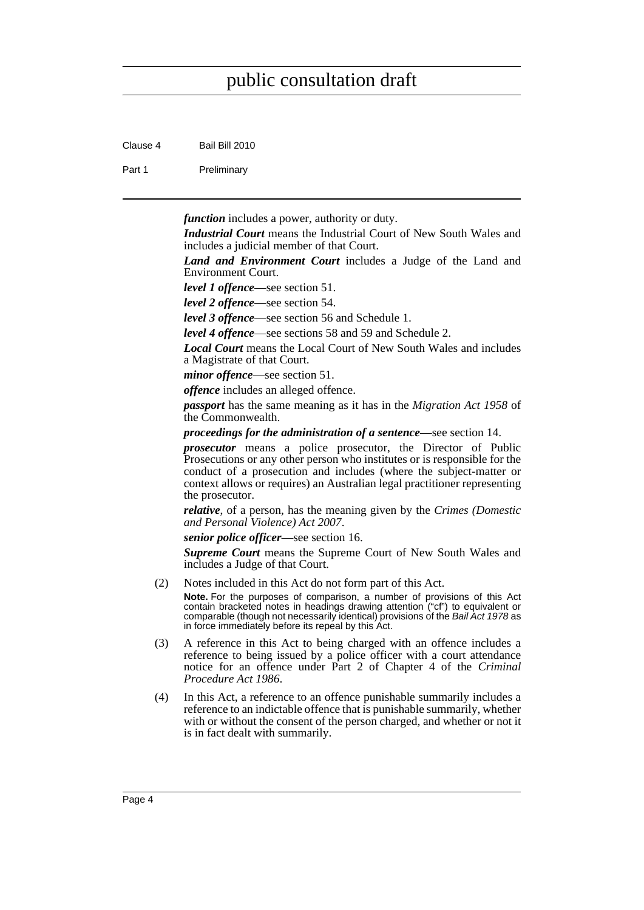Clause 4 Bail Bill 2010

Part 1 Preliminary

*function* includes a power, authority or duty.

*Industrial Court* means the Industrial Court of New South Wales and includes a judicial member of that Court.

*Land and Environment Court* includes a Judge of the Land and Environment Court.

*level 1 offence*—see section 51.

*level 2 offence*—see section 54.

*level 3 offence*—see section 56 and Schedule 1.

*level 4 offence*—see sections 58 and 59 and Schedule 2.

*Local Court* means the Local Court of New South Wales and includes a Magistrate of that Court.

*minor offence*—see section 51.

*offence* includes an alleged offence.

*passport* has the same meaning as it has in the *Migration Act 1958* of the Commonwealth.

*proceedings for the administration of a sentence*—see section 14.

*prosecutor* means a police prosecutor, the Director of Public Prosecutions or any other person who institutes or is responsible for the conduct of a prosecution and includes (where the subject-matter or context allows or requires) an Australian legal practitioner representing the prosecutor.

*relative*, of a person, has the meaning given by the *Crimes (Domestic and Personal Violence) Act 2007*.

*senior police officer*—see section 16.

*Supreme Court* means the Supreme Court of New South Wales and includes a Judge of that Court.

(2) Notes included in this Act do not form part of this Act.

**Note.** For the purposes of comparison, a number of provisions of this Act contain bracketed notes in headings drawing attention ("cf") to equivalent or comparable (though not necessarily identical) provisions of the *Bail Act 1978* as in force immediately before its repeal by this Act.

- (3) A reference in this Act to being charged with an offence includes a reference to being issued by a police officer with a court attendance notice for an offence under Part 2 of Chapter 4 of the *Criminal Procedure Act 1986*.
- (4) In this Act, a reference to an offence punishable summarily includes a reference to an indictable offence that is punishable summarily, whether with or without the consent of the person charged, and whether or not it is in fact dealt with summarily.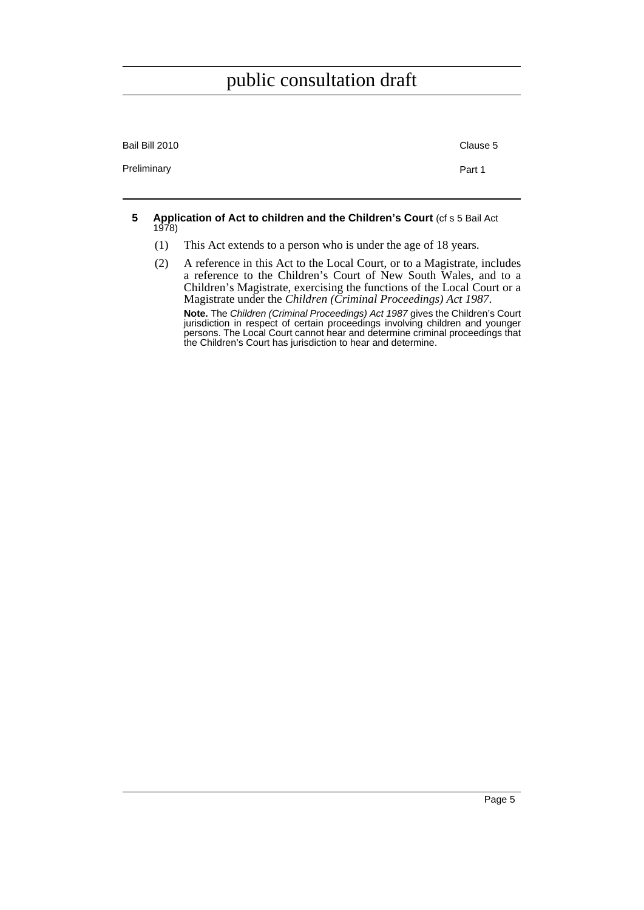| Bail Bill 2010 | Clause 5 |
|----------------|----------|
| Preliminary    | Part 1   |

#### <span id="page-10-0"></span>**5 Application of Act to children and the Children's Court** (cf s 5 Bail Act 1978)

- (1) This Act extends to a person who is under the age of 18 years.
- (2) A reference in this Act to the Local Court, or to a Magistrate, includes a reference to the Children's Court of New South Wales, and to a Children's Magistrate, exercising the functions of the Local Court or a Magistrate under the *Children (Criminal Proceedings) Act 1987*.

**Note.** The *Children (Criminal Proceedings) Act 1987* gives the Children's Court jurisdiction in respect of certain proceedings involving children and younger persons. The Local Court cannot hear and determine criminal proceedings that the Children's Court has jurisdiction to hear and determine.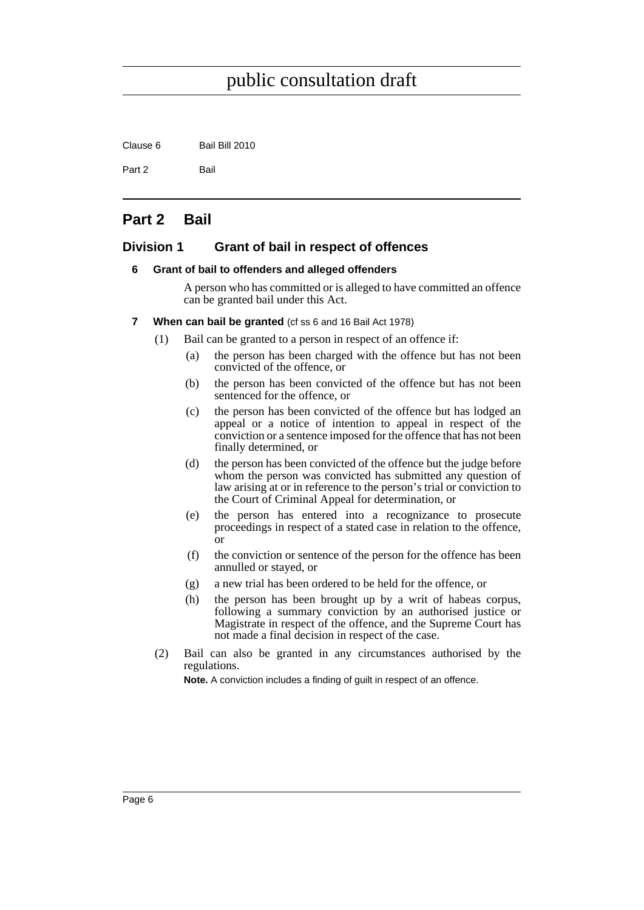Clause 6 Bail Bill 2010

Part 2 Bail

### <span id="page-11-0"></span>**Part 2 Bail**

#### <span id="page-11-2"></span><span id="page-11-1"></span>**Division 1 Grant of bail in respect of offences**

#### **6 Grant of bail to offenders and alleged offenders**

A person who has committed or is alleged to have committed an offence can be granted bail under this Act.

- <span id="page-11-3"></span>**7 When can bail be granted** (cf ss 6 and 16 Bail Act 1978)
	- (1) Bail can be granted to a person in respect of an offence if:
		- (a) the person has been charged with the offence but has not been convicted of the offence, or
		- (b) the person has been convicted of the offence but has not been sentenced for the offence, or
		- (c) the person has been convicted of the offence but has lodged an appeal or a notice of intention to appeal in respect of the conviction or a sentence imposed for the offence that has not been finally determined, or
		- (d) the person has been convicted of the offence but the judge before whom the person was convicted has submitted any question of law arising at or in reference to the person's trial or conviction to the Court of Criminal Appeal for determination, or
		- (e) the person has entered into a recognizance to prosecute proceedings in respect of a stated case in relation to the offence, or
		- (f) the conviction or sentence of the person for the offence has been annulled or stayed, or
		- (g) a new trial has been ordered to be held for the offence, or
		- (h) the person has been brought up by a writ of habeas corpus, following a summary conviction by an authorised justice or Magistrate in respect of the offence, and the Supreme Court has not made a final decision in respect of the case.
	- (2) Bail can also be granted in any circumstances authorised by the regulations.

**Note.** A conviction includes a finding of guilt in respect of an offence.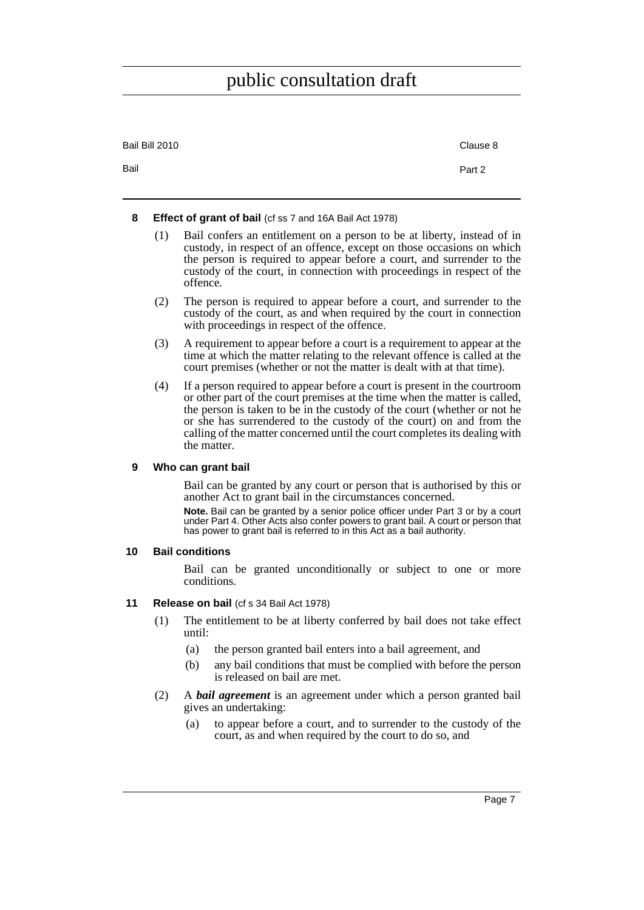| Bail Bill 2010 | Clause 8 |
|----------------|----------|
| Bail           | Part 2   |

#### <span id="page-12-0"></span>**8 Effect of grant of bail** (cf ss 7 and 16A Bail Act 1978)

- (1) Bail confers an entitlement on a person to be at liberty, instead of in custody, in respect of an offence, except on those occasions on which the person is required to appear before a court, and surrender to the custody of the court, in connection with proceedings in respect of the offence.
- (2) The person is required to appear before a court, and surrender to the custody of the court, as and when required by the court in connection with proceedings in respect of the offence.
- (3) A requirement to appear before a court is a requirement to appear at the time at which the matter relating to the relevant offence is called at the court premises (whether or not the matter is dealt with at that time).
- (4) If a person required to appear before a court is present in the courtroom or other part of the court premises at the time when the matter is called, the person is taken to be in the custody of the court (whether or not he or she has surrendered to the custody of the court) on and from the calling of the matter concerned until the court completes its dealing with the matter.

#### <span id="page-12-1"></span>**9 Who can grant bail**

Bail can be granted by any court or person that is authorised by this or another Act to grant bail in the circumstances concerned.

**Note.** Bail can be granted by a senior police officer under Part 3 or by a court under Part 4. Other Acts also confer powers to grant bail. A court or person that has power to grant bail is referred to in this Act as a bail authority.

#### <span id="page-12-2"></span>**10 Bail conditions**

Bail can be granted unconditionally or subject to one or more conditions.

#### <span id="page-12-3"></span>**11 Release on bail** (cf s 34 Bail Act 1978)

- (1) The entitlement to be at liberty conferred by bail does not take effect until:
	- (a) the person granted bail enters into a bail agreement, and
	- (b) any bail conditions that must be complied with before the person is released on bail are met.
- (2) A *bail agreement* is an agreement under which a person granted bail gives an undertaking:
	- (a) to appear before a court, and to surrender to the custody of the court, as and when required by the court to do so, and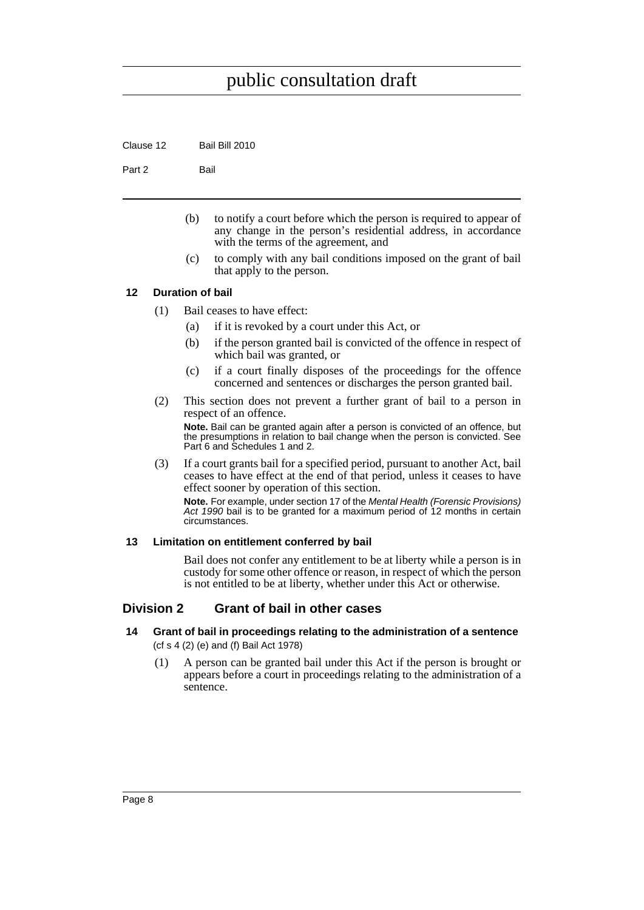Clause 12 Bail Bill 2010

Part 2 Bail

- (b) to notify a court before which the person is required to appear of any change in the person's residential address, in accordance with the terms of the agreement, and
- (c) to comply with any bail conditions imposed on the grant of bail that apply to the person.

#### <span id="page-13-0"></span>**12 Duration of bail**

- (1) Bail ceases to have effect:
	- (a) if it is revoked by a court under this Act, or
	- (b) if the person granted bail is convicted of the offence in respect of which bail was granted, or
	- (c) if a court finally disposes of the proceedings for the offence concerned and sentences or discharges the person granted bail.
- (2) This section does not prevent a further grant of bail to a person in respect of an offence.

**Note.** Bail can be granted again after a person is convicted of an offence, but the presumptions in relation to bail change when the person is convicted. See Part 6 and Schedules 1 and 2.

(3) If a court grants bail for a specified period, pursuant to another Act, bail ceases to have effect at the end of that period, unless it ceases to have effect sooner by operation of this section.

**Note.** For example, under section 17 of the *Mental Health (Forensic Provisions) Act 1990* bail is to be granted for a maximum period of 12 months in certain circumstances.

#### <span id="page-13-1"></span>**13 Limitation on entitlement conferred by bail**

Bail does not confer any entitlement to be at liberty while a person is in custody for some other offence or reason, in respect of which the person is not entitled to be at liberty, whether under this Act or otherwise.

#### <span id="page-13-2"></span>**Division 2 Grant of bail in other cases**

- <span id="page-13-3"></span>**14 Grant of bail in proceedings relating to the administration of a sentence**  (cf s 4 (2) (e) and (f) Bail Act 1978)
	- (1) A person can be granted bail under this Act if the person is brought or appears before a court in proceedings relating to the administration of a sentence.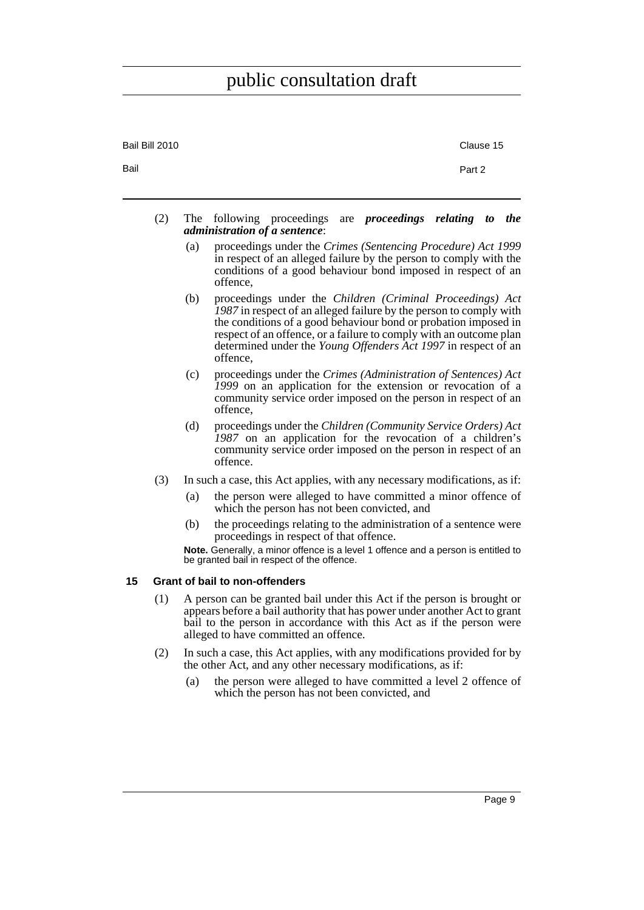<span id="page-14-0"></span>

| Bail Bill 2010 |     |     |                                                                                                                                                                                                                                                                                                                                                        | Clause 15 |            |
|----------------|-----|-----|--------------------------------------------------------------------------------------------------------------------------------------------------------------------------------------------------------------------------------------------------------------------------------------------------------------------------------------------------------|-----------|------------|
| Bail           |     |     |                                                                                                                                                                                                                                                                                                                                                        | Part 2    |            |
|                | (2) |     | are <i>proceedings</i> relating to<br>The following proceedings<br><i>administration of a sentence:</i>                                                                                                                                                                                                                                                |           | <i>the</i> |
|                |     | (a) | proceedings under the Crimes (Sentencing Procedure) Act 1999<br>in respect of an alleged failure by the person to comply with the<br>conditions of a good behaviour bond imposed in respect of an<br>offence.                                                                                                                                          |           |            |
|                |     | (b) | proceedings under the Children (Criminal Proceedings) Act<br>1987 in respect of an alleged failure by the person to comply with<br>the conditions of a good behaviour bond or probation imposed in<br>respect of an offence, or a failure to comply with an outcome plan<br>determined under the Young Offenders Act 1997 in respect of an<br>offence. |           |            |
|                |     | (c) | proceedings under the Crimes (Administration of Sentences) Act<br>1999 on an application for the extension or revocation of a<br>community service order imposed on the person in respect of an<br>offence.                                                                                                                                            |           |            |
|                |     | (d) | proceedings under the Children (Community Service Orders) Act<br>1987 on an application for the revocation of a children's<br>community service order imposed on the person in respect of an<br>offence.                                                                                                                                               |           |            |
|                | (3) |     | In such a case, this Act applies, with any necessary modifications, as if:                                                                                                                                                                                                                                                                             |           |            |
|                |     | (a) | the person were alleged to have committed a minor offence of<br>which the person has not been convicted, and                                                                                                                                                                                                                                           |           |            |
|                |     | (b) | the proceedings relating to the administration of a sentence were<br>proceedings in respect of that offence.                                                                                                                                                                                                                                           |           |            |
|                |     |     | Note. Generally, a minor offence is a level 1 offence and a person is entitled to<br>be granted bail in respect of the offence.                                                                                                                                                                                                                        |           |            |
| 15             |     |     | <b>Grant of bail to non-offenders</b>                                                                                                                                                                                                                                                                                                                  |           |            |
|                | (1) |     | A person can be granted bail under this Act if the person is brought or<br>appears before a bail authority that has power under another Act to grant<br>bail to the person in accordance with this Act as if the person were<br>alleged to have committed an offence.                                                                                  |           |            |
|                | (2) |     | In such a case, this Act applies, with any modifications provided for by<br>the other Act, and any other necessary modifications, as if:                                                                                                                                                                                                               |           |            |
|                |     | (a) | the person were alleged to have committed a level 2 offence of<br>which the person has not been convicted, and                                                                                                                                                                                                                                         |           |            |
|                |     |     |                                                                                                                                                                                                                                                                                                                                                        |           |            |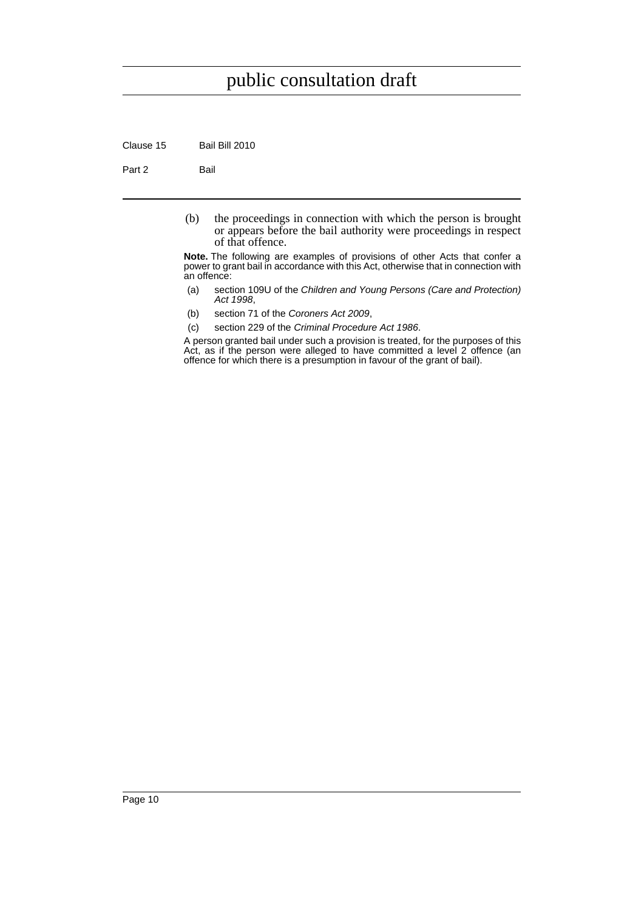Clause 15 Bail Bill 2010

Part 2 Bail

(b) the proceedings in connection with which the person is brought or appears before the bail authority were proceedings in respect of that offence.

**Note.** The following are examples of provisions of other Acts that confer a power to grant bail in accordance with this Act, otherwise that in connection with an offence:

- (a) section 109U of the *Children and Young Persons (Care and Protection) Act 1998*,
- (b) section 71 of the *Coroners Act 2009*,
- (c) section 229 of the *Criminal Procedure Act 1986*.

A person granted bail under such a provision is treated, for the purposes of this Act, as if the person were alleged to have committed a level 2 offence (an offence for which there is a presumption in favour of the grant of bail).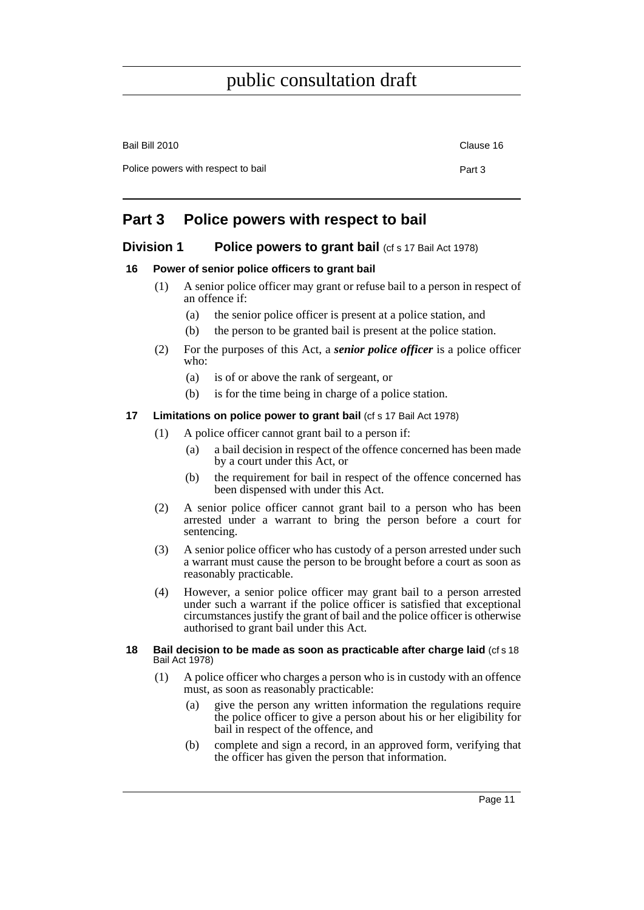| Bail Bill 2010                     | Clause 16 |
|------------------------------------|-----------|
| Police powers with respect to bail | Part 3    |
|                                    |           |

### <span id="page-16-0"></span>**Part 3 Police powers with respect to bail**

#### <span id="page-16-1"></span>**Division 1** Police powers to grant bail (cf s 17 Bail Act 1978)

#### <span id="page-16-2"></span>**16 Power of senior police officers to grant bail**

- (1) A senior police officer may grant or refuse bail to a person in respect of an offence if:
	- (a) the senior police officer is present at a police station, and
	- (b) the person to be granted bail is present at the police station.
- (2) For the purposes of this Act, a *senior police officer* is a police officer who:
	- (a) is of or above the rank of sergeant, or
	- (b) is for the time being in charge of a police station.

#### <span id="page-16-3"></span>**17** Limitations on police power to grant bail (cf s 17 Bail Act 1978)

- (1) A police officer cannot grant bail to a person if:
	- (a) a bail decision in respect of the offence concerned has been made by a court under this Act, or
	- (b) the requirement for bail in respect of the offence concerned has been dispensed with under this Act.
- (2) A senior police officer cannot grant bail to a person who has been arrested under a warrant to bring the person before a court for sentencing.
- (3) A senior police officer who has custody of a person arrested under such a warrant must cause the person to be brought before a court as soon as reasonably practicable.
- (4) However, a senior police officer may grant bail to a person arrested under such a warrant if the police officer is satisfied that exceptional circumstances justify the grant of bail and the police officer is otherwise authorised to grant bail under this Act.

#### <span id="page-16-4"></span>**18 Bail decision to be made as soon as practicable after charge laid** (cf s 18 Bail Act 1978)

- (1) A police officer who charges a person who is in custody with an offence must, as soon as reasonably practicable:
	- (a) give the person any written information the regulations require the police officer to give a person about his or her eligibility for bail in respect of the offence, and
	- (b) complete and sign a record, in an approved form, verifying that the officer has given the person that information.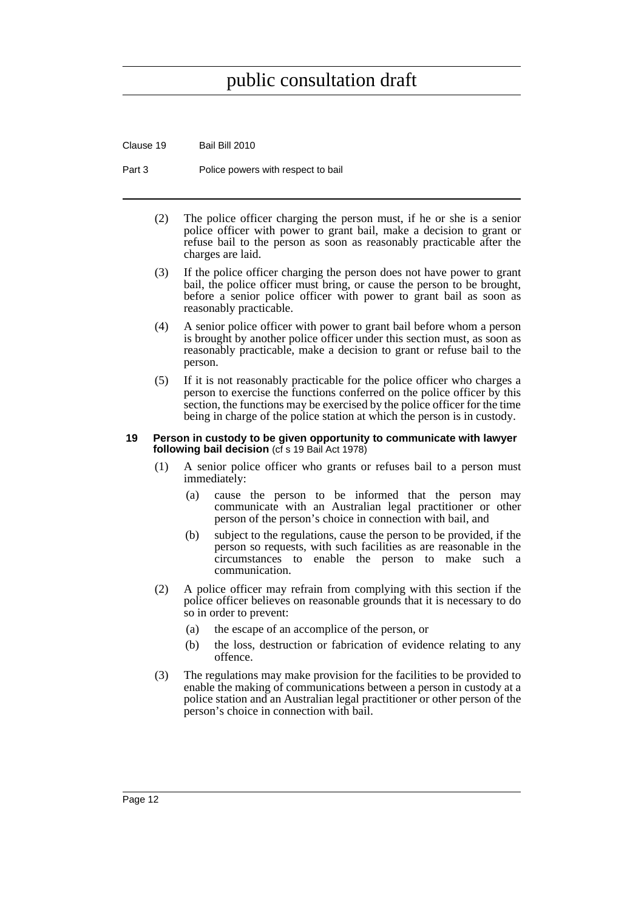Clause 19 Bail Bill 2010

Part 3 Police powers with respect to bail

- (2) The police officer charging the person must, if he or she is a senior police officer with power to grant bail, make a decision to grant or refuse bail to the person as soon as reasonably practicable after the charges are laid.
- (3) If the police officer charging the person does not have power to grant bail, the police officer must bring, or cause the person to be brought, before a senior police officer with power to grant bail as soon as reasonably practicable.
- (4) A senior police officer with power to grant bail before whom a person is brought by another police officer under this section must, as soon as reasonably practicable, make a decision to grant or refuse bail to the person.
- (5) If it is not reasonably practicable for the police officer who charges a person to exercise the functions conferred on the police officer by this section, the functions may be exercised by the police officer for the time being in charge of the police station at which the person is in custody.

#### <span id="page-17-0"></span>**19 Person in custody to be given opportunity to communicate with lawyer following bail decision** (cf s 19 Bail Act 1978)

- (1) A senior police officer who grants or refuses bail to a person must immediately:
	- (a) cause the person to be informed that the person may communicate with an Australian legal practitioner or other person of the person's choice in connection with bail, and
	- (b) subject to the regulations, cause the person to be provided, if the person so requests, with such facilities as are reasonable in the circumstances to enable the person to make such a communication.
- (2) A police officer may refrain from complying with this section if the police officer believes on reasonable grounds that it is necessary to do so in order to prevent:
	- (a) the escape of an accomplice of the person, or
	- (b) the loss, destruction or fabrication of evidence relating to any offence.
- (3) The regulations may make provision for the facilities to be provided to enable the making of communications between a person in custody at a police station and an Australian legal practitioner or other person of the person's choice in connection with bail.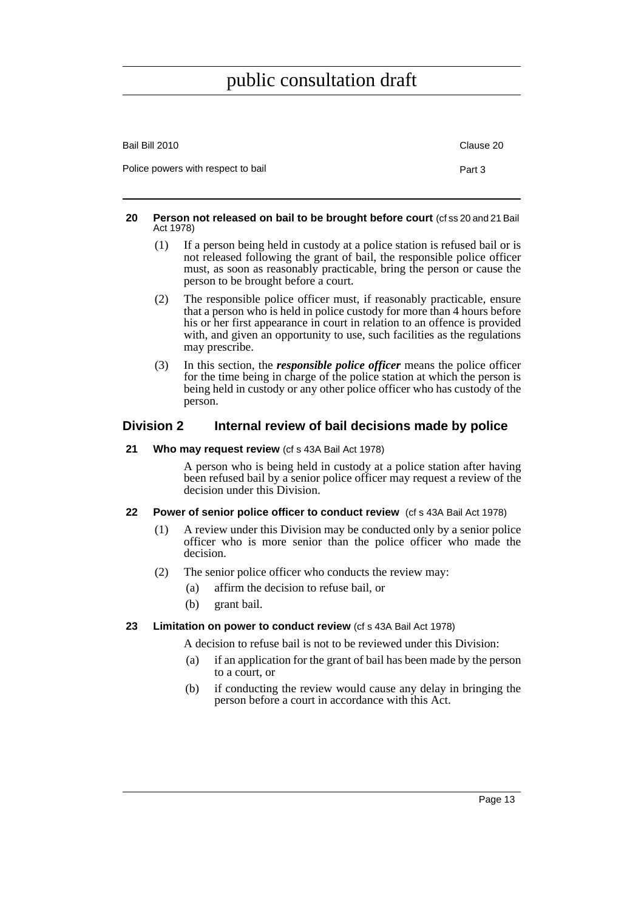| Bail Bill 2010                     | Clause 20 |
|------------------------------------|-----------|
| Police powers with respect to bail | Part 3    |

#### <span id="page-18-0"></span>**20 Person not released on bail to be brought before court** (cf ss 20 and 21 Bail Act 1978)

- (1) If a person being held in custody at a police station is refused bail or is not released following the grant of bail, the responsible police officer must, as soon as reasonably practicable, bring the person or cause the person to be brought before a court.
- (2) The responsible police officer must, if reasonably practicable, ensure that a person who is held in police custody for more than 4 hours before his or her first appearance in court in relation to an offence is provided with, and given an opportunity to use, such facilities as the regulations may prescribe.
- (3) In this section, the *responsible police officer* means the police officer for the time being in charge of the police station at which the person is being held in custody or any other police officer who has custody of the person.

#### <span id="page-18-1"></span>**Division 2 Internal review of bail decisions made by police**

#### <span id="page-18-2"></span>**21 Who may request review** (cf s 43A Bail Act 1978)

A person who is being held in custody at a police station after having been refused bail by a senior police officer may request a review of the decision under this Division.

#### <span id="page-18-3"></span>**22 Power of senior police officer to conduct review** (cf s 43A Bail Act 1978)

- (1) A review under this Division may be conducted only by a senior police officer who is more senior than the police officer who made the decision.
- (2) The senior police officer who conducts the review may:
	- (a) affirm the decision to refuse bail, or
	- (b) grant bail.

#### <span id="page-18-4"></span>**23 Limitation on power to conduct review** (cf s 43A Bail Act 1978)

A decision to refuse bail is not to be reviewed under this Division:

- (a) if an application for the grant of bail has been made by the person to a court, or
- (b) if conducting the review would cause any delay in bringing the person before a court in accordance with this Act.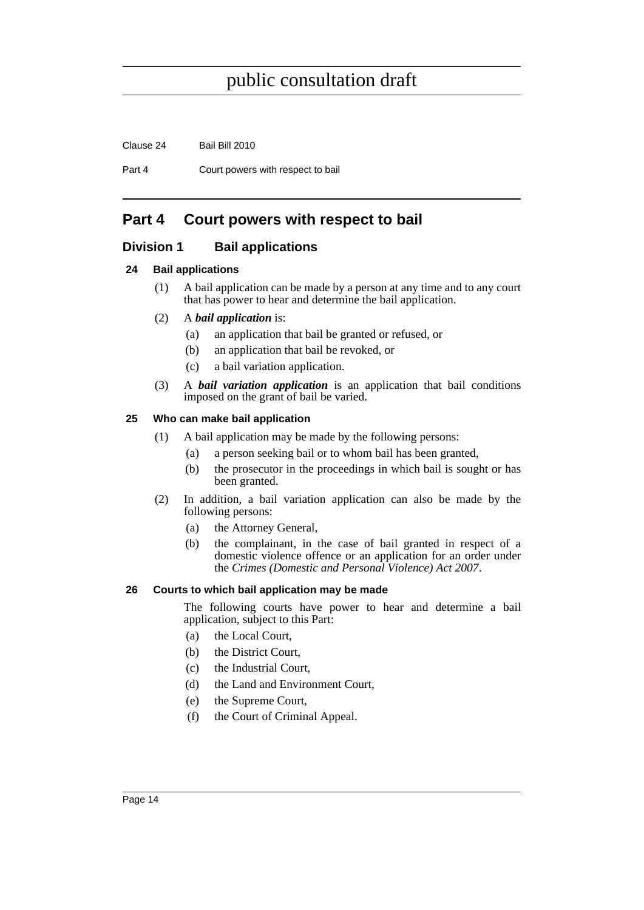Part 4 Court powers with respect to bail

### <span id="page-19-0"></span>**Part 4 Court powers with respect to bail**

#### <span id="page-19-1"></span>**Division 1 Bail applications**

#### <span id="page-19-2"></span>**24 Bail applications**

- (1) A bail application can be made by a person at any time and to any court that has power to hear and determine the bail application.
- (2) A *bail application* is:
	- (a) an application that bail be granted or refused, or
	- (b) an application that bail be revoked, or
	- (c) a bail variation application.
- (3) A *bail variation application* is an application that bail conditions imposed on the grant of bail be varied.

#### <span id="page-19-3"></span>**25 Who can make bail application**

- (1) A bail application may be made by the following persons:
	- (a) a person seeking bail or to whom bail has been granted,
	- (b) the prosecutor in the proceedings in which bail is sought or has been granted.
- (2) In addition, a bail variation application can also be made by the following persons:
	- (a) the Attorney General,
	- (b) the complainant, in the case of bail granted in respect of a domestic violence offence or an application for an order under the *Crimes (Domestic and Personal Violence) Act 2007*.

#### <span id="page-19-4"></span>**26 Courts to which bail application may be made**

The following courts have power to hear and determine a bail application, subject to this Part:

- (a) the Local Court,
- (b) the District Court,
- (c) the Industrial Court,
- (d) the Land and Environment Court,
- (e) the Supreme Court,
- (f) the Court of Criminal Appeal.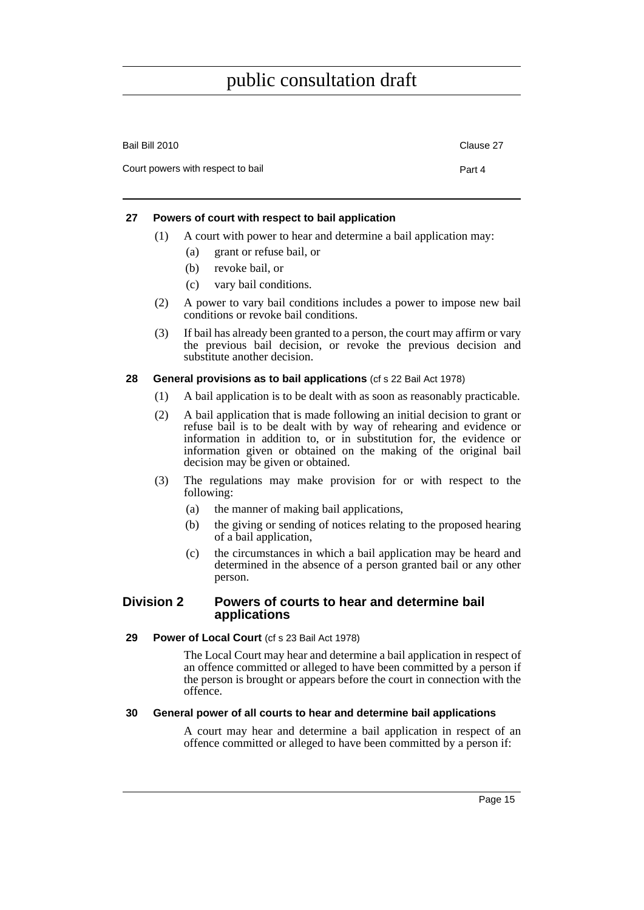| Bail Bill 2010                    | Clause 27 |
|-----------------------------------|-----------|
| Court powers with respect to bail | Part 4    |

#### <span id="page-20-0"></span>**27 Powers of court with respect to bail application**

- (1) A court with power to hear and determine a bail application may:
	- (a) grant or refuse bail, or
	- (b) revoke bail, or
	- (c) vary bail conditions.
- (2) A power to vary bail conditions includes a power to impose new bail conditions or revoke bail conditions.
- (3) If bail has already been granted to a person, the court may affirm or vary the previous bail decision, or revoke the previous decision and substitute another decision.

#### <span id="page-20-1"></span>**28 General provisions as to bail applications** (cf s 22 Bail Act 1978)

- (1) A bail application is to be dealt with as soon as reasonably practicable.
- (2) A bail application that is made following an initial decision to grant or refuse bail is to be dealt with by way of rehearing and evidence or information in addition to, or in substitution for, the evidence or information given or obtained on the making of the original bail decision may be given or obtained.
- (3) The regulations may make provision for or with respect to the following:
	- (a) the manner of making bail applications,
	- (b) the giving or sending of notices relating to the proposed hearing of a bail application,
	- (c) the circumstances in which a bail application may be heard and determined in the absence of a person granted bail or any other person.

#### <span id="page-20-2"></span>**Division 2 Powers of courts to hear and determine bail applications**

#### <span id="page-20-3"></span>29 Power of Local Court (cf s 23 Bail Act 1978)

The Local Court may hear and determine a bail application in respect of an offence committed or alleged to have been committed by a person if the person is brought or appears before the court in connection with the offence.

#### <span id="page-20-4"></span>**30 General power of all courts to hear and determine bail applications**

A court may hear and determine a bail application in respect of an offence committed or alleged to have been committed by a person if: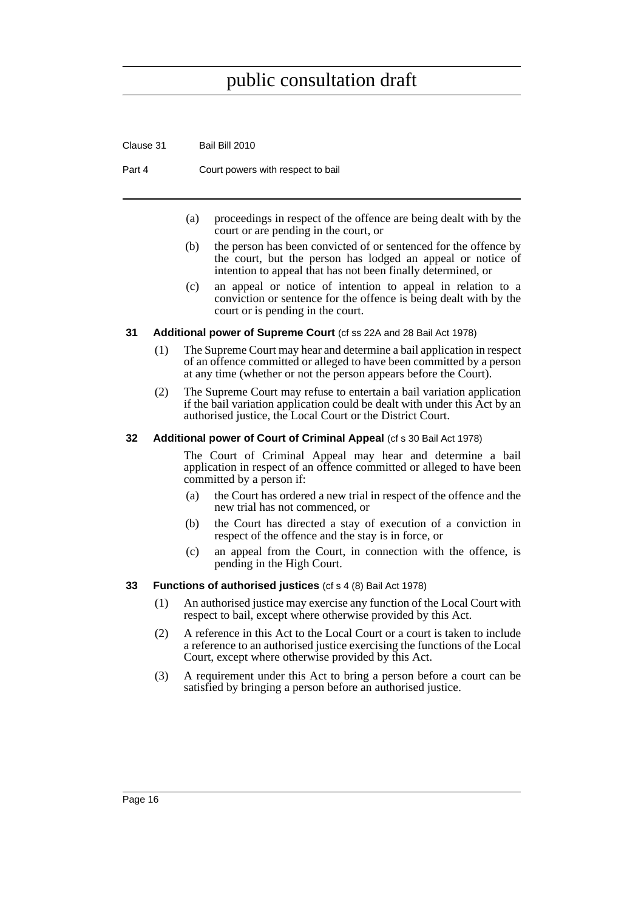Clause 31 Bail Bill 2010

Part 4 Court powers with respect to bail

- (a) proceedings in respect of the offence are being dealt with by the court or are pending in the court, or
- (b) the person has been convicted of or sentenced for the offence by the court, but the person has lodged an appeal or notice of intention to appeal that has not been finally determined, or
- (c) an appeal or notice of intention to appeal in relation to a conviction or sentence for the offence is being dealt with by the court or is pending in the court.

#### <span id="page-21-0"></span>**31 Additional power of Supreme Court** (cf ss 22A and 28 Bail Act 1978)

- (1) The Supreme Court may hear and determine a bail application in respect of an offence committed or alleged to have been committed by a person at any time (whether or not the person appears before the Court).
- (2) The Supreme Court may refuse to entertain a bail variation application if the bail variation application could be dealt with under this Act by an authorised justice, the Local Court or the District Court.

#### <span id="page-21-1"></span>**32 Additional power of Court of Criminal Appeal** (cf s 30 Bail Act 1978)

The Court of Criminal Appeal may hear and determine a bail application in respect of an offence committed or alleged to have been committed by a person if:

- (a) the Court has ordered a new trial in respect of the offence and the new trial has not commenced, or
- (b) the Court has directed a stay of execution of a conviction in respect of the offence and the stay is in force, or
- (c) an appeal from the Court, in connection with the offence, is pending in the High Court.

#### <span id="page-21-2"></span>**33 Functions of authorised justices** (cf s 4 (8) Bail Act 1978)

- (1) An authorised justice may exercise any function of the Local Court with respect to bail, except where otherwise provided by this Act.
- (2) A reference in this Act to the Local Court or a court is taken to include a reference to an authorised justice exercising the functions of the Local Court, except where otherwise provided by this Act.
- (3) A requirement under this Act to bring a person before a court can be satisfied by bringing a person before an authorised justice.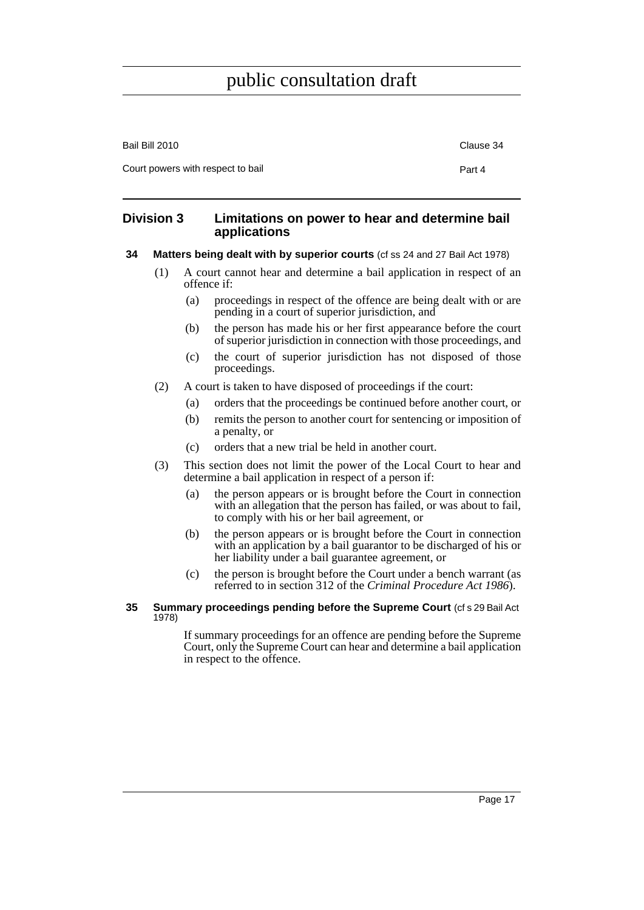| Bail Bill 2010                    | Clause 34 |
|-----------------------------------|-----------|
| Court powers with respect to bail | Part 4    |

#### <span id="page-22-0"></span>**Division 3 Limitations on power to hear and determine bail applications**

#### <span id="page-22-1"></span>**34 Matters being dealt with by superior courts** (cf ss 24 and 27 Bail Act 1978)

- (1) A court cannot hear and determine a bail application in respect of an offence if:
	- (a) proceedings in respect of the offence are being dealt with or are pending in a court of superior jurisdiction, and
	- (b) the person has made his or her first appearance before the court of superior jurisdiction in connection with those proceedings, and
	- (c) the court of superior jurisdiction has not disposed of those proceedings.
- (2) A court is taken to have disposed of proceedings if the court:
	- (a) orders that the proceedings be continued before another court, or
	- (b) remits the person to another court for sentencing or imposition of a penalty, or
	- (c) orders that a new trial be held in another court.
- (3) This section does not limit the power of the Local Court to hear and determine a bail application in respect of a person if:
	- (a) the person appears or is brought before the Court in connection with an allegation that the person has failed, or was about to fail, to comply with his or her bail agreement, or
	- (b) the person appears or is brought before the Court in connection with an application by a bail guarantor to be discharged of his or her liability under a bail guarantee agreement, or
	- (c) the person is brought before the Court under a bench warrant (as referred to in section 312 of the *Criminal Procedure Act 1986*).
- <span id="page-22-2"></span>**35 Summary proceedings pending before the Supreme Court (cf s 29 Bail Act** 1978)

If summary proceedings for an offence are pending before the Supreme Court, only the Supreme Court can hear and determine a bail application in respect to the offence.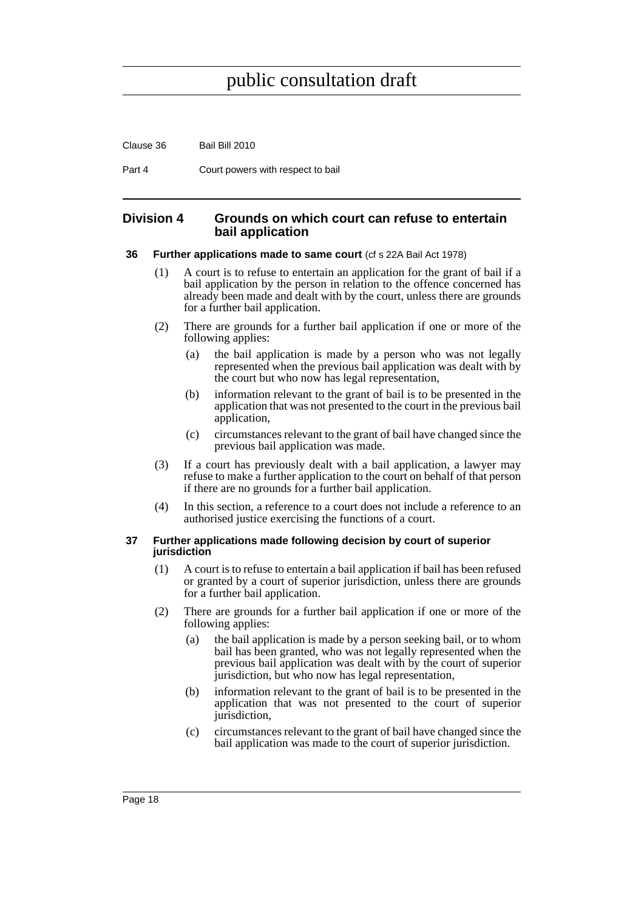Clause 36 Bail Bill 2010

Part 4 Court powers with respect to bail

#### <span id="page-23-0"></span>**Division 4 Grounds on which court can refuse to entertain bail application**

#### <span id="page-23-1"></span>**36 Further applications made to same court** (cf s 22A Bail Act 1978)

- (1) A court is to refuse to entertain an application for the grant of bail if a bail application by the person in relation to the offence concerned has already been made and dealt with by the court, unless there are grounds for a further bail application.
- (2) There are grounds for a further bail application if one or more of the following applies:
	- (a) the bail application is made by a person who was not legally represented when the previous bail application was dealt with by the court but who now has legal representation,
	- (b) information relevant to the grant of bail is to be presented in the application that was not presented to the court in the previous bail application,
	- (c) circumstances relevant to the grant of bail have changed since the previous bail application was made.
- (3) If a court has previously dealt with a bail application, a lawyer may refuse to make a further application to the court on behalf of that person if there are no grounds for a further bail application.
- (4) In this section, a reference to a court does not include a reference to an authorised justice exercising the functions of a court.

#### <span id="page-23-2"></span>**37 Further applications made following decision by court of superior jurisdiction**

- (1) A court is to refuse to entertain a bail application if bail has been refused or granted by a court of superior jurisdiction, unless there are grounds for a further bail application.
- (2) There are grounds for a further bail application if one or more of the following applies:
	- (a) the bail application is made by a person seeking bail, or to whom bail has been granted, who was not legally represented when the previous bail application was dealt with by the court of superior jurisdiction, but who now has legal representation,
	- (b) information relevant to the grant of bail is to be presented in the application that was not presented to the court of superior jurisdiction,
	- (c) circumstances relevant to the grant of bail have changed since the bail application was made to the court of superior jurisdiction.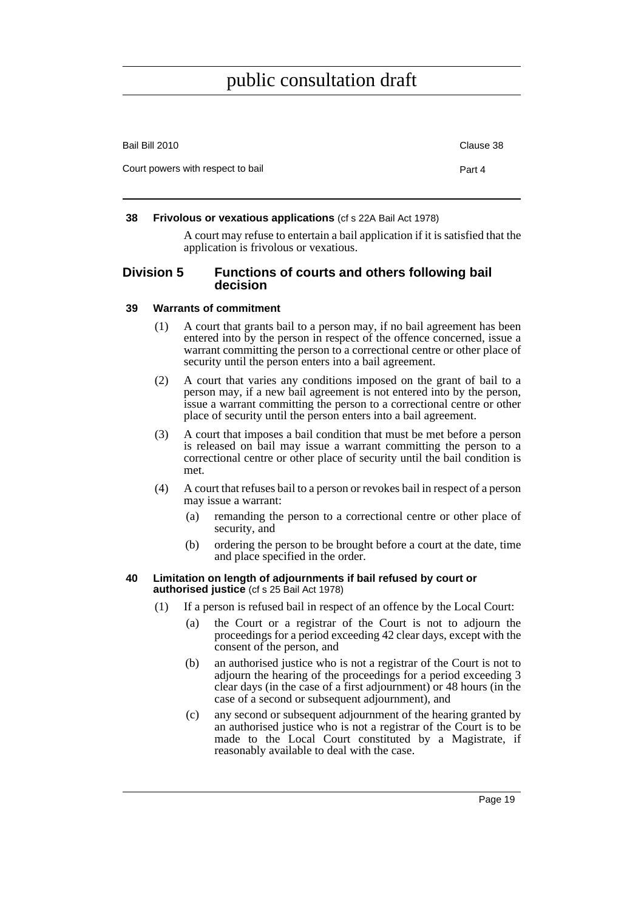| Bail Bill 2010                    | Clause 38 |
|-----------------------------------|-----------|
| Court powers with respect to bail | Part 4    |
|                                   |           |

#### <span id="page-24-0"></span>**38 Frivolous or vexatious applications** (cf s 22A Bail Act 1978)

A court may refuse to entertain a bail application if it is satisfied that the application is frivolous or vexatious.

#### <span id="page-24-1"></span>**Division 5 Functions of courts and others following bail decision**

#### <span id="page-24-2"></span>**39 Warrants of commitment**

- (1) A court that grants bail to a person may, if no bail agreement has been entered into by the person in respect of the offence concerned, issue a warrant committing the person to a correctional centre or other place of security until the person enters into a bail agreement.
- (2) A court that varies any conditions imposed on the grant of bail to a person may, if a new bail agreement is not entered into by the person, issue a warrant committing the person to a correctional centre or other place of security until the person enters into a bail agreement.
- (3) A court that imposes a bail condition that must be met before a person is released on bail may issue a warrant committing the person to a correctional centre or other place of security until the bail condition is met.
- (4) A court that refuses bail to a person or revokes bail in respect of a person may issue a warrant:
	- (a) remanding the person to a correctional centre or other place of security, and
	- (b) ordering the person to be brought before a court at the date, time and place specified in the order.

#### <span id="page-24-3"></span>**40 Limitation on length of adjournments if bail refused by court or authorised justice** (cf s 25 Bail Act 1978)

- (1) If a person is refused bail in respect of an offence by the Local Court:
	- (a) the Court or a registrar of the Court is not to adjourn the proceedings for a period exceeding 42 clear days, except with the consent of the person, and
	- (b) an authorised justice who is not a registrar of the Court is not to adjourn the hearing of the proceedings for a period exceeding 3 clear days (in the case of a first adjournment) or 48 hours (in the case of a second or subsequent adjournment), and
	- (c) any second or subsequent adjournment of the hearing granted by an authorised justice who is not a registrar of the Court is to be made to the Local Court constituted by a Magistrate, if reasonably available to deal with the case.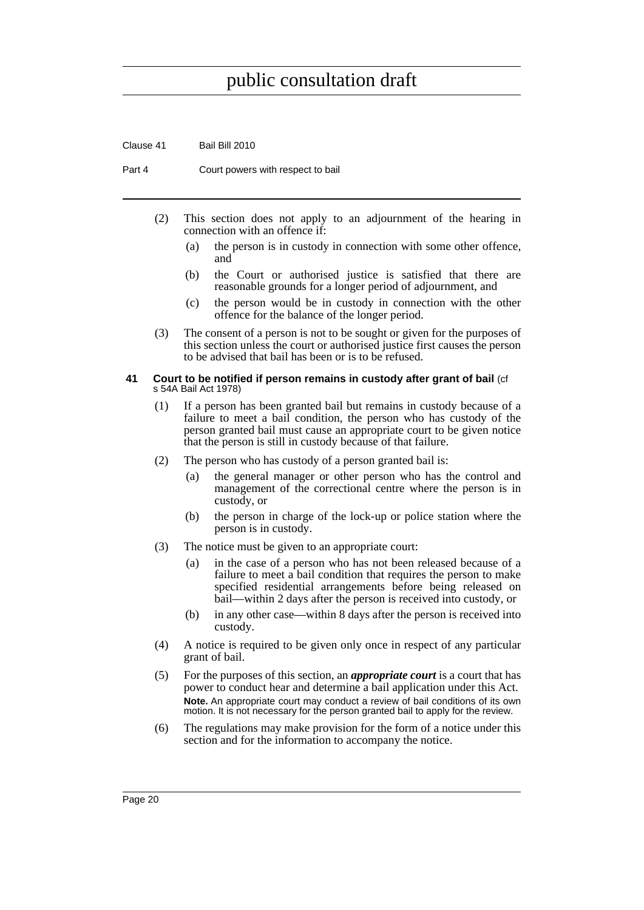Clause 41 Bail Bill 2010

Part 4 Court powers with respect to bail

- (2) This section does not apply to an adjournment of the hearing in connection with an offence if:
	- (a) the person is in custody in connection with some other offence, and
	- (b) the Court or authorised justice is satisfied that there are reasonable grounds for a longer period of adjournment, and
	- (c) the person would be in custody in connection with the other offence for the balance of the longer period.
- (3) The consent of a person is not to be sought or given for the purposes of this section unless the court or authorised justice first causes the person to be advised that bail has been or is to be refused.

#### <span id="page-25-0"></span>**41 Court to be notified if person remains in custody after grant of bail** (cf s 54A Bail Act 1978)

- (1) If a person has been granted bail but remains in custody because of a failure to meet a bail condition, the person who has custody of the person granted bail must cause an appropriate court to be given notice that the person is still in custody because of that failure.
- (2) The person who has custody of a person granted bail is:
	- (a) the general manager or other person who has the control and management of the correctional centre where the person is in custody, or
	- (b) the person in charge of the lock-up or police station where the person is in custody.
- (3) The notice must be given to an appropriate court:
	- (a) in the case of a person who has not been released because of a failure to meet a bail condition that requires the person to make specified residential arrangements before being released on bail—within 2 days after the person is received into custody, or
	- (b) in any other case—within 8 days after the person is received into custody.
- (4) A notice is required to be given only once in respect of any particular grant of bail.
- (5) For the purposes of this section, an *appropriate court* is a court that has power to conduct hear and determine a bail application under this Act. **Note.** An appropriate court may conduct a review of bail conditions of its own motion. It is not necessary for the person granted bail to apply for the review.
- (6) The regulations may make provision for the form of a notice under this section and for the information to accompany the notice.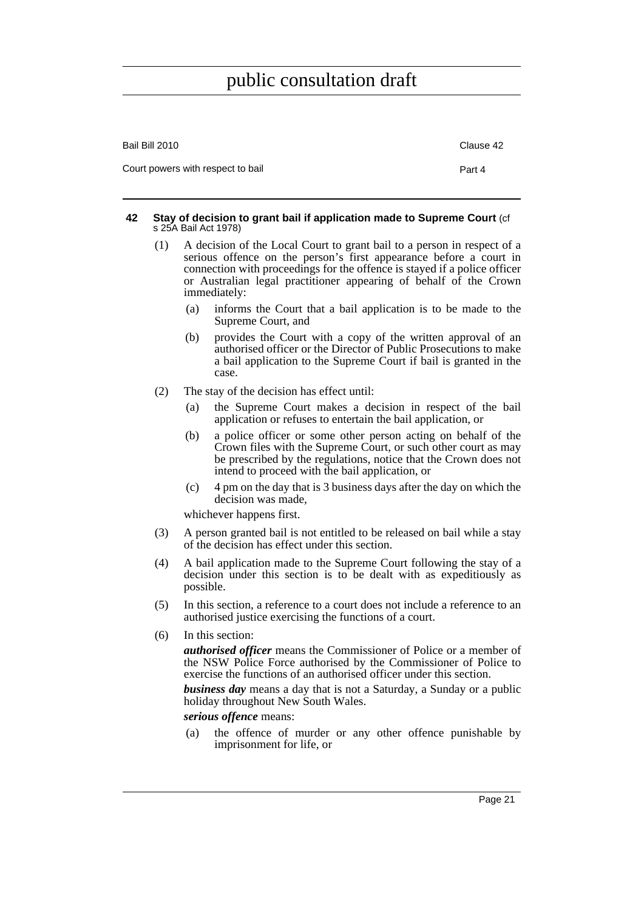| Bail Bill 2010                    | Clause 42 |
|-----------------------------------|-----------|
| Court powers with respect to bail | Part 4    |

#### <span id="page-26-0"></span>**42 Stay of decision to grant bail if application made to Supreme Court** (cf s 25A Bail Act 1978)

- (1) A decision of the Local Court to grant bail to a person in respect of a serious offence on the person's first appearance before a court in connection with proceedings for the offence is stayed if a police officer or Australian legal practitioner appearing of behalf of the Crown immediately:
	- (a) informs the Court that a bail application is to be made to the Supreme Court, and
	- (b) provides the Court with a copy of the written approval of an authorised officer or the Director of Public Prosecutions to make a bail application to the Supreme Court if bail is granted in the case.
- (2) The stay of the decision has effect until:
	- (a) the Supreme Court makes a decision in respect of the bail application or refuses to entertain the bail application, or
	- (b) a police officer or some other person acting on behalf of the Crown files with the Supreme Court, or such other court as may be prescribed by the regulations, notice that the Crown does not intend to proceed with the bail application, or
	- (c) 4 pm on the day that is 3 business days after the day on which the decision was made,

whichever happens first.

- (3) A person granted bail is not entitled to be released on bail while a stay of the decision has effect under this section.
- (4) A bail application made to the Supreme Court following the stay of a decision under this section is to be dealt with as expeditiously as possible.
- (5) In this section, a reference to a court does not include a reference to an authorised justice exercising the functions of a court.
- (6) In this section:

*authorised officer* means the Commissioner of Police or a member of the NSW Police Force authorised by the Commissioner of Police to exercise the functions of an authorised officer under this section.

*business day* means a day that is not a Saturday, a Sunday or a public holiday throughout New South Wales.

#### *serious offence* means:

(a) the offence of murder or any other offence punishable by imprisonment for life, or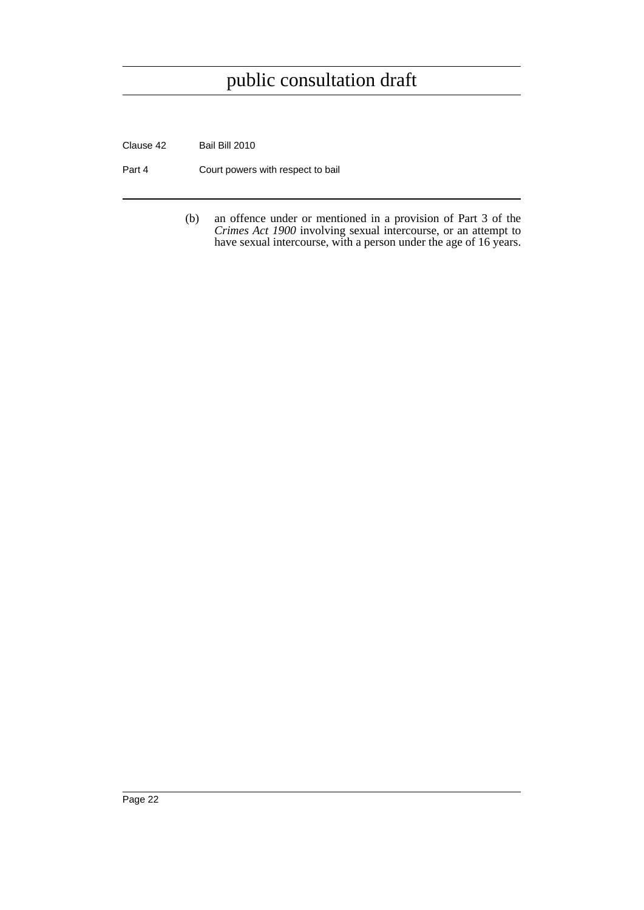Clause 42 Bail Bill 2010

Part 4 Court powers with respect to bail

(b) an offence under or mentioned in a provision of Part 3 of the *Crimes Act 1900* involving sexual intercourse, or an attempt to have sexual intercourse, with a person under the age of 16 years.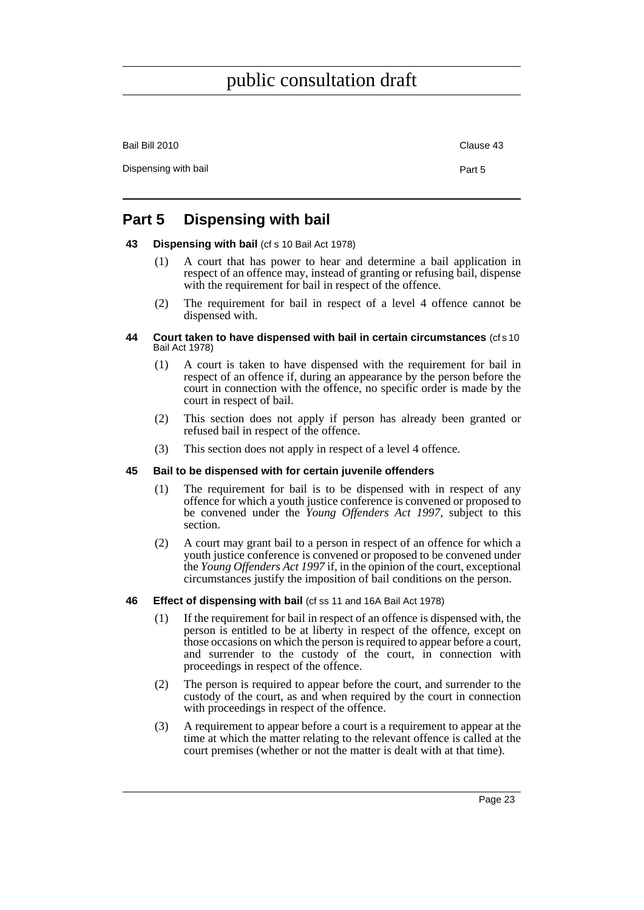| Bail Bill 2010       | Clause 43 |
|----------------------|-----------|
| Dispensing with bail | Part 5    |

### <span id="page-28-0"></span>**Part 5 Dispensing with bail**

#### <span id="page-28-1"></span>**43 Dispensing with bail** (cf s 10 Bail Act 1978)

- (1) A court that has power to hear and determine a bail application in respect of an offence may, instead of granting or refusing bail, dispense with the requirement for bail in respect of the offence.
- (2) The requirement for bail in respect of a level 4 offence cannot be dispensed with.

#### <span id="page-28-2"></span>**44 Court taken to have dispensed with bail in certain circumstances** (cf s 10 Bail Act 1978)

- (1) A court is taken to have dispensed with the requirement for bail in respect of an offence if, during an appearance by the person before the court in connection with the offence, no specific order is made by the court in respect of bail.
- (2) This section does not apply if person has already been granted or refused bail in respect of the offence.
- (3) This section does not apply in respect of a level 4 offence.

#### <span id="page-28-3"></span>**45 Bail to be dispensed with for certain juvenile offenders**

- (1) The requirement for bail is to be dispensed with in respect of any offence for which a youth justice conference is convened or proposed to be convened under the *Young Offenders Act 1997*, subject to this section.
- (2) A court may grant bail to a person in respect of an offence for which a youth justice conference is convened or proposed to be convened under the *Young Offenders Act 1997* if, in the opinion of the court, exceptional circumstances justify the imposition of bail conditions on the person.
- <span id="page-28-4"></span>**46 Effect of dispensing with bail** (cf ss 11 and 16A Bail Act 1978)
	- (1) If the requirement for bail in respect of an offence is dispensed with, the person is entitled to be at liberty in respect of the offence, except on those occasions on which the person is required to appear before a court, and surrender to the custody of the court, in connection with proceedings in respect of the offence.
	- (2) The person is required to appear before the court, and surrender to the custody of the court, as and when required by the court in connection with proceedings in respect of the offence.
	- (3) A requirement to appear before a court is a requirement to appear at the time at which the matter relating to the relevant offence is called at the court premises (whether or not the matter is dealt with at that time).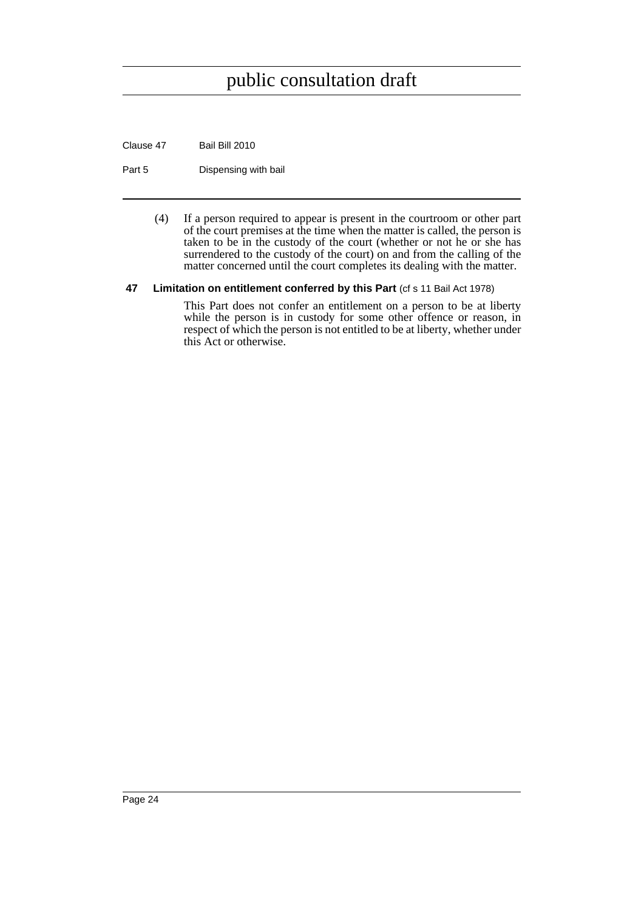Clause 47 Bail Bill 2010

Part 5 Dispensing with bail

(4) If a person required to appear is present in the courtroom or other part of the court premises at the time when the matter is called, the person is taken to be in the custody of the court (whether or not he or she has surrendered to the custody of the court) on and from the calling of the matter concerned until the court completes its dealing with the matter.

#### <span id="page-29-0"></span>**47** Limitation on entitlement conferred by this Part (cf s 11 Bail Act 1978)

This Part does not confer an entitlement on a person to be at liberty while the person is in custody for some other offence or reason, in respect of which the person is not entitled to be at liberty, whether under this Act or otherwise.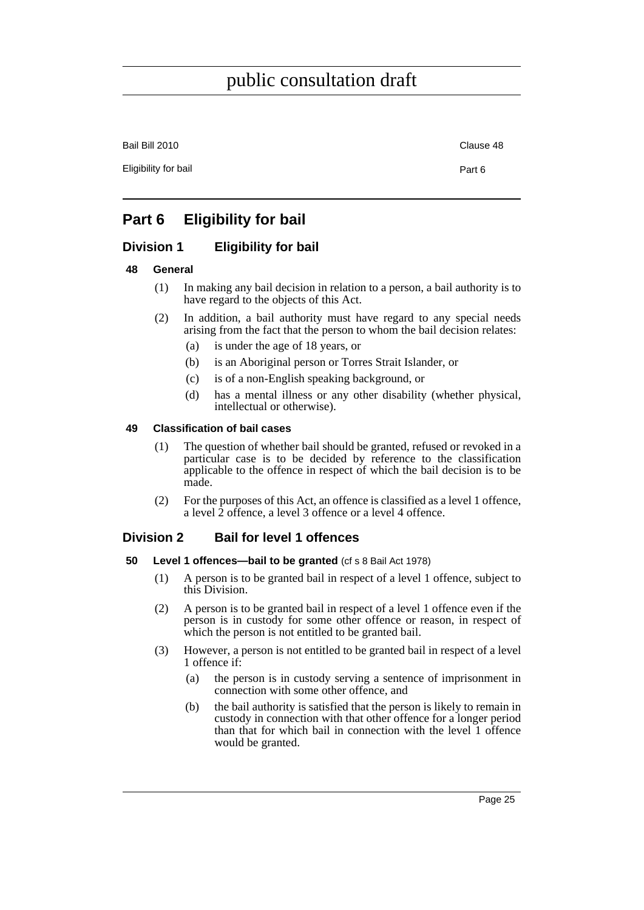Bail Bill 2010 Clause 48

Eligibility for bail **Part 6** 

### <span id="page-30-0"></span>**Part 6 Eligibility for bail**

### <span id="page-30-1"></span>**Division 1 Eligibility for bail**

#### <span id="page-30-2"></span>**48 General**

- (1) In making any bail decision in relation to a person, a bail authority is to have regard to the objects of this Act.
- (2) In addition, a bail authority must have regard to any special needs arising from the fact that the person to whom the bail decision relates:
	- (a) is under the age of 18 years, or
	- (b) is an Aboriginal person or Torres Strait Islander, or
	- (c) is of a non-English speaking background, or
	- (d) has a mental illness or any other disability (whether physical, intellectual or otherwise).

#### <span id="page-30-3"></span>**49 Classification of bail cases**

- (1) The question of whether bail should be granted, refused or revoked in a particular case is to be decided by reference to the classification applicable to the offence in respect of which the bail decision is to be made.
- (2) For the purposes of this Act, an offence is classified as a level 1 offence, a level 2 offence, a level 3 offence or a level 4 offence.

#### <span id="page-30-4"></span>**Division 2 Bail for level 1 offences**

#### <span id="page-30-5"></span>**50 Level 1 offences—bail to be granted** (cf s 8 Bail Act 1978)

- (1) A person is to be granted bail in respect of a level 1 offence, subject to this Division.
- (2) A person is to be granted bail in respect of a level 1 offence even if the person is in custody for some other offence or reason, in respect of which the person is not entitled to be granted bail.
- (3) However, a person is not entitled to be granted bail in respect of a level 1 offence if:
	- (a) the person is in custody serving a sentence of imprisonment in connection with some other offence, and
	- (b) the bail authority is satisfied that the person is likely to remain in custody in connection with that other offence for a longer period than that for which bail in connection with the level 1 offence would be granted.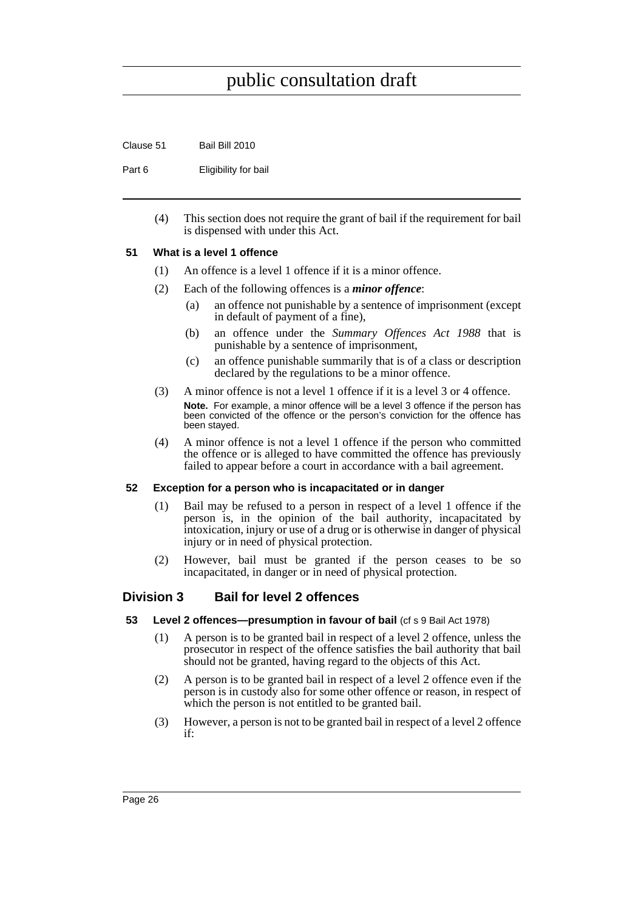Clause 51 Bail Bill 2010

Part 6 Eligibility for bail

(4) This section does not require the grant of bail if the requirement for bail is dispensed with under this Act.

#### <span id="page-31-0"></span>**51 What is a level 1 offence**

- (1) An offence is a level 1 offence if it is a minor offence.
- (2) Each of the following offences is a *minor offence*:
	- (a) an offence not punishable by a sentence of imprisonment (except in default of payment of a fine),
	- (b) an offence under the *Summary Offences Act 1988* that is punishable by a sentence of imprisonment,
	- (c) an offence punishable summarily that is of a class or description declared by the regulations to be a minor offence.
- (3) A minor offence is not a level 1 offence if it is a level 3 or 4 offence. **Note.** For example, a minor offence will be a level 3 offence if the person has been convicted of the offence or the person's conviction for the offence has been stayed.
- (4) A minor offence is not a level 1 offence if the person who committed the offence or is alleged to have committed the offence has previously failed to appear before a court in accordance with a bail agreement.

#### <span id="page-31-1"></span>**52 Exception for a person who is incapacitated or in danger**

- (1) Bail may be refused to a person in respect of a level 1 offence if the person is, in the opinion of the bail authority, incapacitated by intoxication, injury or use of a drug or is otherwise in danger of physical injury or in need of physical protection.
- (2) However, bail must be granted if the person ceases to be so incapacitated, in danger or in need of physical protection.

#### <span id="page-31-2"></span>**Division 3 Bail for level 2 offences**

- <span id="page-31-3"></span>**53 Level 2 offences—presumption in favour of bail** (cf s 9 Bail Act 1978)
	- (1) A person is to be granted bail in respect of a level 2 offence, unless the prosecutor in respect of the offence satisfies the bail authority that bail should not be granted, having regard to the objects of this Act.
	- (2) A person is to be granted bail in respect of a level 2 offence even if the person is in custody also for some other offence or reason, in respect of which the person is not entitled to be granted bail.
	- (3) However, a person is not to be granted bail in respect of a level 2 offence if: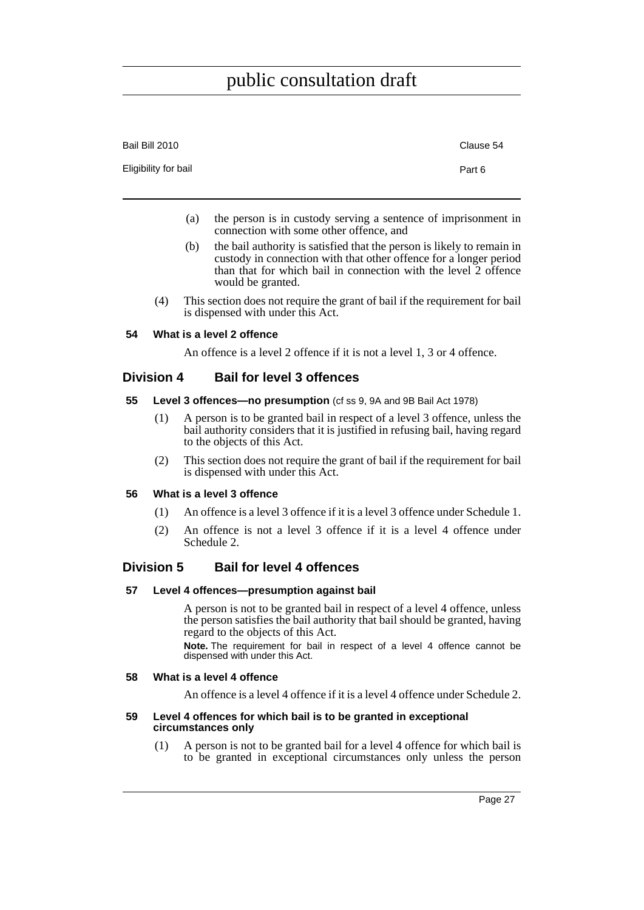| Bail Bill 2010       | Clause 54 |
|----------------------|-----------|
| Eligibility for bail | Part 6    |

- (a) the person is in custody serving a sentence of imprisonment in connection with some other offence, and
- (b) the bail authority is satisfied that the person is likely to remain in custody in connection with that other offence for a longer period than that for which bail in connection with the level 2 offence would be granted.
- (4) This section does not require the grant of bail if the requirement for bail is dispensed with under this Act.

#### <span id="page-32-0"></span>**54 What is a level 2 offence**

An offence is a level 2 offence if it is not a level 1, 3 or 4 offence.

#### <span id="page-32-1"></span>**Division 4 Bail for level 3 offences**

#### <span id="page-32-2"></span>**55 Level 3 offences—no presumption** (cf ss 9, 9A and 9B Bail Act 1978)

- (1) A person is to be granted bail in respect of a level 3 offence, unless the bail authority considers that it is justified in refusing bail, having regard to the objects of this Act.
- (2) This section does not require the grant of bail if the requirement for bail is dispensed with under this Act.

#### <span id="page-32-3"></span>**56 What is a level 3 offence**

- (1) An offence is a level 3 offence if it is a level 3 offence under Schedule 1.
- (2) An offence is not a level 3 offence if it is a level 4 offence under Schedule 2.

#### <span id="page-32-4"></span>**Division 5 Bail for level 4 offences**

#### <span id="page-32-5"></span>**57 Level 4 offences—presumption against bail**

A person is not to be granted bail in respect of a level 4 offence, unless the person satisfies the bail authority that bail should be granted, having regard to the objects of this Act.

**Note.** The requirement for bail in respect of a level 4 offence cannot be dispensed with under this Act.

#### <span id="page-32-6"></span>**58 What is a level 4 offence**

An offence is a level 4 offence if it is a level 4 offence under Schedule 2.

#### <span id="page-32-7"></span>**59 Level 4 offences for which bail is to be granted in exceptional circumstances only**

(1) A person is not to be granted bail for a level 4 offence for which bail is to be granted in exceptional circumstances only unless the person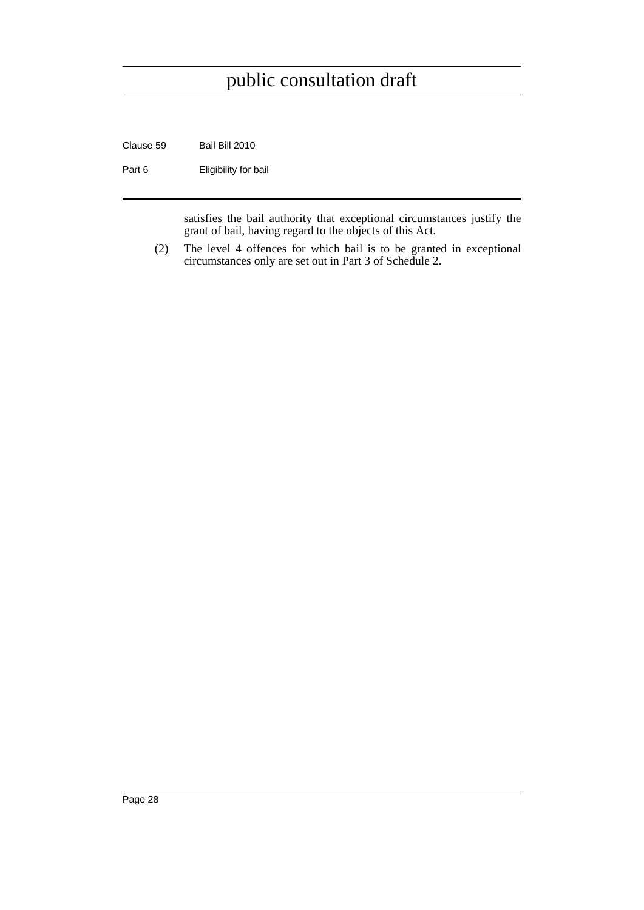Clause 59 Bail Bill 2010

Part 6 **Eligibility for bail** 

satisfies the bail authority that exceptional circumstances justify the grant of bail, having regard to the objects of this Act.

(2) The level 4 offences for which bail is to be granted in exceptional circumstances only are set out in Part 3 of Schedule 2.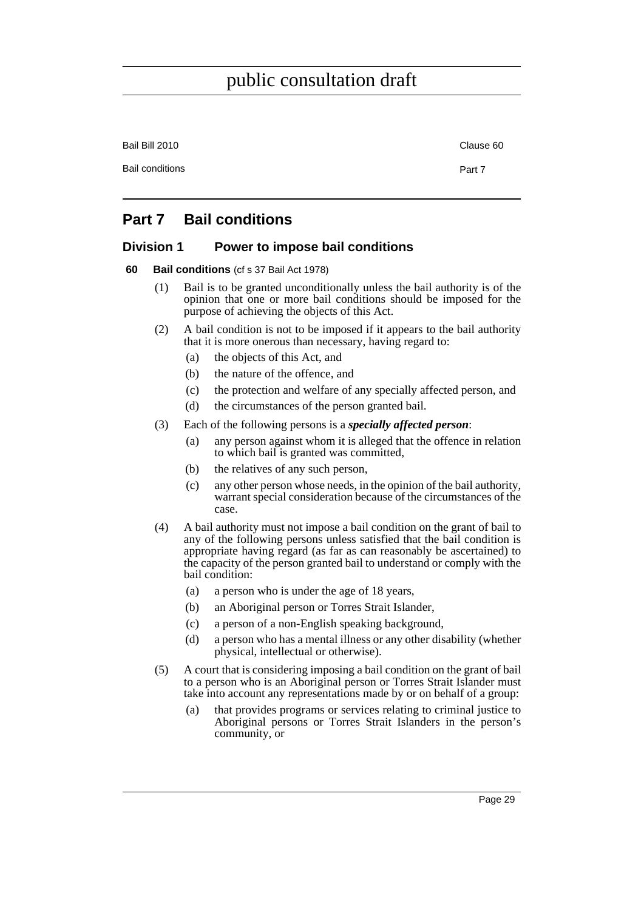Bail Bill 2010 Clause 60 Bail conditions **Part 7** 

### <span id="page-34-0"></span>**Part 7 Bail conditions**

### <span id="page-34-1"></span>**Division 1 Power to impose bail conditions**

#### <span id="page-34-2"></span>**60 Bail conditions** (cf s 37 Bail Act 1978)

- (1) Bail is to be granted unconditionally unless the bail authority is of the opinion that one or more bail conditions should be imposed for the purpose of achieving the objects of this Act.
- (2) A bail condition is not to be imposed if it appears to the bail authority that it is more onerous than necessary, having regard to:
	- (a) the objects of this Act, and
	- (b) the nature of the offence, and
	- (c) the protection and welfare of any specially affected person, and
	- (d) the circumstances of the person granted bail.
- (3) Each of the following persons is a *specially affected person*:
	- (a) any person against whom it is alleged that the offence in relation to which bail is granted was committed,
	- (b) the relatives of any such person,
	- (c) any other person whose needs, in the opinion of the bail authority, warrant special consideration because of the circumstances of the case.
- (4) A bail authority must not impose a bail condition on the grant of bail to any of the following persons unless satisfied that the bail condition is appropriate having regard (as far as can reasonably be ascertained) to the capacity of the person granted bail to understand or comply with the bail condition:
	- (a) a person who is under the age of 18 years,
	- (b) an Aboriginal person or Torres Strait Islander,
	- (c) a person of a non-English speaking background,
	- (d) a person who has a mental illness or any other disability (whether physical, intellectual or otherwise).
- (5) A court that is considering imposing a bail condition on the grant of bail to a person who is an Aboriginal person or Torres Strait Islander must take into account any representations made by or on behalf of a group:
	- (a) that provides programs or services relating to criminal justice to Aboriginal persons or Torres Strait Islanders in the person's community, or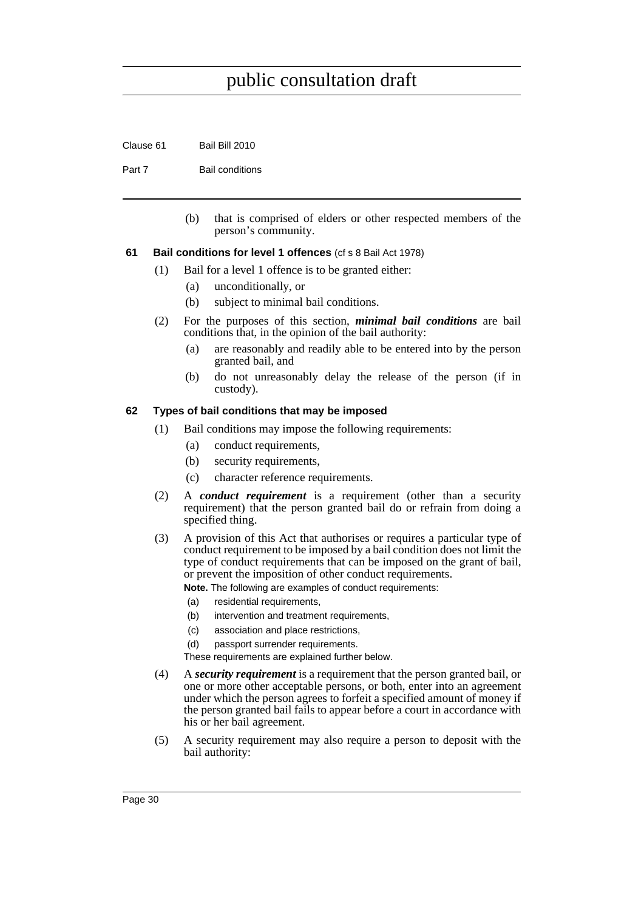Clause 61 Bail Bill 2010

Part 7 Bail conditions

(b) that is comprised of elders or other respected members of the person's community.

#### <span id="page-35-0"></span>**61 Bail conditions for level 1 offences** (cf s 8 Bail Act 1978)

- (1) Bail for a level 1 offence is to be granted either:
	- (a) unconditionally, or
	- (b) subject to minimal bail conditions.
- (2) For the purposes of this section, *minimal bail conditions* are bail conditions that, in the opinion of the bail authority:
	- (a) are reasonably and readily able to be entered into by the person granted bail, and
	- (b) do not unreasonably delay the release of the person (if in custody).

#### <span id="page-35-1"></span>**62 Types of bail conditions that may be imposed**

- (1) Bail conditions may impose the following requirements:
	- (a) conduct requirements,
	- (b) security requirements,
	- (c) character reference requirements.
- (2) A *conduct requirement* is a requirement (other than a security requirement) that the person granted bail do or refrain from doing a specified thing.
- (3) A provision of this Act that authorises or requires a particular type of conduct requirement to be imposed by a bail condition does not limit the type of conduct requirements that can be imposed on the grant of bail, or prevent the imposition of other conduct requirements.
	- **Note.** The following are examples of conduct requirements:
	- (a) residential requirements,
	- (b) intervention and treatment requirements,
	- (c) association and place restrictions,
	- (d) passport surrender requirements.

These requirements are explained further below.

- (4) A *security requirement* is a requirement that the person granted bail, or one or more other acceptable persons, or both, enter into an agreement under which the person agrees to forfeit a specified amount of money if the person granted bail fails to appear before a court in accordance with his or her bail agreement.
- (5) A security requirement may also require a person to deposit with the bail authority: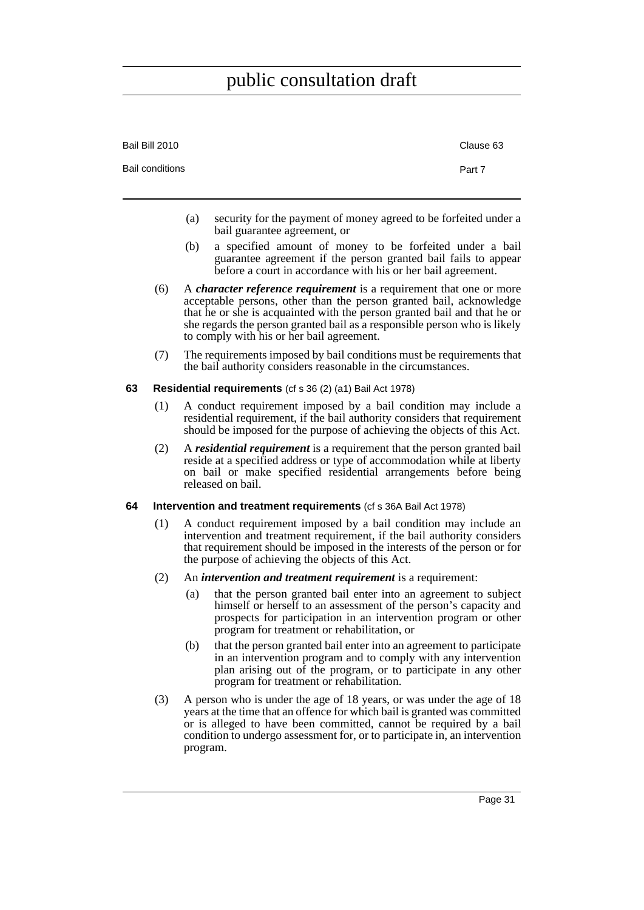| Bail Bill 2010         | Clause 63 |
|------------------------|-----------|
| <b>Bail conditions</b> | Part 7    |

- (a) security for the payment of money agreed to be forfeited under a bail guarantee agreement, or
- (b) a specified amount of money to be forfeited under a bail guarantee agreement if the person granted bail fails to appear before a court in accordance with his or her bail agreement.
- (6) A *character reference requirement* is a requirement that one or more acceptable persons, other than the person granted bail, acknowledge that he or she is acquainted with the person granted bail and that he or she regards the person granted bail as a responsible person who is likely to comply with his or her bail agreement.
- (7) The requirements imposed by bail conditions must be requirements that the bail authority considers reasonable in the circumstances.
- **63 Residential requirements** (cf s 36 (2) (a1) Bail Act 1978)
	- (1) A conduct requirement imposed by a bail condition may include a residential requirement, if the bail authority considers that requirement should be imposed for the purpose of achieving the objects of this Act.
	- (2) A *residential requirement* is a requirement that the person granted bail reside at a specified address or type of accommodation while at liberty on bail or make specified residential arrangements before being released on bail.
- **64 Intervention and treatment requirements** (cf s 36A Bail Act 1978)
	- (1) A conduct requirement imposed by a bail condition may include an intervention and treatment requirement, if the bail authority considers that requirement should be imposed in the interests of the person or for the purpose of achieving the objects of this Act.
	- (2) An *intervention and treatment requirement* is a requirement:
		- (a) that the person granted bail enter into an agreement to subject himself or herself to an assessment of the person's capacity and prospects for participation in an intervention program or other program for treatment or rehabilitation, or
		- (b) that the person granted bail enter into an agreement to participate in an intervention program and to comply with any intervention plan arising out of the program, or to participate in any other program for treatment or rehabilitation.
	- (3) A person who is under the age of 18 years, or was under the age of 18 years at the time that an offence for which bail is granted was committed or is alleged to have been committed, cannot be required by a bail condition to undergo assessment for, or to participate in, an intervention program.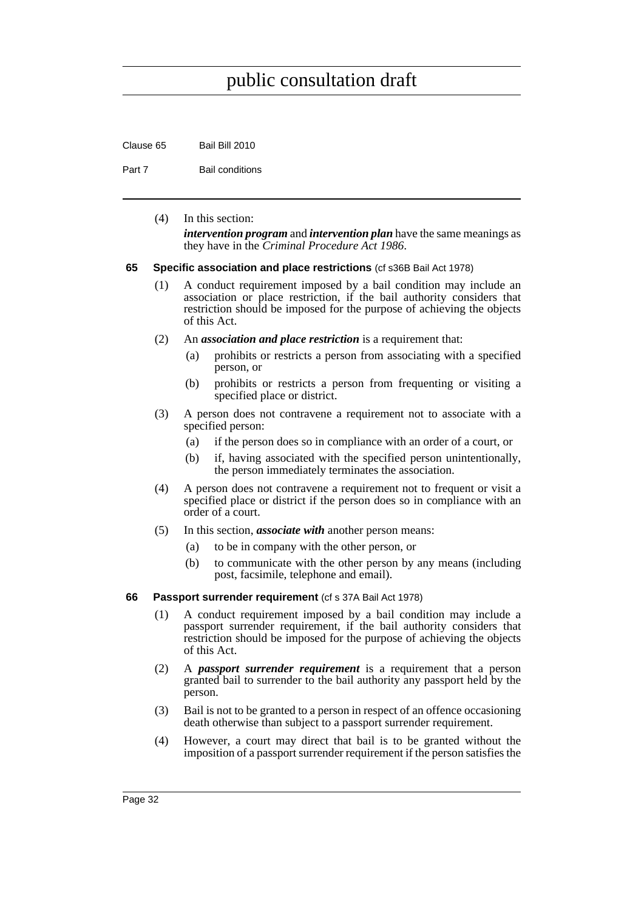Clause 65 Bail Bill 2010

Part 7 Bail conditions

(4) In this section: *intervention program* and *intervention plan* have the same meanings as they have in the *Criminal Procedure Act 1986*.

#### **65 Specific association and place restrictions** (cf s36B Bail Act 1978)

- (1) A conduct requirement imposed by a bail condition may include an association or place restriction, if the bail authority considers that restriction should be imposed for the purpose of achieving the objects of this Act.
- (2) An *association and place restriction* is a requirement that:
	- (a) prohibits or restricts a person from associating with a specified person, or
	- (b) prohibits or restricts a person from frequenting or visiting a specified place or district.
- (3) A person does not contravene a requirement not to associate with a specified person:
	- (a) if the person does so in compliance with an order of a court, or
	- (b) if, having associated with the specified person unintentionally, the person immediately terminates the association.
- (4) A person does not contravene a requirement not to frequent or visit a specified place or district if the person does so in compliance with an order of a court.
- (5) In this section, *associate with* another person means:
	- (a) to be in company with the other person, or
	- (b) to communicate with the other person by any means (including post, facsimile, telephone and email).
- **66** Passport surrender requirement (cf s 37A Bail Act 1978)
	- (1) A conduct requirement imposed by a bail condition may include a passport surrender requirement, if the bail authority considers that restriction should be imposed for the purpose of achieving the objects of this Act.
	- (2) A *passport surrender requirement* is a requirement that a person granted bail to surrender to the bail authority any passport held by the person.
	- (3) Bail is not to be granted to a person in respect of an offence occasioning death otherwise than subject to a passport surrender requirement.
	- (4) However, a court may direct that bail is to be granted without the imposition of a passport surrender requirement if the person satisfies the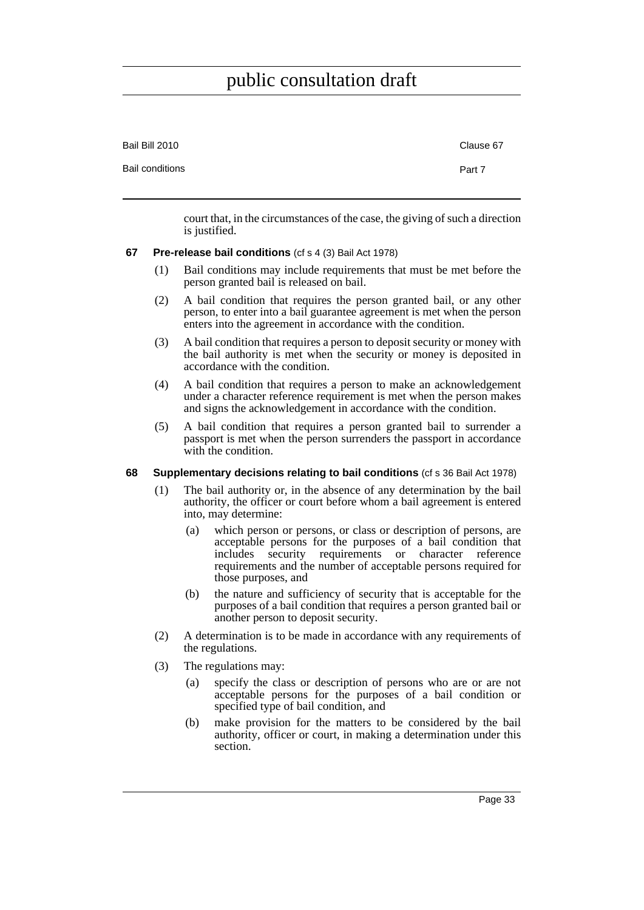| Bail Bill 2010         | Clause 67 |
|------------------------|-----------|
| <b>Bail conditions</b> | Part 7    |

court that, in the circumstances of the case, the giving of such a direction is justified.

#### **67 Pre-release bail conditions** (cf s 4 (3) Bail Act 1978)

- (1) Bail conditions may include requirements that must be met before the person granted bail is released on bail.
- (2) A bail condition that requires the person granted bail, or any other person, to enter into a bail guarantee agreement is met when the person enters into the agreement in accordance with the condition.
- (3) A bail condition that requires a person to deposit security or money with the bail authority is met when the security or money is deposited in accordance with the condition.
- (4) A bail condition that requires a person to make an acknowledgement under a character reference requirement is met when the person makes and signs the acknowledgement in accordance with the condition.
- (5) A bail condition that requires a person granted bail to surrender a passport is met when the person surrenders the passport in accordance with the condition.

### **68 Supplementary decisions relating to bail conditions** (cf s 36 Bail Act 1978)

- (1) The bail authority or, in the absence of any determination by the bail authority, the officer or court before whom a bail agreement is entered into, may determine:
	- (a) which person or persons, or class or description of persons, are acceptable persons for the purposes of a bail condition that includes security requirements or character reference requirements and the number of acceptable persons required for those purposes, and
	- (b) the nature and sufficiency of security that is acceptable for the purposes of a bail condition that requires a person granted bail or another person to deposit security.
- (2) A determination is to be made in accordance with any requirements of the regulations.
- (3) The regulations may:
	- (a) specify the class or description of persons who are or are not acceptable persons for the purposes of a bail condition or specified type of bail condition, and
	- (b) make provision for the matters to be considered by the bail authority, officer or court, in making a determination under this section.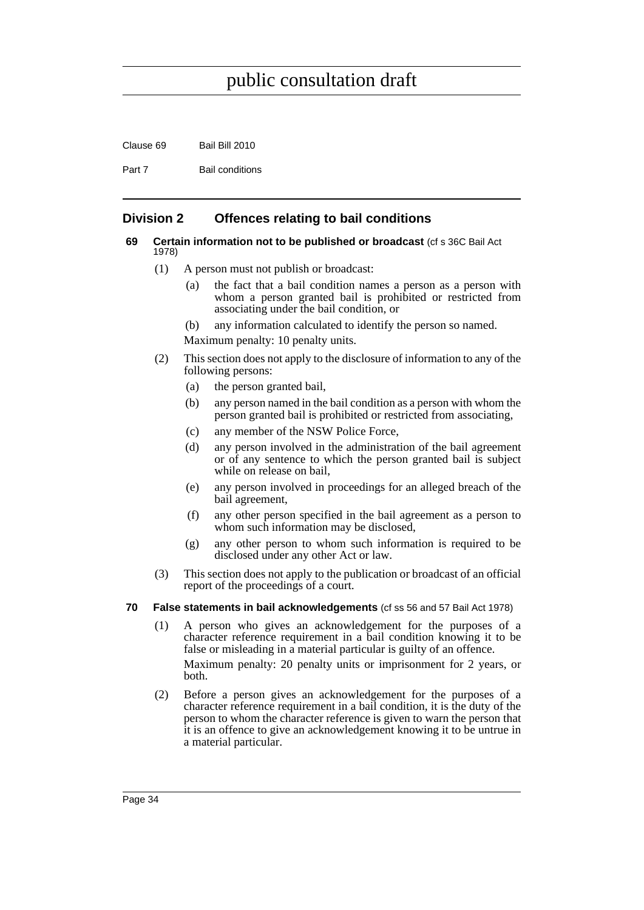Clause 69 Bail Bill 2010

Part 7 Bail conditions

## **Division 2 Offences relating to bail conditions**

#### **69 Certain information not to be published or broadcast** (cf s 36C Bail Act 1978)

- (1) A person must not publish or broadcast:
	- (a) the fact that a bail condition names a person as a person with whom a person granted bail is prohibited or restricted from associating under the bail condition, or
	- (b) any information calculated to identify the person so named.
	- Maximum penalty: 10 penalty units.
- (2) This section does not apply to the disclosure of information to any of the following persons:
	- (a) the person granted bail,
	- (b) any person named in the bail condition as a person with whom the person granted bail is prohibited or restricted from associating,
	- (c) any member of the NSW Police Force,
	- (d) any person involved in the administration of the bail agreement or of any sentence to which the person granted bail is subject while on release on bail,
	- (e) any person involved in proceedings for an alleged breach of the bail agreement,
	- (f) any other person specified in the bail agreement as a person to whom such information may be disclosed.
	- (g) any other person to whom such information is required to be disclosed under any other Act or law.
- (3) This section does not apply to the publication or broadcast of an official report of the proceedings of a court.

#### **70 False statements in bail acknowledgements** (cf ss 56 and 57 Bail Act 1978)

- (1) A person who gives an acknowledgement for the purposes of a character reference requirement in a bail condition knowing it to be false or misleading in a material particular is guilty of an offence. Maximum penalty: 20 penalty units or imprisonment for 2 years, or both.
- (2) Before a person gives an acknowledgement for the purposes of a character reference requirement in a bail condition, it is the duty of the person to whom the character reference is given to warn the person that it is an offence to give an acknowledgement knowing it to be untrue in a material particular.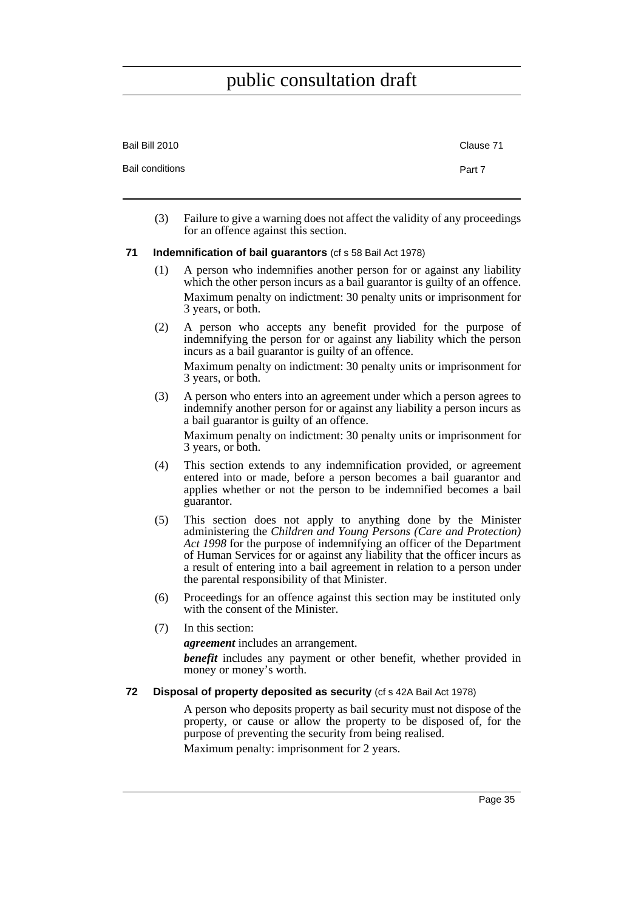| Bail Bill 2010         | Clause 71 |
|------------------------|-----------|
| <b>Bail conditions</b> | Part 7    |

(3) Failure to give a warning does not affect the validity of any proceedings for an offence against this section.

#### **71 Indemnification of bail guarantors** (cf s 58 Bail Act 1978)

- (1) A person who indemnifies another person for or against any liability which the other person incurs as a bail guarantor is guilty of an offence. Maximum penalty on indictment: 30 penalty units or imprisonment for 3 years, or both.
- (2) A person who accepts any benefit provided for the purpose of indemnifying the person for or against any liability which the person incurs as a bail guarantor is guilty of an offence.

Maximum penalty on indictment: 30 penalty units or imprisonment for 3 years, or both.

(3) A person who enters into an agreement under which a person agrees to indemnify another person for or against any liability a person incurs as a bail guarantor is guilty of an offence.

Maximum penalty on indictment: 30 penalty units or imprisonment for 3 years, or both.

- (4) This section extends to any indemnification provided, or agreement entered into or made, before a person becomes a bail guarantor and applies whether or not the person to be indemnified becomes a bail guarantor.
- (5) This section does not apply to anything done by the Minister administering the *Children and Young Persons (Care and Protection) Act 1998* for the purpose of indemnifying an officer of the Department of Human Services for or against any liability that the officer incurs as a result of entering into a bail agreement in relation to a person under the parental responsibility of that Minister.
- (6) Proceedings for an offence against this section may be instituted only with the consent of the Minister.
- (7) In this section:

*agreement* includes an arrangement.

*benefit* includes any payment or other benefit, whether provided in money or money's worth.

#### **72 Disposal of property deposited as security** (cf s 42A Bail Act 1978)

A person who deposits property as bail security must not dispose of the property, or cause or allow the property to be disposed of, for the purpose of preventing the security from being realised.

Maximum penalty: imprisonment for 2 years.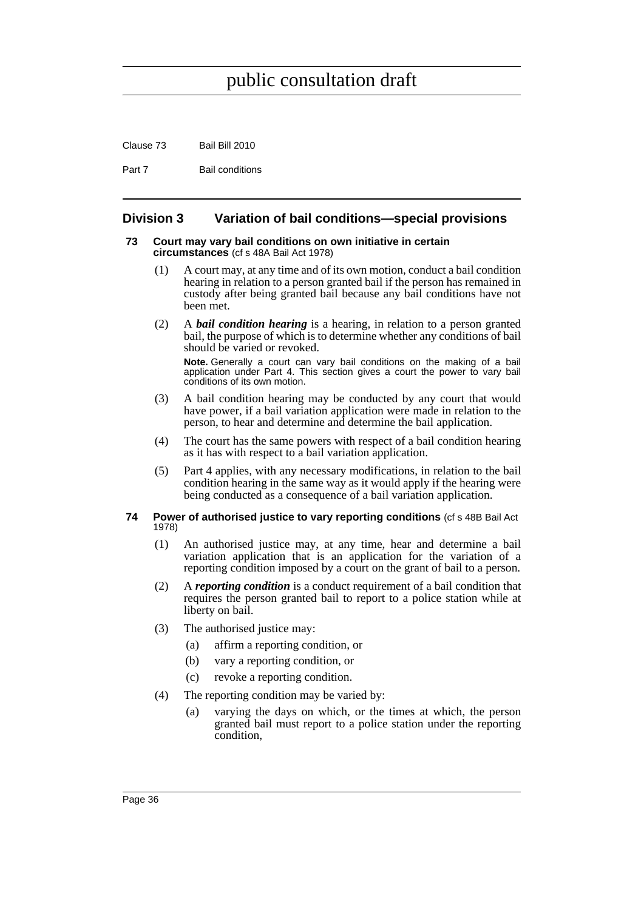Clause 73 Bail Bill 2010

Part 7 Bail conditions

## **Division 3 Variation of bail conditions—special provisions**

#### **73 Court may vary bail conditions on own initiative in certain circumstances** (cf s 48A Bail Act 1978)

- (1) A court may, at any time and of its own motion, conduct a bail condition hearing in relation to a person granted bail if the person has remained in custody after being granted bail because any bail conditions have not been met.
- (2) A *bail condition hearing* is a hearing, in relation to a person granted bail, the purpose of which is to determine whether any conditions of bail should be varied or revoked.

**Note.** Generally a court can vary bail conditions on the making of a bail application under Part 4. This section gives a court the power to vary bail conditions of its own motion.

- (3) A bail condition hearing may be conducted by any court that would have power, if a bail variation application were made in relation to the person, to hear and determine and determine the bail application.
- (4) The court has the same powers with respect of a bail condition hearing as it has with respect to a bail variation application.
- (5) Part 4 applies, with any necessary modifications, in relation to the bail condition hearing in the same way as it would apply if the hearing were being conducted as a consequence of a bail variation application.

#### **74 Power of authorised justice to vary reporting conditions** (cf s 48B Bail Act 1978)

- (1) An authorised justice may, at any time, hear and determine a bail variation application that is an application for the variation of a reporting condition imposed by a court on the grant of bail to a person.
- (2) A *reporting condition* is a conduct requirement of a bail condition that requires the person granted bail to report to a police station while at liberty on bail.
- (3) The authorised justice may:
	- (a) affirm a reporting condition, or
	- (b) vary a reporting condition, or
	- (c) revoke a reporting condition.
- (4) The reporting condition may be varied by:
	- (a) varying the days on which, or the times at which, the person granted bail must report to a police station under the reporting condition,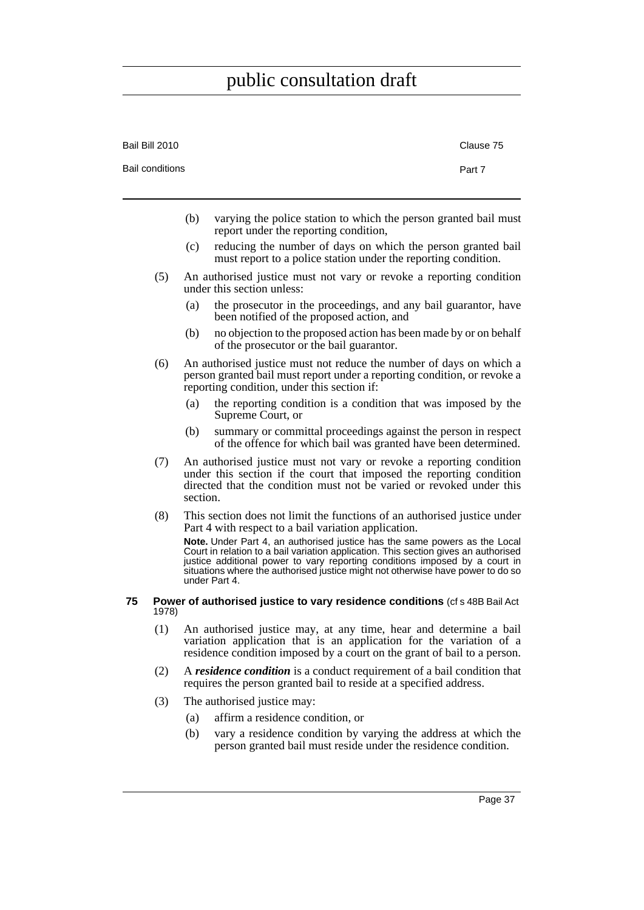J.

| Bail Bill 2010  |          | Clause 75                                                                                                                                                                                                                                                                                                                                         |  |
|-----------------|----------|---------------------------------------------------------------------------------------------------------------------------------------------------------------------------------------------------------------------------------------------------------------------------------------------------------------------------------------------------|--|
| Bail conditions |          | Part 7                                                                                                                                                                                                                                                                                                                                            |  |
|                 |          |                                                                                                                                                                                                                                                                                                                                                   |  |
|                 | (b)      | varying the police station to which the person granted bail must<br>report under the reporting condition,                                                                                                                                                                                                                                         |  |
|                 | (c)      | reducing the number of days on which the person granted bail<br>must report to a police station under the reporting condition.                                                                                                                                                                                                                    |  |
| (5)             |          | An authorised justice must not vary or revoke a reporting condition<br>under this section unless:                                                                                                                                                                                                                                                 |  |
|                 | (a)      | the prosecutor in the proceedings, and any bail guarantor, have<br>been notified of the proposed action, and                                                                                                                                                                                                                                      |  |
|                 | (b)      | no objection to the proposed action has been made by or on behalf<br>of the prosecutor or the bail guarantor.                                                                                                                                                                                                                                     |  |
| (6)             |          | An authorised justice must not reduce the number of days on which a<br>person granted bail must report under a reporting condition, or revoke a<br>reporting condition, under this section if:                                                                                                                                                    |  |
|                 | (a)      | the reporting condition is a condition that was imposed by the<br>Supreme Court, or                                                                                                                                                                                                                                                               |  |
|                 | (b)      | summary or committal proceedings against the person in respect<br>of the offence for which bail was granted have been determined.                                                                                                                                                                                                                 |  |
| (7)             | section. | An authorised justice must not vary or revoke a reporting condition<br>under this section if the court that imposed the reporting condition<br>directed that the condition must not be varied or revoked under this                                                                                                                               |  |
| (8)             |          | This section does not limit the functions of an authorised justice under<br>Part 4 with respect to a bail variation application.                                                                                                                                                                                                                  |  |
|                 |          | Note. Under Part 4, an authorised justice has the same powers as the Local<br>Court in relation to a bail variation application. This section gives an authorised<br>justice additional power to vary reporting conditions imposed by a court in situations where the authorised justice might not otherwise have power to do so<br>under Part 4. |  |
| 75<br>1978)     |          | Power of authorised justice to vary residence conditions (cf s 48B Bail Act                                                                                                                                                                                                                                                                       |  |
| (1)             |          | An authorised justice may, at any time, hear and determine a bail<br>variation application that is an application for the variation of a<br>residence condition imposed by a court on the grant of bail to a person.                                                                                                                              |  |
| (2)             |          | A residence condition is a conduct requirement of a bail condition that<br>requires the person granted bail to reside at a specified address.                                                                                                                                                                                                     |  |
| (3)             |          | The authorised justice may:                                                                                                                                                                                                                                                                                                                       |  |

- (a) affirm a residence condition, or
- (b) vary a residence condition by varying the address at which the person granted bail must reside under the residence condition.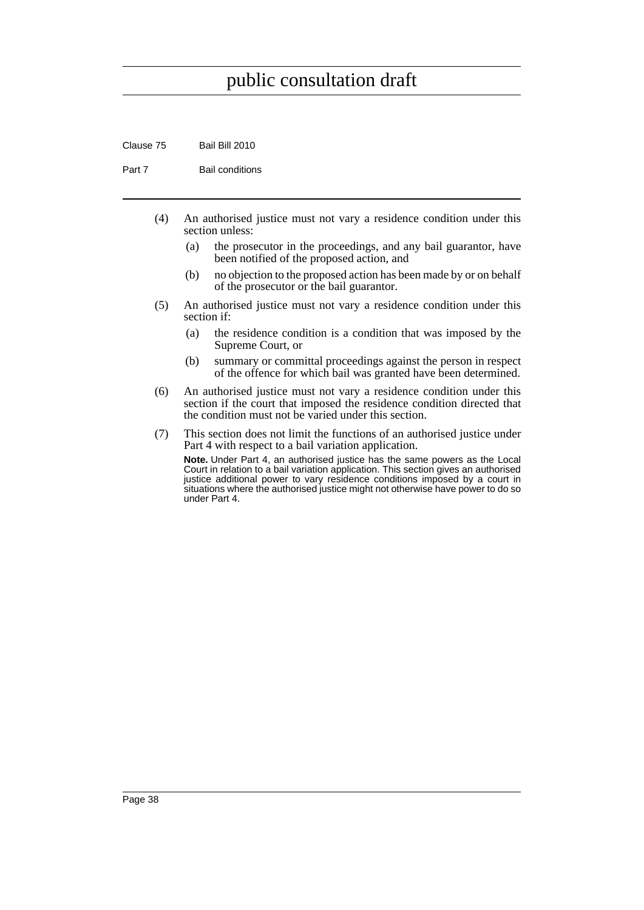Clause 75 Bail Bill 2010

Part 7 Bail conditions

- (4) An authorised justice must not vary a residence condition under this section unless:
	- (a) the prosecutor in the proceedings, and any bail guarantor, have been notified of the proposed action, and
	- (b) no objection to the proposed action has been made by or on behalf of the prosecutor or the bail guarantor.
- (5) An authorised justice must not vary a residence condition under this section if:
	- (a) the residence condition is a condition that was imposed by the Supreme Court, or
	- (b) summary or committal proceedings against the person in respect of the offence for which bail was granted have been determined.
- (6) An authorised justice must not vary a residence condition under this section if the court that imposed the residence condition directed that the condition must not be varied under this section.
- (7) This section does not limit the functions of an authorised justice under Part 4 with respect to a bail variation application. **Note.** Under Part 4, an authorised justice has the same powers as the Local

Court in relation to a bail variation application. This section gives an authorised justice additional power to vary residence conditions imposed by a court in situations where the authorised justice might not otherwise have power to do so under Part 4.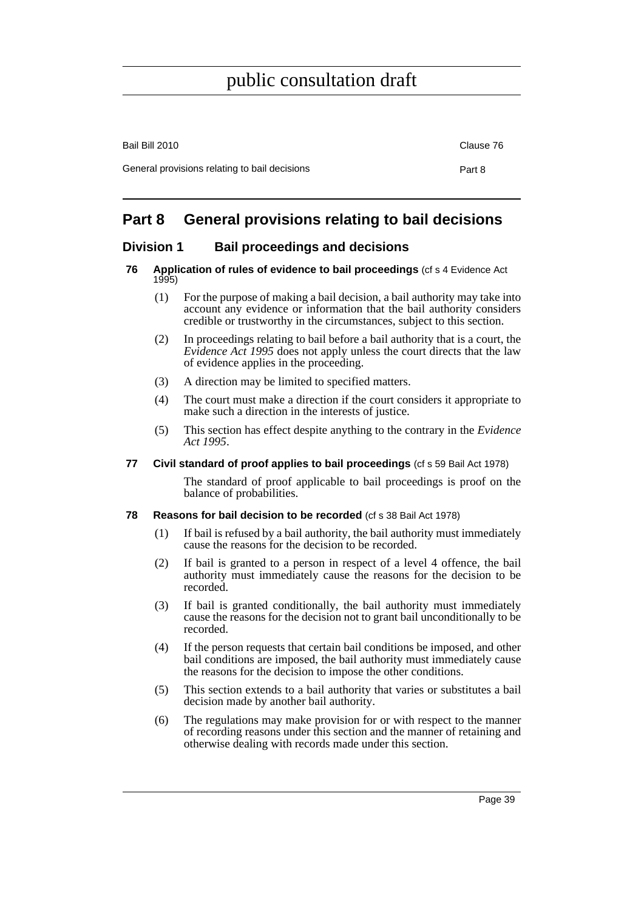| Bail Bill 2010                                | Clause 76 |
|-----------------------------------------------|-----------|
| General provisions relating to bail decisions | Part 8    |

# **Part 8 General provisions relating to bail decisions**

## **Division 1 Bail proceedings and decisions**

#### **76 Application of rules of evidence to bail proceedings** (cf s 4 Evidence Act 1995)

- (1) For the purpose of making a bail decision, a bail authority may take into account any evidence or information that the bail authority considers credible or trustworthy in the circumstances, subject to this section.
- (2) In proceedings relating to bail before a bail authority that is a court, the *Evidence Act 1995* does not apply unless the court directs that the law of evidence applies in the proceeding.
- (3) A direction may be limited to specified matters.
- (4) The court must make a direction if the court considers it appropriate to make such a direction in the interests of justice.
- (5) This section has effect despite anything to the contrary in the *Evidence Act 1995*.

### **77 Civil standard of proof applies to bail proceedings** (cf s 59 Bail Act 1978)

The standard of proof applicable to bail proceedings is proof on the balance of probabilities.

### **78 Reasons for bail decision to be recorded** (cf s 38 Bail Act 1978)

- (1) If bail is refused by a bail authority, the bail authority must immediately cause the reasons for the decision to be recorded.
- (2) If bail is granted to a person in respect of a level 4 offence, the bail authority must immediately cause the reasons for the decision to be recorded.
- (3) If bail is granted conditionally, the bail authority must immediately cause the reasons for the decision not to grant bail unconditionally to be recorded.
- (4) If the person requests that certain bail conditions be imposed, and other bail conditions are imposed, the bail authority must immediately cause the reasons for the decision to impose the other conditions.
- (5) This section extends to a bail authority that varies or substitutes a bail decision made by another bail authority.
- (6) The regulations may make provision for or with respect to the manner of recording reasons under this section and the manner of retaining and otherwise dealing with records made under this section.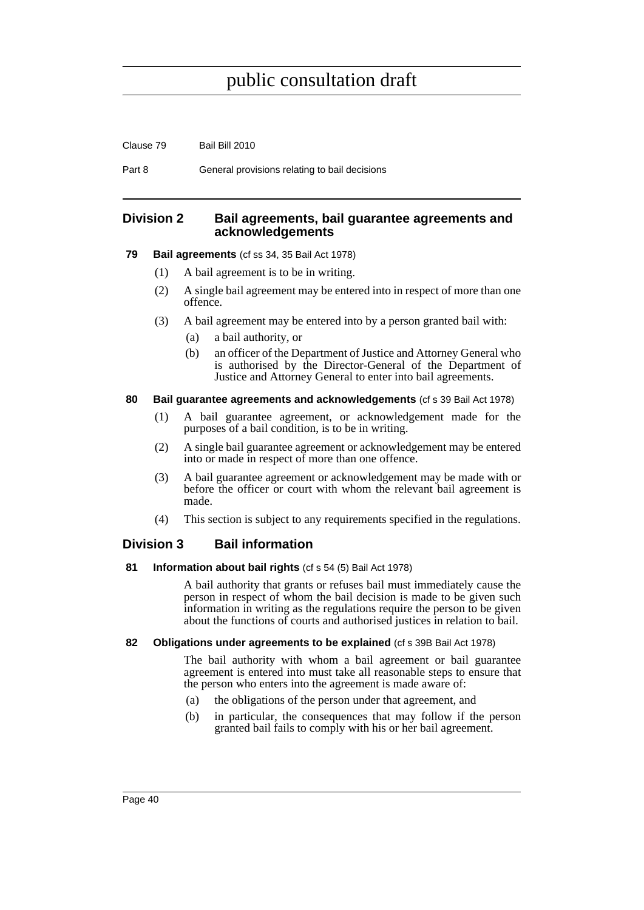Part 8 General provisions relating to bail decisions

## **Division 2 Bail agreements, bail guarantee agreements and acknowledgements**

**79 Bail agreements** (cf ss 34, 35 Bail Act 1978)

- (1) A bail agreement is to be in writing.
- (2) A single bail agreement may be entered into in respect of more than one offence.
- (3) A bail agreement may be entered into by a person granted bail with:
	- (a) a bail authority, or
	- (b) an officer of the Department of Justice and Attorney General who is authorised by the Director-General of the Department of Justice and Attorney General to enter into bail agreements.

### **80 Bail guarantee agreements and acknowledgements** (cf s 39 Bail Act 1978)

- (1) A bail guarantee agreement, or acknowledgement made for the purposes of a bail condition, is to be in writing.
- (2) A single bail guarantee agreement or acknowledgement may be entered into or made in respect of more than one offence.
- (3) A bail guarantee agreement or acknowledgement may be made with or before the officer or court with whom the relevant bail agreement is made.
- (4) This section is subject to any requirements specified in the regulations.

## **Division 3 Bail information**

#### **81 Information about bail rights** (cf s 54 (5) Bail Act 1978)

A bail authority that grants or refuses bail must immediately cause the person in respect of whom the bail decision is made to be given such information in writing as the regulations require the person to be given about the functions of courts and authorised justices in relation to bail.

#### **82 Obligations under agreements to be explained** (cf s 39B Bail Act 1978)

The bail authority with whom a bail agreement or bail guarantee agreement is entered into must take all reasonable steps to ensure that the person who enters into the agreement is made aware of:

- (a) the obligations of the person under that agreement, and
- (b) in particular, the consequences that may follow if the person granted bail fails to comply with his or her bail agreement.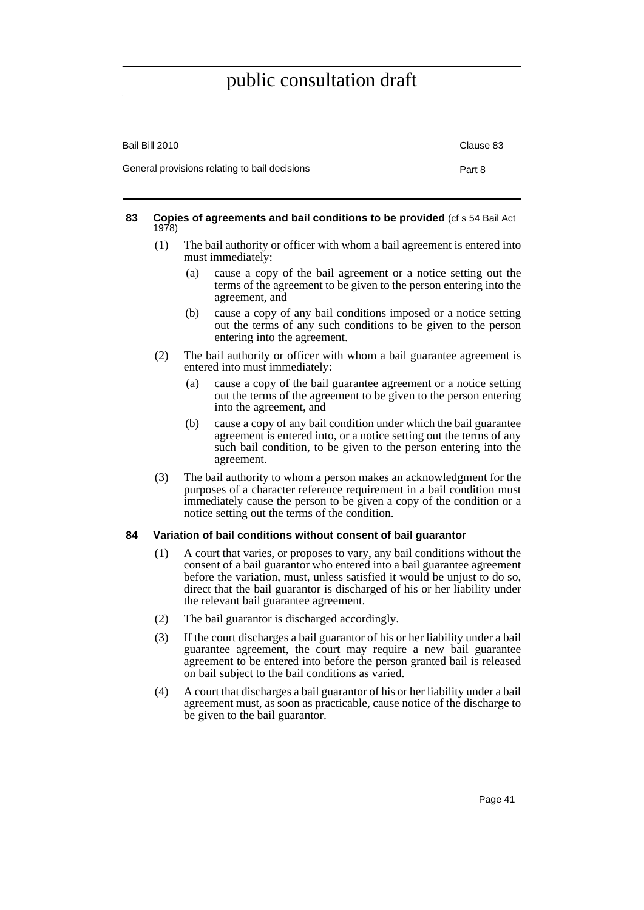| Bail Bill 2010                                | Clause 83 |
|-----------------------------------------------|-----------|
| General provisions relating to bail decisions | Part 8    |

#### **83 Copies of agreements and bail conditions to be provided** (cf s 54 Bail Act 1978)

- (1) The bail authority or officer with whom a bail agreement is entered into must immediately:
	- (a) cause a copy of the bail agreement or a notice setting out the terms of the agreement to be given to the person entering into the agreement, and
	- (b) cause a copy of any bail conditions imposed or a notice setting out the terms of any such conditions to be given to the person entering into the agreement.
- (2) The bail authority or officer with whom a bail guarantee agreement is entered into must immediately:
	- (a) cause a copy of the bail guarantee agreement or a notice setting out the terms of the agreement to be given to the person entering into the agreement, and
	- (b) cause a copy of any bail condition under which the bail guarantee agreement is entered into, or a notice setting out the terms of any such bail condition, to be given to the person entering into the agreement.
- (3) The bail authority to whom a person makes an acknowledgment for the purposes of a character reference requirement in a bail condition must immediately cause the person to be given a copy of the condition or a notice setting out the terms of the condition.

### **84 Variation of bail conditions without consent of bail guarantor**

- (1) A court that varies, or proposes to vary, any bail conditions without the consent of a bail guarantor who entered into a bail guarantee agreement before the variation, must, unless satisfied it would be unjust to do so, direct that the bail guarantor is discharged of his or her liability under the relevant bail guarantee agreement.
- (2) The bail guarantor is discharged accordingly.
- (3) If the court discharges a bail guarantor of his or her liability under a bail guarantee agreement, the court may require a new bail guarantee agreement to be entered into before the person granted bail is released on bail subject to the bail conditions as varied.
- (4) A court that discharges a bail guarantor of his or her liability under a bail agreement must, as soon as practicable, cause notice of the discharge to be given to the bail guarantor.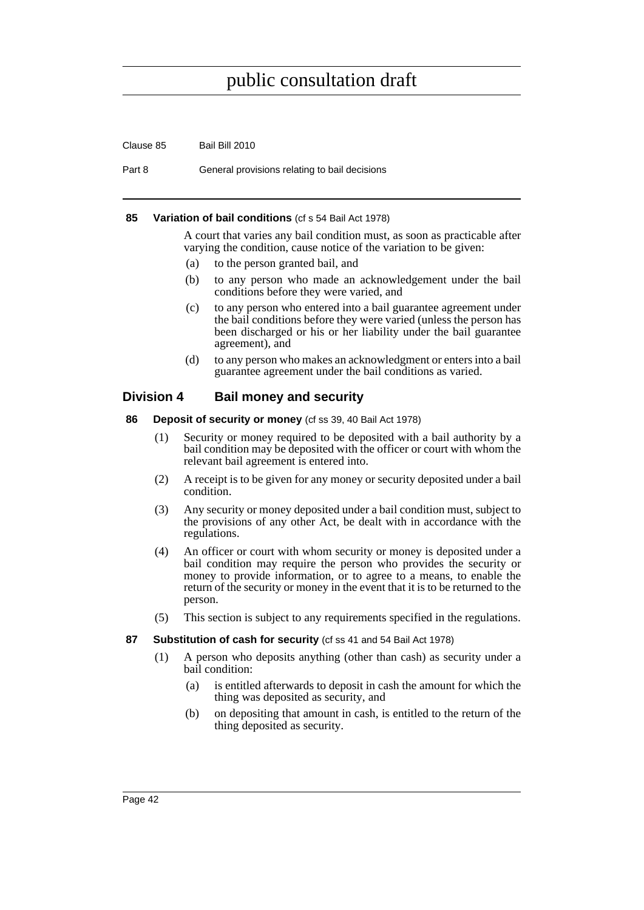| Clause 85 | Bail Bill 2010 |
|-----------|----------------|
|           |                |

Part 8 General provisions relating to bail decisions

### **85 Variation of bail conditions** (cf s 54 Bail Act 1978)

A court that varies any bail condition must, as soon as practicable after varying the condition, cause notice of the variation to be given:

- (a) to the person granted bail, and
- (b) to any person who made an acknowledgement under the bail conditions before they were varied, and
- (c) to any person who entered into a bail guarantee agreement under the bail conditions before they were varied (unless the person has been discharged or his or her liability under the bail guarantee agreement), and
- (d) to any person who makes an acknowledgment or enters into a bail guarantee agreement under the bail conditions as varied.

## **Division 4 Bail money and security**

- **86 Deposit of security or money** (cf ss 39, 40 Bail Act 1978)
	- (1) Security or money required to be deposited with a bail authority by a bail condition may be deposited with the officer or court with whom the relevant bail agreement is entered into.
	- (2) A receipt is to be given for any money or security deposited under a bail condition.
	- (3) Any security or money deposited under a bail condition must, subject to the provisions of any other Act, be dealt with in accordance with the regulations.
	- (4) An officer or court with whom security or money is deposited under a bail condition may require the person who provides the security or money to provide information, or to agree to a means, to enable the return of the security or money in the event that it is to be returned to the person.
	- (5) This section is subject to any requirements specified in the regulations.

### **87 Substitution of cash for security** (cf ss 41 and 54 Bail Act 1978)

- (1) A person who deposits anything (other than cash) as security under a bail condition:
	- (a) is entitled afterwards to deposit in cash the amount for which the thing was deposited as security, and
	- (b) on depositing that amount in cash, is entitled to the return of the thing deposited as security.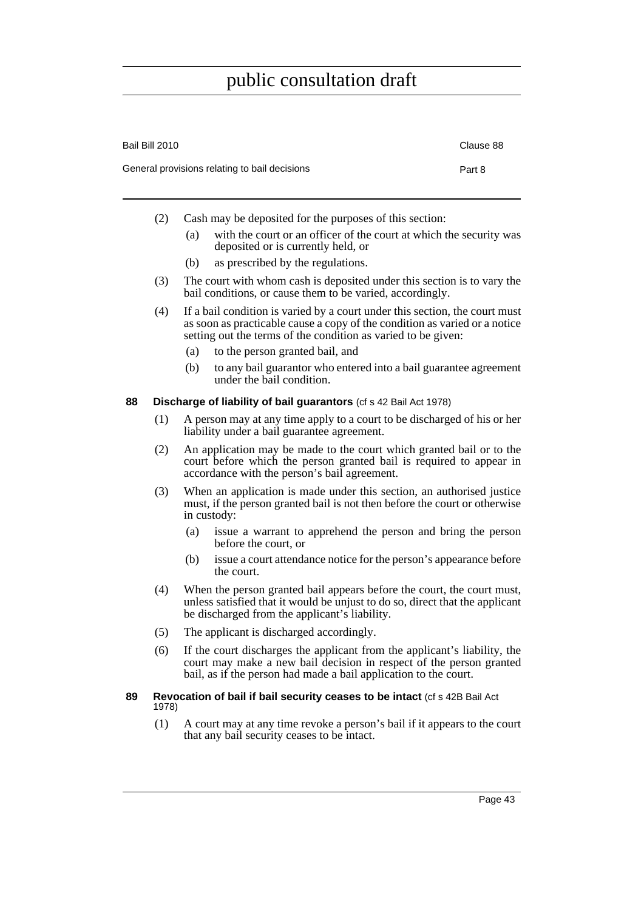| Bail Bill 2010                                | Clause 88 |
|-----------------------------------------------|-----------|
| General provisions relating to bail decisions | Part 8    |

- (2) Cash may be deposited for the purposes of this section:
	- (a) with the court or an officer of the court at which the security was deposited or is currently held, or
	- (b) as prescribed by the regulations.
- (3) The court with whom cash is deposited under this section is to vary the bail conditions, or cause them to be varied, accordingly.
- (4) If a bail condition is varied by a court under this section, the court must as soon as practicable cause a copy of the condition as varied or a notice setting out the terms of the condition as varied to be given:
	- (a) to the person granted bail, and
	- (b) to any bail guarantor who entered into a bail guarantee agreement under the bail condition.

#### **88 Discharge of liability of bail guarantors** (cf s 42 Bail Act 1978)

- (1) A person may at any time apply to a court to be discharged of his or her liability under a bail guarantee agreement.
- (2) An application may be made to the court which granted bail or to the court before which the person granted bail is required to appear in accordance with the person's bail agreement.
- (3) When an application is made under this section, an authorised justice must, if the person granted bail is not then before the court or otherwise in custody:
	- (a) issue a warrant to apprehend the person and bring the person before the court, or
	- (b) issue a court attendance notice for the person's appearance before the court.
- (4) When the person granted bail appears before the court, the court must, unless satisfied that it would be unjust to do so, direct that the applicant be discharged from the applicant's liability.
- (5) The applicant is discharged accordingly.
- (6) If the court discharges the applicant from the applicant's liability, the court may make a new bail decision in respect of the person granted bail, as if the person had made a bail application to the court.

#### **89 Revocation of bail if bail security ceases to be intact** (cf s 42B Bail Act 1978)

(1) A court may at any time revoke a person's bail if it appears to the court that any bail security ceases to be intact.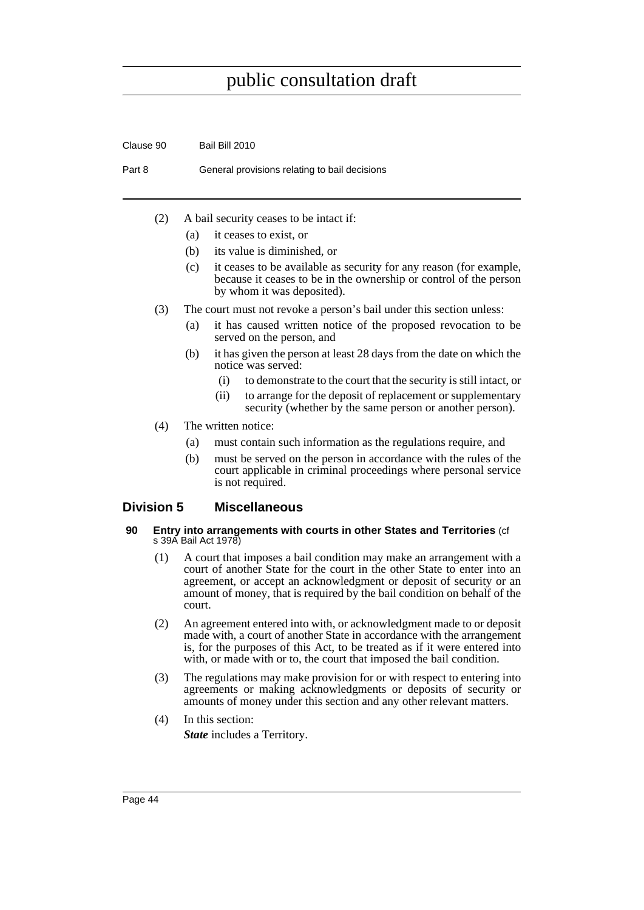Clause 90 Bail Bill 2010 Part 8 General provisions relating to bail decisions (2) A bail security ceases to be intact if: (a) it ceases to exist, or (b) its value is diminished, or (c) it ceases to be available as security for any reason (for example, because it ceases to be in the ownership or control of the person by whom it was deposited). (3) The court must not revoke a person's bail under this section unless: (a) it has caused written notice of the proposed revocation to be served on the person, and (b) it has given the person at least 28 days from the date on which the notice was served: (i) to demonstrate to the court that the security is still intact, or (ii) to arrange for the deposit of replacement or supplementary

- security (whether by the same person or another person).
- (4) The written notice:
	- (a) must contain such information as the regulations require, and
	- (b) must be served on the person in accordance with the rules of the court applicable in criminal proceedings where personal service is not required.

## **Division 5 Miscellaneous**

#### **90 Entry into arrangements with courts in other States and Territories** (cf s 39A Bail Act 1978)

- (1) A court that imposes a bail condition may make an arrangement with a court of another State for the court in the other State to enter into an agreement, or accept an acknowledgment or deposit of security or an amount of money, that is required by the bail condition on behalf of the court.
- (2) An agreement entered into with, or acknowledgment made to or deposit made with, a court of another State in accordance with the arrangement is, for the purposes of this Act, to be treated as if it were entered into with, or made with or to, the court that imposed the bail condition.
- (3) The regulations may make provision for or with respect to entering into agreements or making acknowledgments or deposits of security or amounts of money under this section and any other relevant matters.
- (4) In this section: *State* includes a Territory.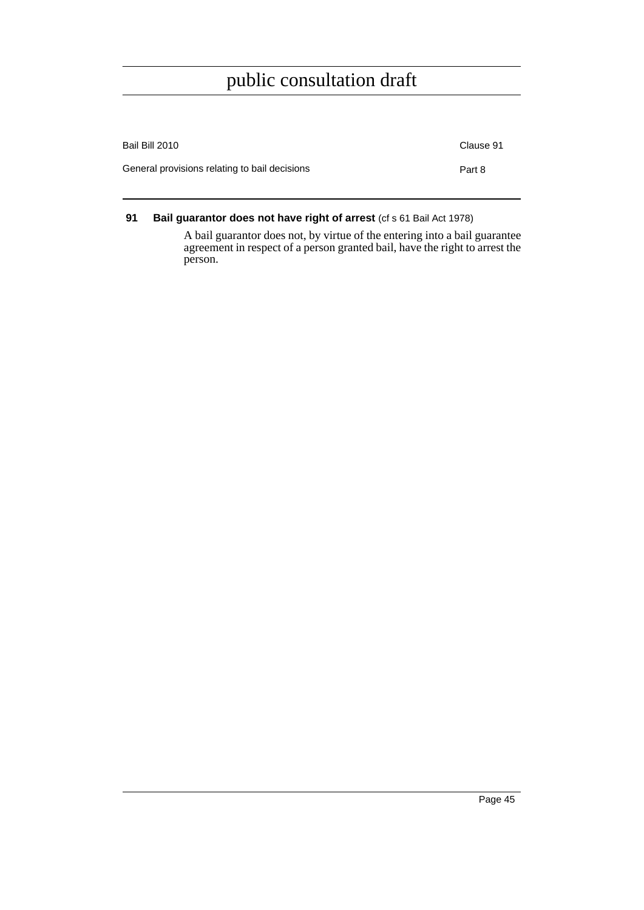| Bail Bill 2010                                | Clause 91 |
|-----------------------------------------------|-----------|
| General provisions relating to bail decisions | Part 8    |

**91 Bail guarantor does not have right of arrest (cf s 61 Bail Act 1978)** 

A bail guarantor does not, by virtue of the entering into a bail guarantee agreement in respect of a person granted bail, have the right to arrest the person.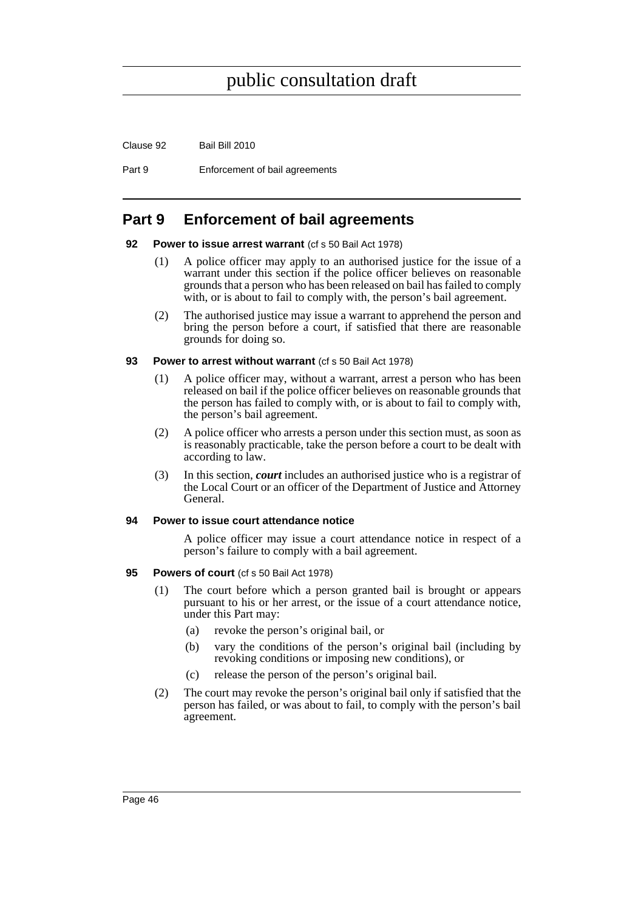Clause 92 Bail Bill 2010

Part 9 Enforcement of bail agreements

# **Part 9 Enforcement of bail agreements**

#### **92** Power to issue arrest warrant (cf s 50 Bail Act 1978)

- (1) A police officer may apply to an authorised justice for the issue of a warrant under this section if the police officer believes on reasonable grounds that a person who has been released on bail has failed to comply with, or is about to fail to comply with, the person's bail agreement.
- (2) The authorised justice may issue a warrant to apprehend the person and bring the person before a court, if satisfied that there are reasonable grounds for doing so.

#### **93** Power to arrest without warrant (cf s 50 Bail Act 1978)

- (1) A police officer may, without a warrant, arrest a person who has been released on bail if the police officer believes on reasonable grounds that the person has failed to comply with, or is about to fail to comply with, the person's bail agreement.
- (2) A police officer who arrests a person under this section must, as soon as is reasonably practicable, take the person before a court to be dealt with according to law.
- (3) In this section, *court* includes an authorised justice who is a registrar of the Local Court or an officer of the Department of Justice and Attorney General.

#### **94 Power to issue court attendance notice**

A police officer may issue a court attendance notice in respect of a person's failure to comply with a bail agreement.

#### **95 Powers of court** (cf s 50 Bail Act 1978)

- (1) The court before which a person granted bail is brought or appears pursuant to his or her arrest, or the issue of a court attendance notice, under this Part may:
	- (a) revoke the person's original bail, or
	- (b) vary the conditions of the person's original bail (including by revoking conditions or imposing new conditions), or
	- (c) release the person of the person's original bail.
- (2) The court may revoke the person's original bail only if satisfied that the person has failed, or was about to fail, to comply with the person's bail agreement.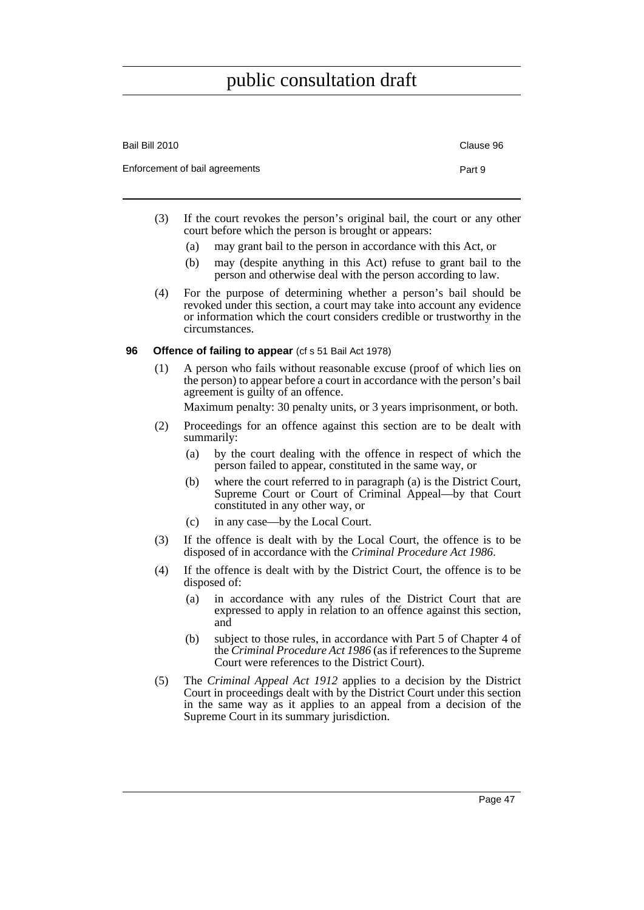| Bail Bill 2010                 | Clause 96 |
|--------------------------------|-----------|
| Enforcement of bail agreements | Part 9    |

- (3) If the court revokes the person's original bail, the court or any other court before which the person is brought or appears:
	- (a) may grant bail to the person in accordance with this Act, or
	- (b) may (despite anything in this Act) refuse to grant bail to the person and otherwise deal with the person according to law.
- (4) For the purpose of determining whether a person's bail should be revoked under this section, a court may take into account any evidence or information which the court considers credible or trustworthy in the circumstances.

### **96** Offence of failing to appear (cf s 51 Bail Act 1978)

(1) A person who fails without reasonable excuse (proof of which lies on the person) to appear before a court in accordance with the person's bail agreement is guilty of an offence.

Maximum penalty: 30 penalty units, or 3 years imprisonment, or both.

- (2) Proceedings for an offence against this section are to be dealt with summarily:
	- (a) by the court dealing with the offence in respect of which the person failed to appear, constituted in the same way, or
	- (b) where the court referred to in paragraph (a) is the District Court, Supreme Court or Court of Criminal Appeal—by that Court constituted in any other way, or
	- (c) in any case—by the Local Court.
- (3) If the offence is dealt with by the Local Court, the offence is to be disposed of in accordance with the *Criminal Procedure Act 1986*.
- (4) If the offence is dealt with by the District Court, the offence is to be disposed of:
	- (a) in accordance with any rules of the District Court that are expressed to apply in relation to an offence against this section, and
	- (b) subject to those rules, in accordance with Part 5 of Chapter 4 of the *Criminal Procedure Act 1986* (as if references to the Supreme Court were references to the District Court).
- (5) The *Criminal Appeal Act 1912* applies to a decision by the District Court in proceedings dealt with by the District Court under this section in the same way as it applies to an appeal from a decision of the Supreme Court in its summary jurisdiction.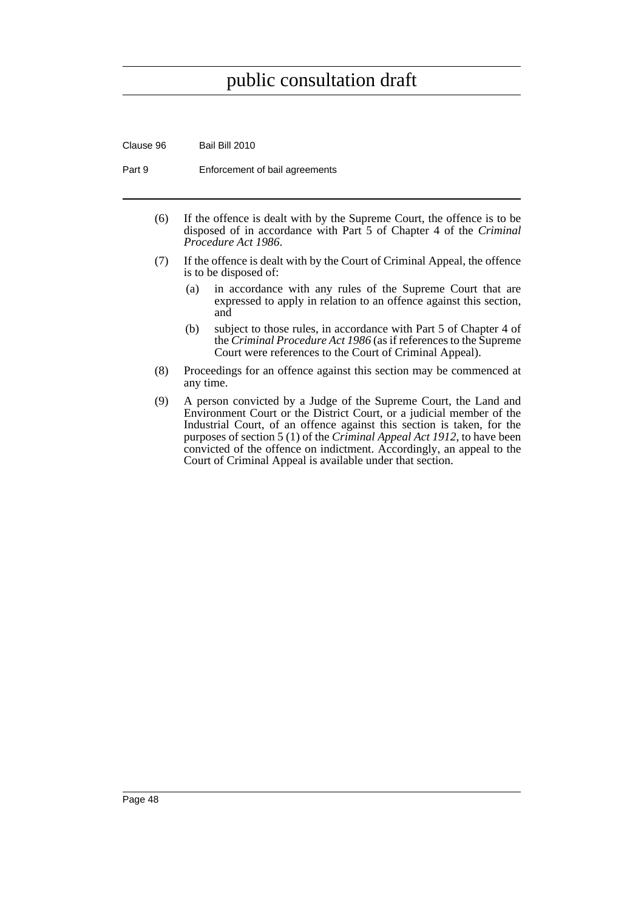Clause 96 Bail Bill 2010

Part 9 **Enforcement of bail agreements** 

- (6) If the offence is dealt with by the Supreme Court, the offence is to be disposed of in accordance with Part 5 of Chapter 4 of the *Criminal Procedure Act 1986*.
- (7) If the offence is dealt with by the Court of Criminal Appeal, the offence is to be disposed of:
	- (a) in accordance with any rules of the Supreme Court that are expressed to apply in relation to an offence against this section, and
	- (b) subject to those rules, in accordance with Part 5 of Chapter 4 of the *Criminal Procedure Act 1986* (as if references to the Supreme Court were references to the Court of Criminal Appeal).
- (8) Proceedings for an offence against this section may be commenced at any time.
- (9) A person convicted by a Judge of the Supreme Court, the Land and Environment Court or the District Court, or a judicial member of the Industrial Court, of an offence against this section is taken, for the purposes of section 5 (1) of the *Criminal Appeal Act 1912*, to have been convicted of the offence on indictment. Accordingly, an appeal to the Court of Criminal Appeal is available under that section.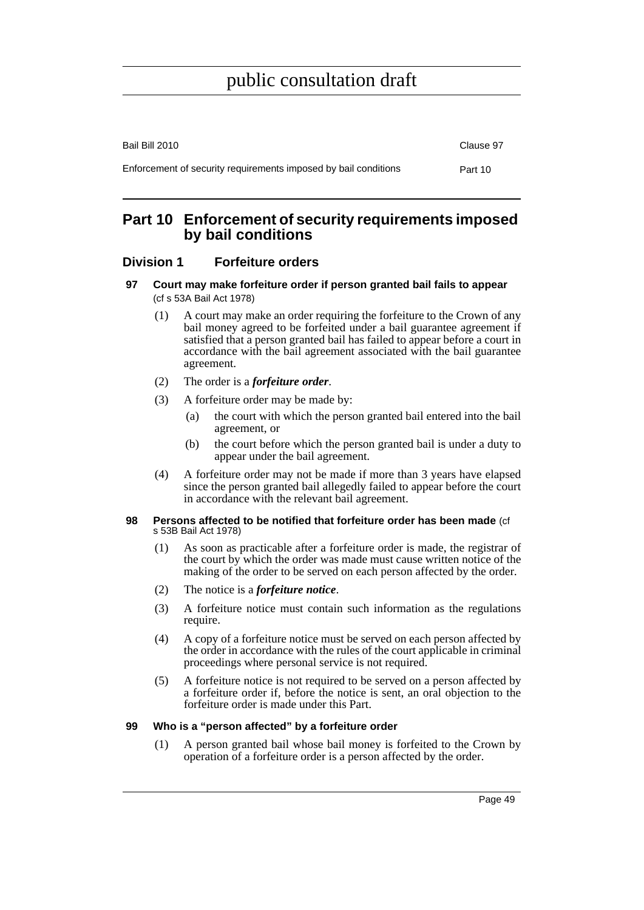| Bail Bill 2010                                                  | Clause 97 |
|-----------------------------------------------------------------|-----------|
| Enforcement of security requirements imposed by bail conditions | Part 10   |

# **Part 10 Enforcement of security requirements imposed by bail conditions**

## **Division 1 Forfeiture orders**

- **97 Court may make forfeiture order if person granted bail fails to appear**  (cf s 53A Bail Act 1978)
	- (1) A court may make an order requiring the forfeiture to the Crown of any bail money agreed to be forfeited under a bail guarantee agreement if satisfied that a person granted bail has failed to appear before a court in accordance with the bail agreement associated with the bail guarantee agreement.
	- (2) The order is a *forfeiture order*.
	- (3) A forfeiture order may be made by:
		- (a) the court with which the person granted bail entered into the bail agreement, or
		- (b) the court before which the person granted bail is under a duty to appear under the bail agreement.
	- (4) A forfeiture order may not be made if more than 3 years have elapsed since the person granted bail allegedly failed to appear before the court in accordance with the relevant bail agreement.

#### **98 Persons affected to be notified that forfeiture order has been made** (cf s 53B Bail Act 1978)

- (1) As soon as practicable after a forfeiture order is made, the registrar of the court by which the order was made must cause written notice of the making of the order to be served on each person affected by the order.
- (2) The notice is a *forfeiture notice*.
- (3) A forfeiture notice must contain such information as the regulations require.
- (4) A copy of a forfeiture notice must be served on each person affected by the order in accordance with the rules of the court applicable in criminal proceedings where personal service is not required.
- (5) A forfeiture notice is not required to be served on a person affected by a forfeiture order if, before the notice is sent, an oral objection to the forfeiture order is made under this Part.

### **99 Who is a "person affected" by a forfeiture order**

(1) A person granted bail whose bail money is forfeited to the Crown by operation of a forfeiture order is a person affected by the order.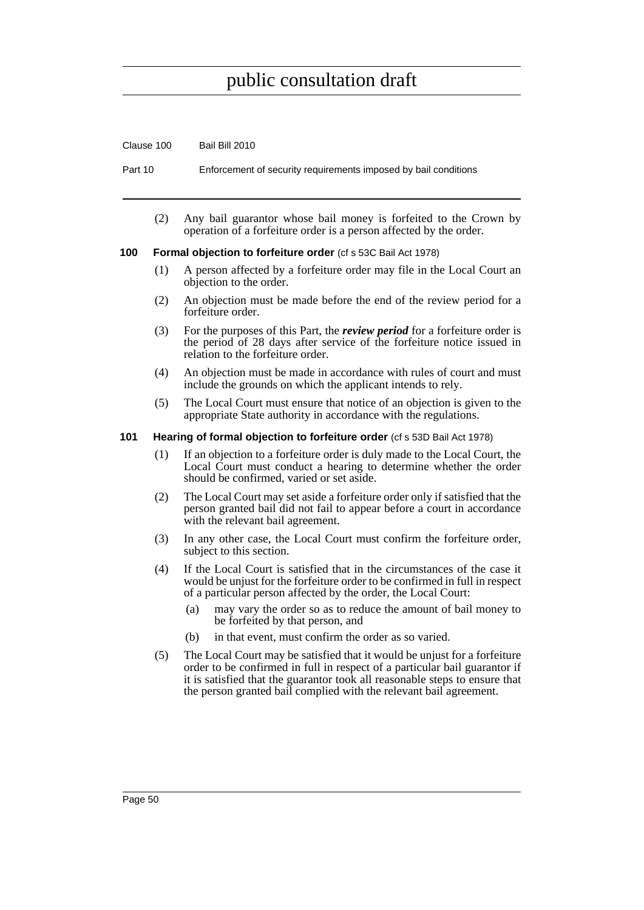| UKUJU JUU |                                                                      | <b>Dail Dill LUTU</b>                                                                                                                  |  |
|-----------|----------------------------------------------------------------------|----------------------------------------------------------------------------------------------------------------------------------------|--|
| Part 10   |                                                                      | Enforcement of security requirements imposed by bail conditions                                                                        |  |
|           | (2)                                                                  | Any bail guarantor whose bail money is forfeited to the Crown by<br>operation of a forfeiture order is a person affected by the order. |  |
| 100       | <b>Formal objection to forfeiture order</b> (cf s 53C Bail Act 1978) |                                                                                                                                        |  |
|           | (1)                                                                  | A person affected by a forfeiture order may file in the Local Court an<br>objection to the order.                                      |  |
|           | (2)                                                                  | An objection must be made before the end of the review period for a<br>forfeiture order.                                               |  |
|           | (3)                                                                  | For the purposes of this Part, the <i>review period</i> for a forfeiture order is                                                      |  |

Clause 100 Bail Bill 2010

- (3) For the purposes of this Part, the *review period* for a forfeiture order is the period of 28 days after service of the forfeiture notice issued in relation to the forfeiture order.
- (4) An objection must be made in accordance with rules of court and must include the grounds on which the applicant intends to rely.
- (5) The Local Court must ensure that notice of an objection is given to the appropriate State authority in accordance with the regulations.

### **101 Hearing of formal objection to forfeiture order** (cf s 53D Bail Act 1978)

- (1) If an objection to a forfeiture order is duly made to the Local Court, the Local Court must conduct a hearing to determine whether the order should be confirmed, varied or set aside.
- (2) The Local Court may set aside a forfeiture order only if satisfied that the person granted bail did not fail to appear before a court in accordance with the relevant bail agreement.
- (3) In any other case, the Local Court must confirm the forfeiture order, subject to this section.
- (4) If the Local Court is satisfied that in the circumstances of the case it would be unjust for the forfeiture order to be confirmed in full in respect of a particular person affected by the order, the Local Court:
	- (a) may vary the order so as to reduce the amount of bail money to be forfeited by that person, and
	- (b) in that event, must confirm the order as so varied.
- (5) The Local Court may be satisfied that it would be unjust for a forfeiture order to be confirmed in full in respect of a particular bail guarantor if it is satisfied that the guarantor took all reasonable steps to ensure that the person granted bail complied with the relevant bail agreement.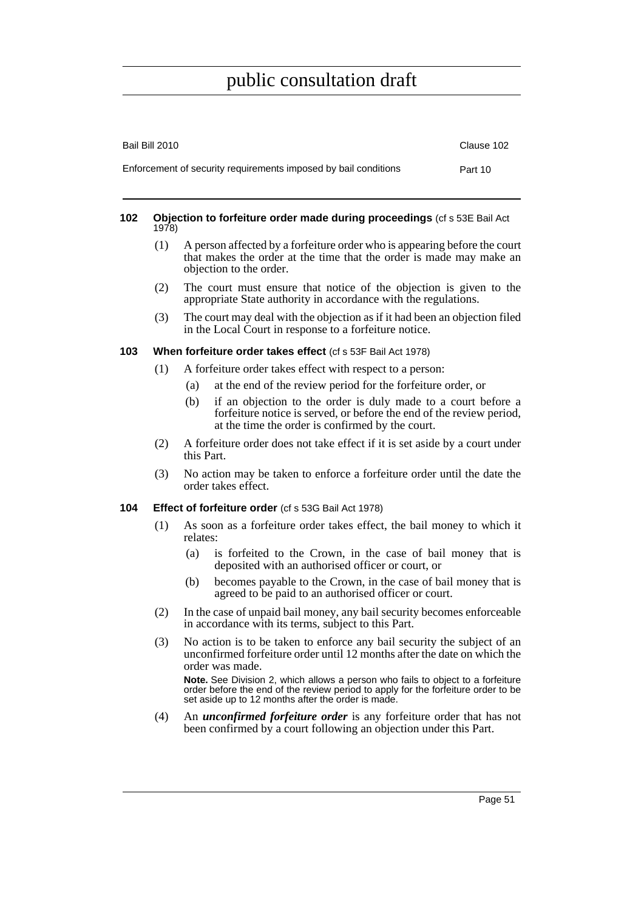| Bail Bill 2010                                                  | Clause 102 |
|-----------------------------------------------------------------|------------|
| Enforcement of security requirements imposed by bail conditions | Part 10    |

#### **102 Objection to forfeiture order made during proceedings** (cf s 53E Bail Act 1978)

- (1) A person affected by a forfeiture order who is appearing before the court that makes the order at the time that the order is made may make an objection to the order.
- (2) The court must ensure that notice of the objection is given to the appropriate State authority in accordance with the regulations.
- (3) The court may deal with the objection as if it had been an objection filed in the Local Court in response to a forfeiture notice.

### **103 When forfeiture order takes effect** (cf s 53F Bail Act 1978)

- (1) A forfeiture order takes effect with respect to a person:
	- (a) at the end of the review period for the forfeiture order, or
	- (b) if an objection to the order is duly made to a court before a forfeiture notice is served, or before the end of the review period, at the time the order is confirmed by the court.
- (2) A forfeiture order does not take effect if it is set aside by a court under this Part.
- (3) No action may be taken to enforce a forfeiture order until the date the order takes effect.

### **104 Effect of forfeiture order** (cf s 53G Bail Act 1978)

- (1) As soon as a forfeiture order takes effect, the bail money to which it relates:
	- (a) is forfeited to the Crown, in the case of bail money that is deposited with an authorised officer or court, or
	- (b) becomes payable to the Crown, in the case of bail money that is agreed to be paid to an authorised officer or court.
- (2) In the case of unpaid bail money, any bail security becomes enforceable in accordance with its terms, subject to this Part.
- (3) No action is to be taken to enforce any bail security the subject of an unconfirmed forfeiture order until 12 months after the date on which the order was made.

**Note.** See Division 2, which allows a person who fails to object to a forfeiture order before the end of the review period to apply for the forfeiture order to be set aside up to 12 months after the order is made.

(4) An *unconfirmed forfeiture order* is any forfeiture order that has not been confirmed by a court following an objection under this Part.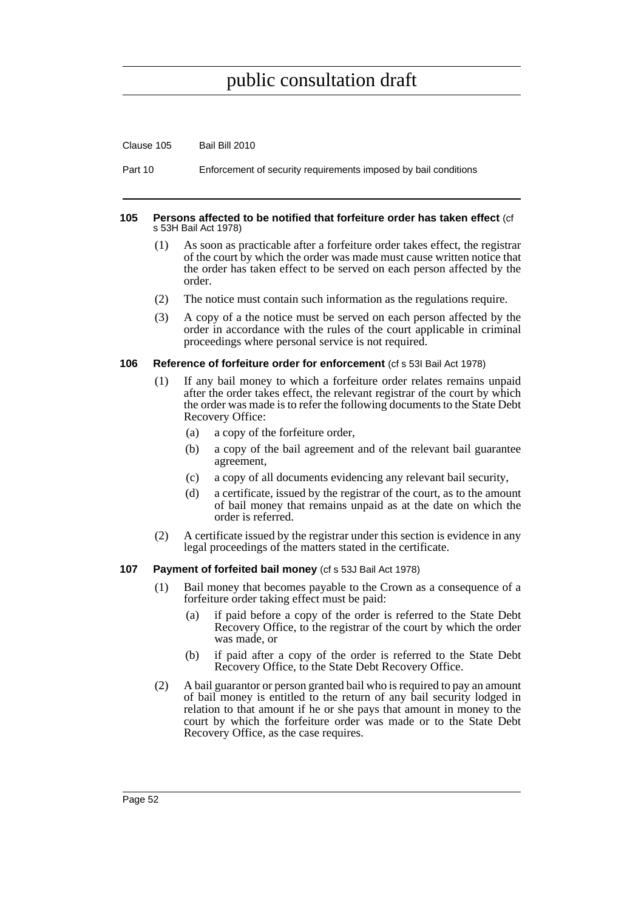Clause 105 Bail Bill 2010

Part 10 Enforcement of security requirements imposed by bail conditions

#### **105 Persons affected to be notified that forfeiture order has taken effect** (cf s 53H Bail Act 1978)

- (1) As soon as practicable after a forfeiture order takes effect, the registrar of the court by which the order was made must cause written notice that the order has taken effect to be served on each person affected by the order.
- (2) The notice must contain such information as the regulations require.
- (3) A copy of a the notice must be served on each person affected by the order in accordance with the rules of the court applicable in criminal proceedings where personal service is not required.

#### **106 Reference of forfeiture order for enforcement** (cf s 53I Bail Act 1978)

- (1) If any bail money to which a forfeiture order relates remains unpaid after the order takes effect, the relevant registrar of the court by which the order was made is to refer the following documents to the State Debt Recovery Office:
	- (a) a copy of the forfeiture order,
	- (b) a copy of the bail agreement and of the relevant bail guarantee agreement,
	- (c) a copy of all documents evidencing any relevant bail security,
	- (d) a certificate, issued by the registrar of the court, as to the amount of bail money that remains unpaid as at the date on which the order is referred.
- (2) A certificate issued by the registrar under this section is evidence in any legal proceedings of the matters stated in the certificate.

#### **107 Payment of forfeited bail money** (cf s 53J Bail Act 1978)

- (1) Bail money that becomes payable to the Crown as a consequence of a forfeiture order taking effect must be paid:
	- (a) if paid before a copy of the order is referred to the State Debt Recovery Office, to the registrar of the court by which the order was made, or
	- (b) if paid after a copy of the order is referred to the State Debt Recovery Office, to the State Debt Recovery Office.
- (2) A bail guarantor or person granted bail who is required to pay an amount of bail money is entitled to the return of any bail security lodged in relation to that amount if he or she pays that amount in money to the court by which the forfeiture order was made or to the State Debt Recovery Office, as the case requires.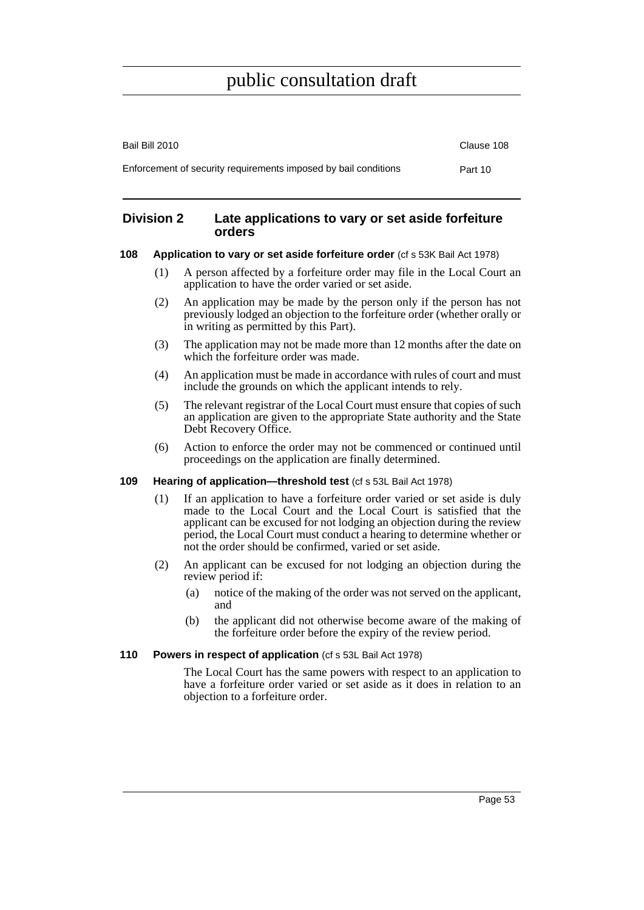| Bail Bill 2010                                                  | Clause 108 |
|-----------------------------------------------------------------|------------|
| Enforcement of security requirements imposed by bail conditions | Part 10    |

### **Division 2 Late applications to vary or set aside forfeiture orders**

#### **108 Application to vary or set aside forfeiture order** (cf s 53K Bail Act 1978)

- (1) A person affected by a forfeiture order may file in the Local Court an application to have the order varied or set aside.
- (2) An application may be made by the person only if the person has not previously lodged an objection to the forfeiture order (whether orally or in writing as permitted by this Part).
- (3) The application may not be made more than 12 months after the date on which the forfeiture order was made.
- (4) An application must be made in accordance with rules of court and must include the grounds on which the applicant intends to rely.
- (5) The relevant registrar of the Local Court must ensure that copies of such an application are given to the appropriate State authority and the State Debt Recovery Office.
- (6) Action to enforce the order may not be commenced or continued until proceedings on the application are finally determined.

### **109 Hearing of application—threshold test** (cf s 53L Bail Act 1978)

- (1) If an application to have a forfeiture order varied or set aside is duly made to the Local Court and the Local Court is satisfied that the applicant can be excused for not lodging an objection during the review period, the Local Court must conduct a hearing to determine whether or not the order should be confirmed, varied or set aside.
- (2) An applicant can be excused for not lodging an objection during the review period if:
	- (a) notice of the making of the order was not served on the applicant, and
	- (b) the applicant did not otherwise become aware of the making of the forfeiture order before the expiry of the review period.

### **110 Powers in respect of application** (cf s 53L Bail Act 1978)

The Local Court has the same powers with respect to an application to have a forfeiture order varied or set aside as it does in relation to an objection to a forfeiture order.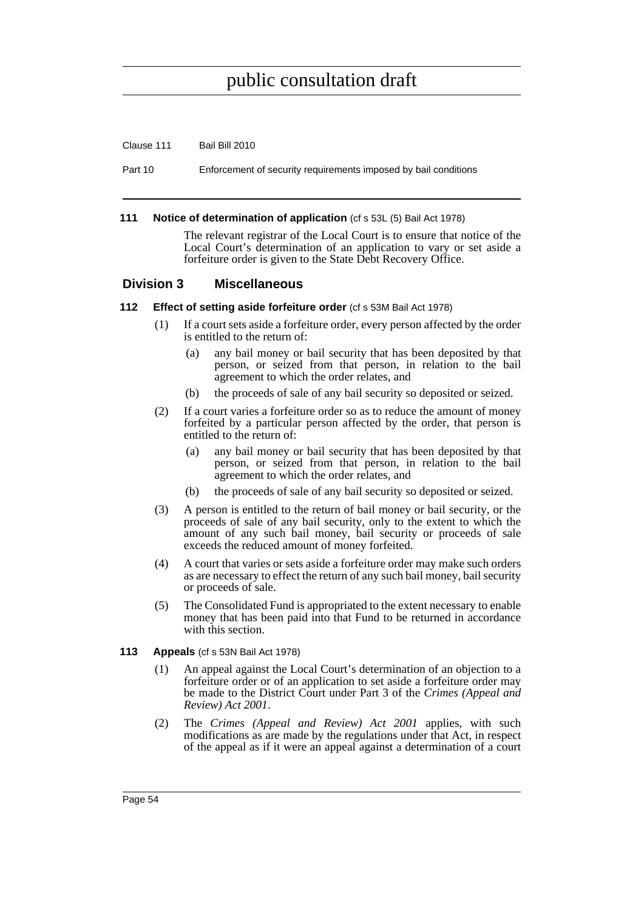#### Clause 111 Bail Bill 2010

Part 10 Enforcement of security requirements imposed by bail conditions

#### **111 Notice of determination of application** (cf s 53L (5) Bail Act 1978)

The relevant registrar of the Local Court is to ensure that notice of the Local Court's determination of an application to vary or set aside a forfeiture order is given to the State Debt Recovery Office.

### **Division 3 Miscellaneous**

### **112 Effect of setting aside forfeiture order** (cf s 53M Bail Act 1978)

- (1) If a court sets aside a forfeiture order, every person affected by the order is entitled to the return of:
	- (a) any bail money or bail security that has been deposited by that person, or seized from that person, in relation to the bail agreement to which the order relates, and
	- (b) the proceeds of sale of any bail security so deposited or seized.
- (2) If a court varies a forfeiture order so as to reduce the amount of money forfeited by a particular person affected by the order, that person is entitled to the return of:
	- (a) any bail money or bail security that has been deposited by that person, or seized from that person, in relation to the bail agreement to which the order relates, and
	- (b) the proceeds of sale of any bail security so deposited or seized.
- (3) A person is entitled to the return of bail money or bail security, or the proceeds of sale of any bail security, only to the extent to which the amount of any such bail money, bail security or proceeds of sale exceeds the reduced amount of money forfeited.
- (4) A court that varies or sets aside a forfeiture order may make such orders as are necessary to effect the return of any such bail money, bail security or proceeds of sale.
- (5) The Consolidated Fund is appropriated to the extent necessary to enable money that has been paid into that Fund to be returned in accordance with this section.

#### **113 Appeals** (cf s 53N Bail Act 1978)

- (1) An appeal against the Local Court's determination of an objection to a forfeiture order or of an application to set aside a forfeiture order may be made to the District Court under Part 3 of the *Crimes (Appeal and Review) Act 2001*.
- (2) The *Crimes (Appeal and Review) Act 2001* applies, with such modifications as are made by the regulations under that Act, in respect of the appeal as if it were an appeal against a determination of a court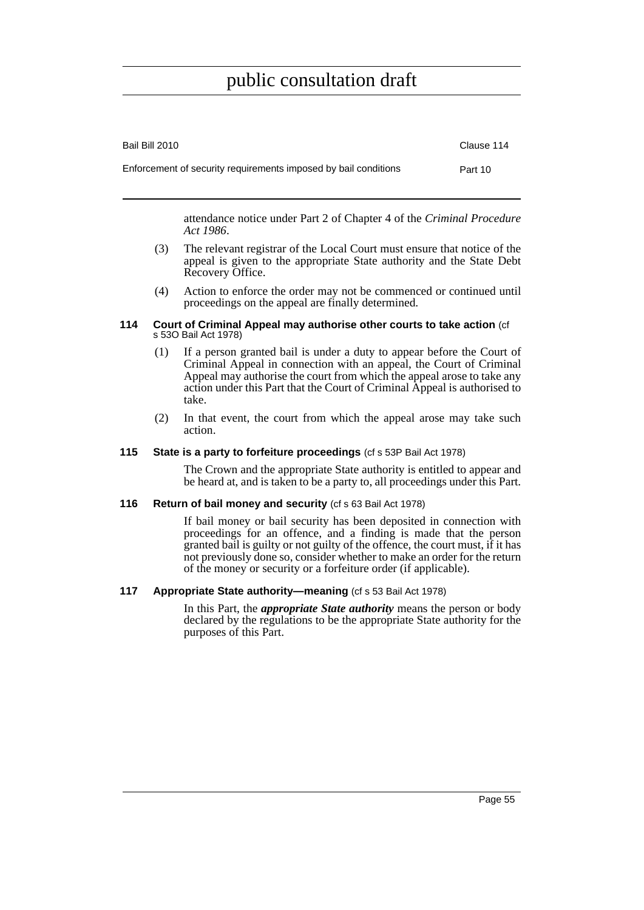| Bail Bill 2010                                                  | Clause 114 |
|-----------------------------------------------------------------|------------|
| Enforcement of security requirements imposed by bail conditions | Part 10    |

attendance notice under Part 2 of Chapter 4 of the *Criminal Procedure Act 1986*.

- (3) The relevant registrar of the Local Court must ensure that notice of the appeal is given to the appropriate State authority and the State Debt Recovery Office.
- (4) Action to enforce the order may not be commenced or continued until proceedings on the appeal are finally determined.

#### **114 Court of Criminal Appeal may authorise other courts to take action** (cf s 53O Bail Act 1978)

- (1) If a person granted bail is under a duty to appear before the Court of Criminal Appeal in connection with an appeal, the Court of Criminal Appeal may authorise the court from which the appeal arose to take any action under this Part that the Court of Criminal Appeal is authorised to take.
- (2) In that event, the court from which the appeal arose may take such action.

### **115 State is a party to forfeiture proceedings** (cf s 53P Bail Act 1978)

The Crown and the appropriate State authority is entitled to appear and be heard at, and is taken to be a party to, all proceedings under this Part.

#### **116 Return of bail money and security** (cf s 63 Bail Act 1978)

If bail money or bail security has been deposited in connection with proceedings for an offence, and a finding is made that the person granted bail is guilty or not guilty of the offence, the court must, if it has not previously done so, consider whether to make an order for the return of the money or security or a forfeiture order (if applicable).

#### **117 Appropriate State authority—meaning** (cf s 53 Bail Act 1978)

In this Part, the *appropriate State authority* means the person or body declared by the regulations to be the appropriate State authority for the purposes of this Part.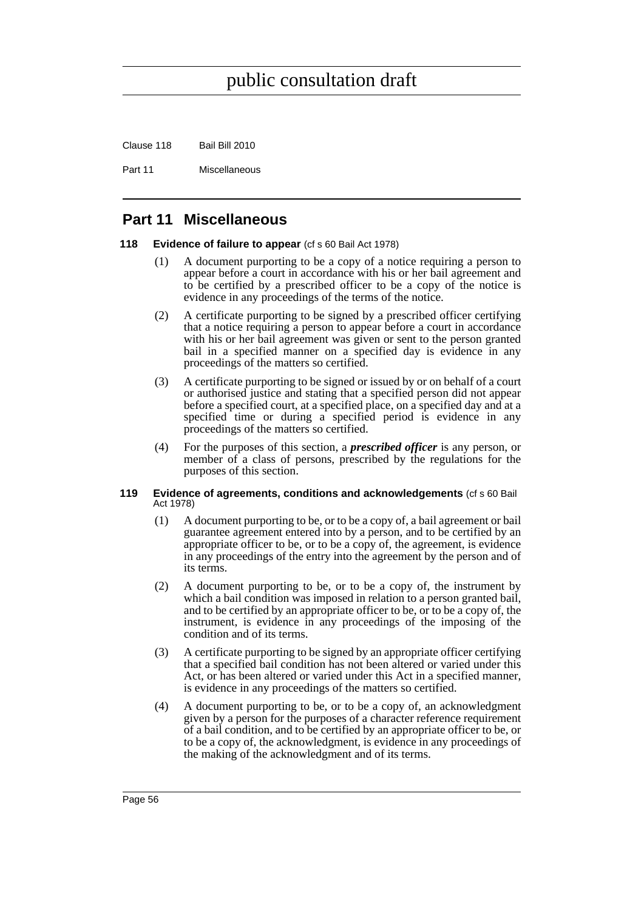Clause 118 Bail Bill 2010

Part 11 Miscellaneous

# **Part 11 Miscellaneous**

### **118 Evidence of failure to appear** (cf s 60 Bail Act 1978)

- (1) A document purporting to be a copy of a notice requiring a person to appear before a court in accordance with his or her bail agreement and to be certified by a prescribed officer to be a copy of the notice is evidence in any proceedings of the terms of the notice.
- (2) A certificate purporting to be signed by a prescribed officer certifying that a notice requiring a person to appear before a court in accordance with his or her bail agreement was given or sent to the person granted bail in a specified manner on a specified day is evidence in any proceedings of the matters so certified.
- (3) A certificate purporting to be signed or issued by or on behalf of a court or authorised justice and stating that a specified person did not appear before a specified court, at a specified place, on a specified day and at a specified time or during a specified period is evidence in any proceedings of the matters so certified.
- (4) For the purposes of this section, a *prescribed officer* is any person, or member of a class of persons, prescribed by the regulations for the purposes of this section.

#### **119 Evidence of agreements, conditions and acknowledgements** (cf s 60 Bail Act 1978)

- (1) A document purporting to be, or to be a copy of, a bail agreement or bail guarantee agreement entered into by a person, and to be certified by an appropriate officer to be, or to be a copy of, the agreement, is evidence in any proceedings of the entry into the agreement by the person and of its terms.
- (2) A document purporting to be, or to be a copy of, the instrument by which a bail condition was imposed in relation to a person granted bail, and to be certified by an appropriate officer to be, or to be a copy of, the instrument, is evidence in any proceedings of the imposing of the condition and of its terms.
- (3) A certificate purporting to be signed by an appropriate officer certifying that a specified bail condition has not been altered or varied under this Act, or has been altered or varied under this Act in a specified manner, is evidence in any proceedings of the matters so certified.
- (4) A document purporting to be, or to be a copy of, an acknowledgment given by a person for the purposes of a character reference requirement of a bail condition, and to be certified by an appropriate officer to be, or to be a copy of, the acknowledgment, is evidence in any proceedings of the making of the acknowledgment and of its terms.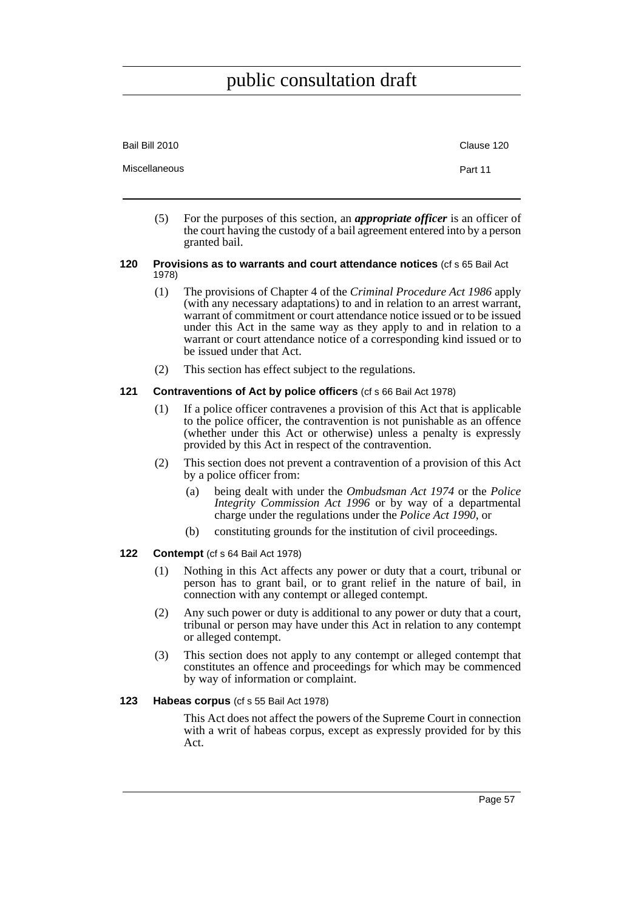| Bail Bill 2010 | Clause 120 |
|----------------|------------|
| Miscellaneous  | Part 11    |
|                |            |

(5) For the purposes of this section, an *appropriate officer* is an officer of the court having the custody of a bail agreement entered into by a person granted bail.

#### **120 Provisions as to warrants and court attendance notices** (cf s 65 Bail Act 1978)

- (1) The provisions of Chapter 4 of the *Criminal Procedure Act 1986* apply (with any necessary adaptations) to and in relation to an arrest warrant, warrant of commitment or court attendance notice issued or to be issued under this Act in the same way as they apply to and in relation to a warrant or court attendance notice of a corresponding kind issued or to be issued under that Act.
- (2) This section has effect subject to the regulations.

### **121 Contraventions of Act by police officers** (cf s 66 Bail Act 1978)

- (1) If a police officer contravenes a provision of this Act that is applicable to the police officer, the contravention is not punishable as an offence (whether under this Act or otherwise) unless a penalty is expressly provided by this Act in respect of the contravention.
- (2) This section does not prevent a contravention of a provision of this Act by a police officer from:
	- (a) being dealt with under the *Ombudsman Act 1974* or the *Police Integrity Commission Act 1996* or by way of a departmental charge under the regulations under the *Police Act 1990*, or
	- (b) constituting grounds for the institution of civil proceedings.

#### **122 Contempt** (cf s 64 Bail Act 1978)

- (1) Nothing in this Act affects any power or duty that a court, tribunal or person has to grant bail, or to grant relief in the nature of bail, in connection with any contempt or alleged contempt.
- (2) Any such power or duty is additional to any power or duty that a court, tribunal or person may have under this Act in relation to any contempt or alleged contempt.
- (3) This section does not apply to any contempt or alleged contempt that constitutes an offence and proceedings for which may be commenced by way of information or complaint.

### **123 Habeas corpus** (cf s 55 Bail Act 1978)

This Act does not affect the powers of the Supreme Court in connection with a writ of habeas corpus, except as expressly provided for by this Act.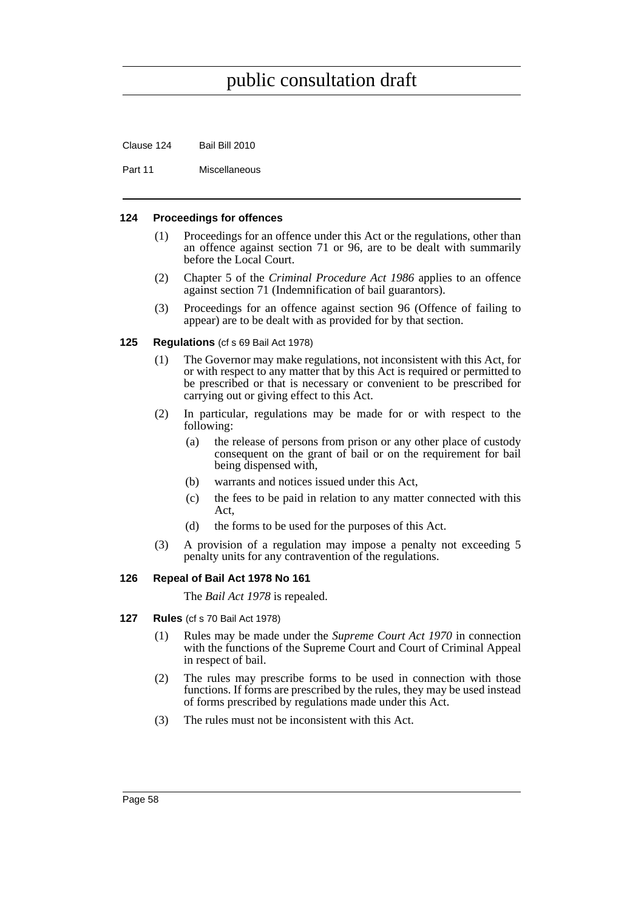Clause 124 Bail Bill 2010

Part 11 Miscellaneous

#### **124 Proceedings for offences**

- (1) Proceedings for an offence under this Act or the regulations, other than an offence against section 71 or 96, are to be dealt with summarily before the Local Court.
- (2) Chapter 5 of the *Criminal Procedure Act 1986* applies to an offence against section 71 (Indemnification of bail guarantors).
- (3) Proceedings for an offence against section 96 (Offence of failing to appear) are to be dealt with as provided for by that section.

#### **125 Regulations** (cf s 69 Bail Act 1978)

- (1) The Governor may make regulations, not inconsistent with this Act, for or with respect to any matter that by this Act is required or permitted to be prescribed or that is necessary or convenient to be prescribed for carrying out or giving effect to this Act.
- (2) In particular, regulations may be made for or with respect to the following:
	- (a) the release of persons from prison or any other place of custody consequent on the grant of bail or on the requirement for bail being dispensed with,
	- (b) warrants and notices issued under this Act,
	- (c) the fees to be paid in relation to any matter connected with this Act,
	- (d) the forms to be used for the purposes of this Act.
- (3) A provision of a regulation may impose a penalty not exceeding 5 penalty units for any contravention of the regulations.

### **126 Repeal of Bail Act 1978 No 161**

The *Bail Act 1978* is repealed.

- **127 Rules** (cf s 70 Bail Act 1978)
	- (1) Rules may be made under the *Supreme Court Act 1970* in connection with the functions of the Supreme Court and Court of Criminal Appeal in respect of bail.
	- (2) The rules may prescribe forms to be used in connection with those functions. If forms are prescribed by the rules, they may be used instead of forms prescribed by regulations made under this Act.
	- (3) The rules must not be inconsistent with this Act.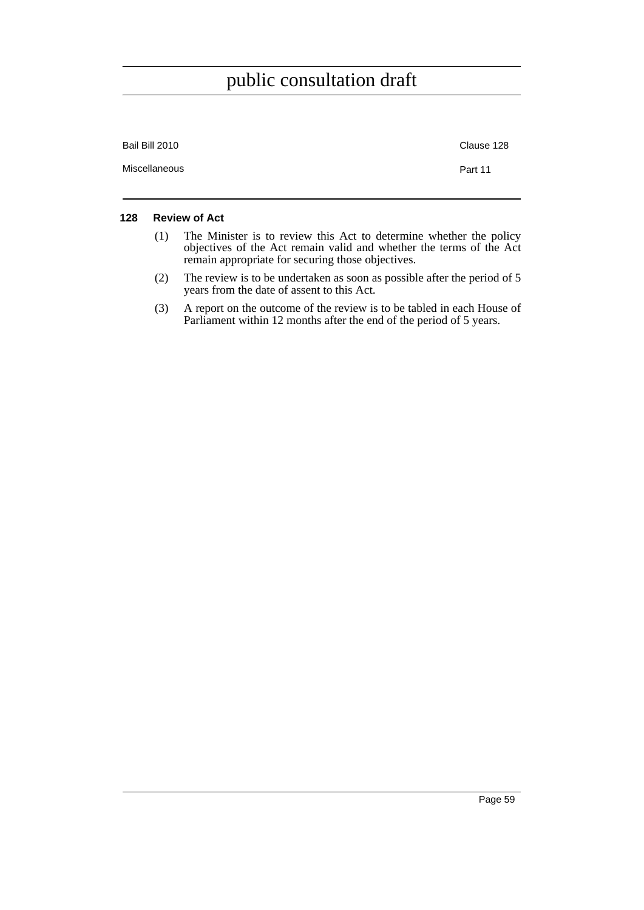| Bail Bill 2010 | Clause 128 |
|----------------|------------|
| Miscellaneous  | Part 11    |

### **128 Review of Act**

- (1) The Minister is to review this Act to determine whether the policy objectives of the Act remain valid and whether the terms of the Act remain appropriate for securing those objectives.
- (2) The review is to be undertaken as soon as possible after the period of 5 years from the date of assent to this Act.
- (3) A report on the outcome of the review is to be tabled in each House of Parliament within 12 months after the end of the period of 5 years.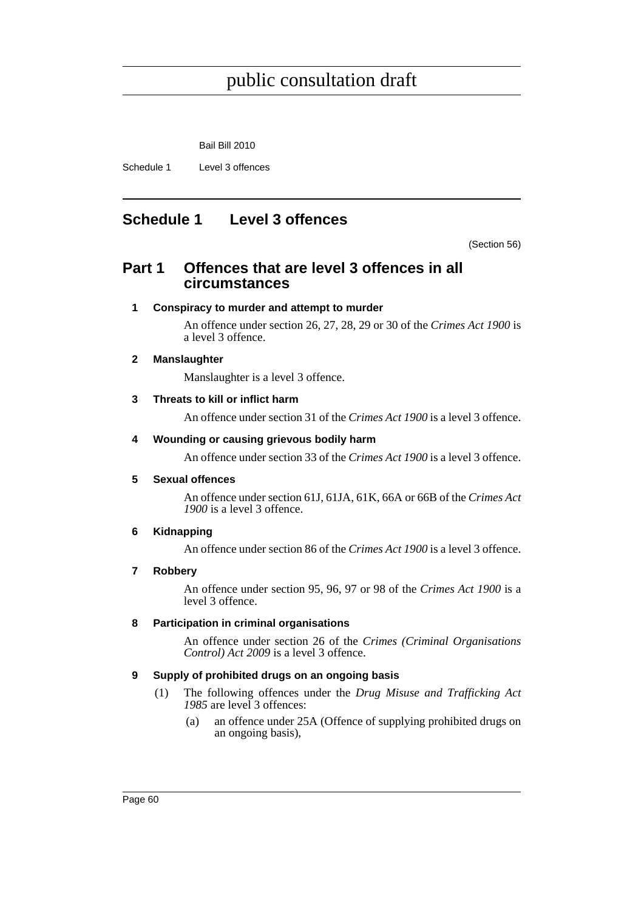Bail Bill 2010

Schedule 1 Level 3 offences

# **Schedule 1 Level 3 offences**

(Section 56)

# **Part 1 Offences that are level 3 offences in all circumstances**

## **1 Conspiracy to murder and attempt to murder**

An offence under section 26, 27, 28, 29 or 30 of the *Crimes Act 1900* is a level 3 offence.

## **2 Manslaughter**

Manslaughter is a level 3 offence.

## **3 Threats to kill or inflict harm**

An offence under section 31 of the *Crimes Act 1900* is a level 3 offence.

## **4 Wounding or causing grievous bodily harm**

An offence under section 33 of the *Crimes Act 1900* is a level 3 offence.

### **5 Sexual offences**

An offence under section 61J, 61JA, 61K, 66A or 66B of the *Crimes Act 1900* is a level 3 offence.

### **6 Kidnapping**

An offence under section 86 of the *Crimes Act 1900* is a level 3 offence.

### **7 Robbery**

An offence under section 95, 96, 97 or 98 of the *Crimes Act 1900* is a level 3 offence.

## **8 Participation in criminal organisations**

An offence under section 26 of the *Crimes (Criminal Organisations Control) Act 2009* is a level 3 offence.

### **9 Supply of prohibited drugs on an ongoing basis**

- (1) The following offences under the *Drug Misuse and Trafficking Act 1985* are level 3 offences:
	- (a) an offence under 25A (Offence of supplying prohibited drugs on an ongoing basis),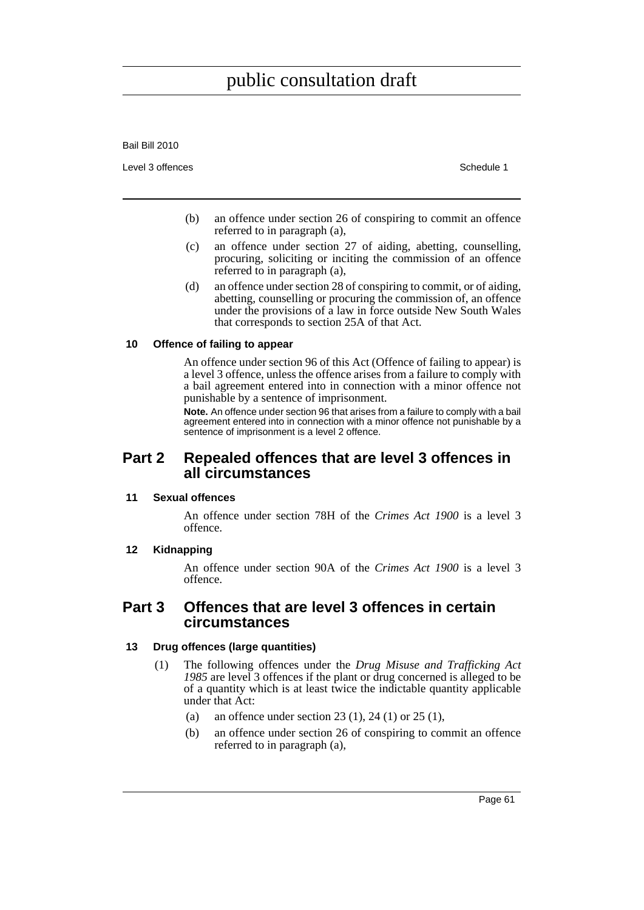Bail Bill 2010

Level 3 offences **Schedule 1** and the set of the set of the set of the set of the set of the set of the set of the set of the set of the set of the set of the set of the set of the set of the set of the set of the set of t

- (b) an offence under section 26 of conspiring to commit an offence referred to in paragraph (a),
- (c) an offence under section 27 of aiding, abetting, counselling, procuring, soliciting or inciting the commission of an offence referred to in paragraph (a),
- (d) an offence under section 28 of conspiring to commit, or of aiding, abetting, counselling or procuring the commission of, an offence under the provisions of a law in force outside New South Wales that corresponds to section 25A of that Act.

### **10 Offence of failing to appear**

An offence under section 96 of this Act (Offence of failing to appear) is a level 3 offence, unless the offence arises from a failure to comply with a bail agreement entered into in connection with a minor offence not punishable by a sentence of imprisonment.

**Note.** An offence under section 96 that arises from a failure to comply with a bail agreement entered into in connection with a minor offence not punishable by a sentence of imprisonment is a level 2 offence.

# **Part 2 Repealed offences that are level 3 offences in all circumstances**

#### **11 Sexual offences**

An offence under section 78H of the *Crimes Act 1900* is a level 3 offence.

### **12 Kidnapping**

An offence under section 90A of the *Crimes Act 1900* is a level 3 offence.

# **Part 3 Offences that are level 3 offences in certain circumstances**

### **13 Drug offences (large quantities)**

- (1) The following offences under the *Drug Misuse and Trafficking Act 1985* are level 3 offences if the plant or drug concerned is alleged to be of a quantity which is at least twice the indictable quantity applicable under that Act:
	- (a) an offence under section 23 (1), 24 (1) or 25 (1),
	- (b) an offence under section 26 of conspiring to commit an offence referred to in paragraph (a),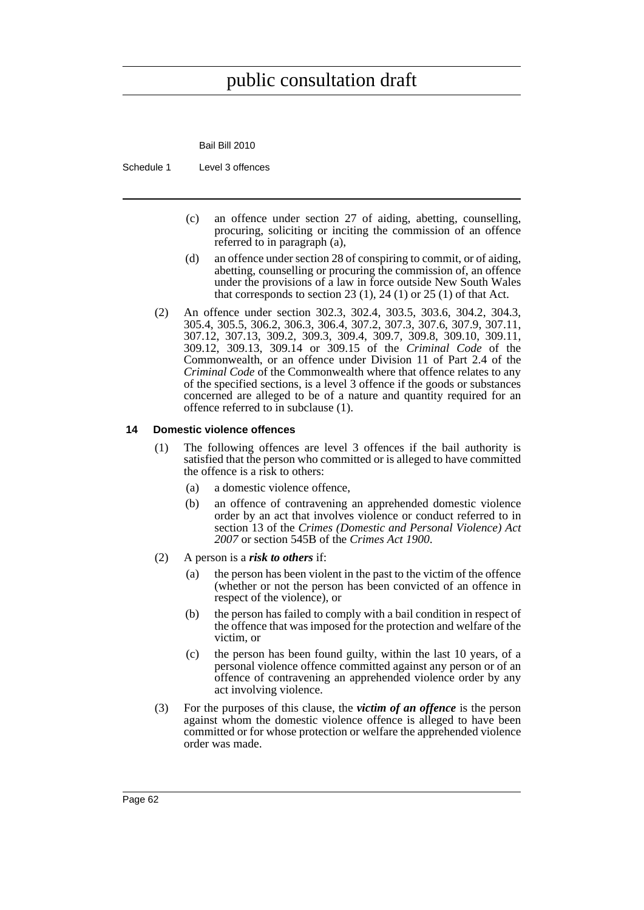Bail Bill 2010

Schedule 1 Level 3 offences

- (c) an offence under section 27 of aiding, abetting, counselling, procuring, soliciting or inciting the commission of an offence referred to in paragraph (a),
- (d) an offence under section 28 of conspiring to commit, or of aiding, abetting, counselling or procuring the commission of, an offence under the provisions of a law in force outside New South Wales that corresponds to section  $23(1)$ ,  $24(1)$  or  $25(1)$  of that Act.
- (2) An offence under section 302.3, 302.4, 303.5, 303.6, 304.2, 304.3, 305.4, 305.5, 306.2, 306.3, 306.4, 307.2, 307.3, 307.6, 307.9, 307.11, 307.12, 307.13, 309.2, 309.3, 309.4, 309.7, 309.8, 309.10, 309.11, 309.12, 309.13, 309.14 or 309.15 of the *Criminal Code* of the Commonwealth, or an offence under Division 11 of Part 2.4 of the *Criminal Code* of the Commonwealth where that offence relates to any of the specified sections, is a level 3 offence if the goods or substances concerned are alleged to be of a nature and quantity required for an offence referred to in subclause (1).

#### **14 Domestic violence offences**

- (1) The following offences are level 3 offences if the bail authority is satisfied that the person who committed or is alleged to have committed the offence is a risk to others:
	- (a) a domestic violence offence,
	- (b) an offence of contravening an apprehended domestic violence order by an act that involves violence or conduct referred to in section 13 of the *Crimes (Domestic and Personal Violence) Act 2007* or section 545B of the *Crimes Act 1900*.
- (2) A person is a *risk to others* if:
	- (a) the person has been violent in the past to the victim of the offence (whether or not the person has been convicted of an offence in respect of the violence), or
	- (b) the person has failed to comply with a bail condition in respect of the offence that was imposed for the protection and welfare of the victim, or
	- (c) the person has been found guilty, within the last 10 years, of a personal violence offence committed against any person or of an offence of contravening an apprehended violence order by any act involving violence.
- (3) For the purposes of this clause, the *victim of an offence* is the person against whom the domestic violence offence is alleged to have been committed or for whose protection or welfare the apprehended violence order was made.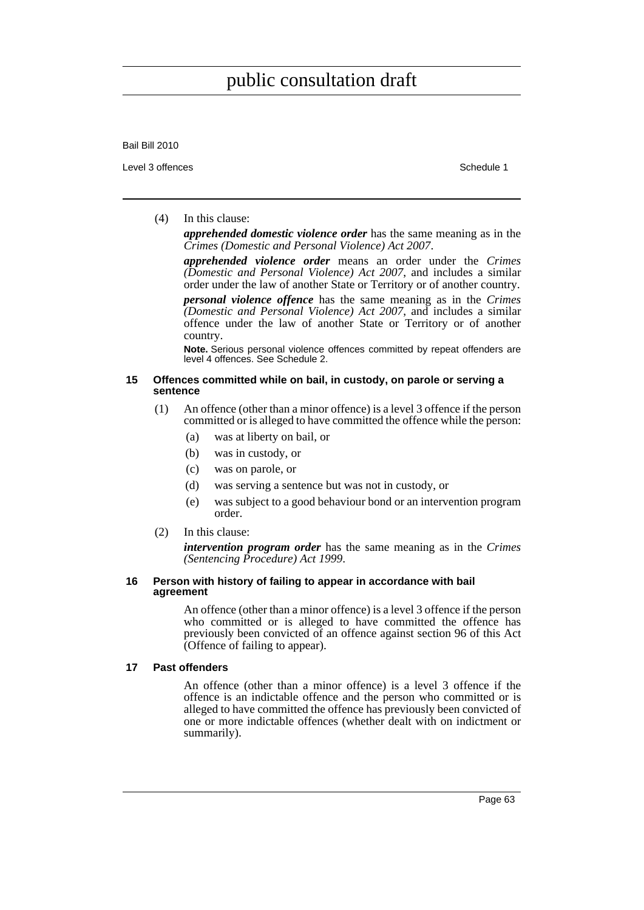#### Bail Bill 2010

Level 3 offences **Schedule 1** and the set of the set of the set of the set of the set of the set of the set of the set of the set of the set of the set of the set of the set of the set of the set of the set of the set of t

### (4) In this clause:

*apprehended domestic violence order* has the same meaning as in the *Crimes (Domestic and Personal Violence) Act 2007*.

*apprehended violence order* means an order under the *Crimes (Domestic and Personal Violence) Act 2007*, and includes a similar order under the law of another State or Territory or of another country.

*personal violence offence* has the same meaning as in the *Crimes (Domestic and Personal Violence) Act 2007*, and includes a similar offence under the law of another State or Territory or of another country.

**Note.** Serious personal violence offences committed by repeat offenders are level 4 offences. See Schedule 2.

#### **15 Offences committed while on bail, in custody, on parole or serving a sentence**

- (1) An offence (other than a minor offence) is a level 3 offence if the person committed or is alleged to have committed the offence while the person:
	- (a) was at liberty on bail, or
	- (b) was in custody, or
	- (c) was on parole, or
	- (d) was serving a sentence but was not in custody, or
	- (e) was subject to a good behaviour bond or an intervention program order.
- (2) In this clause:

*intervention program order* has the same meaning as in the *Crimes (Sentencing Procedure) Act 1999*.

#### **16 Person with history of failing to appear in accordance with bail agreement**

An offence (other than a minor offence) is a level 3 offence if the person who committed or is alleged to have committed the offence has previously been convicted of an offence against section 96 of this Act (Offence of failing to appear).

### **17 Past offenders**

An offence (other than a minor offence) is a level 3 offence if the offence is an indictable offence and the person who committed or is alleged to have committed the offence has previously been convicted of one or more indictable offences (whether dealt with on indictment or summarily).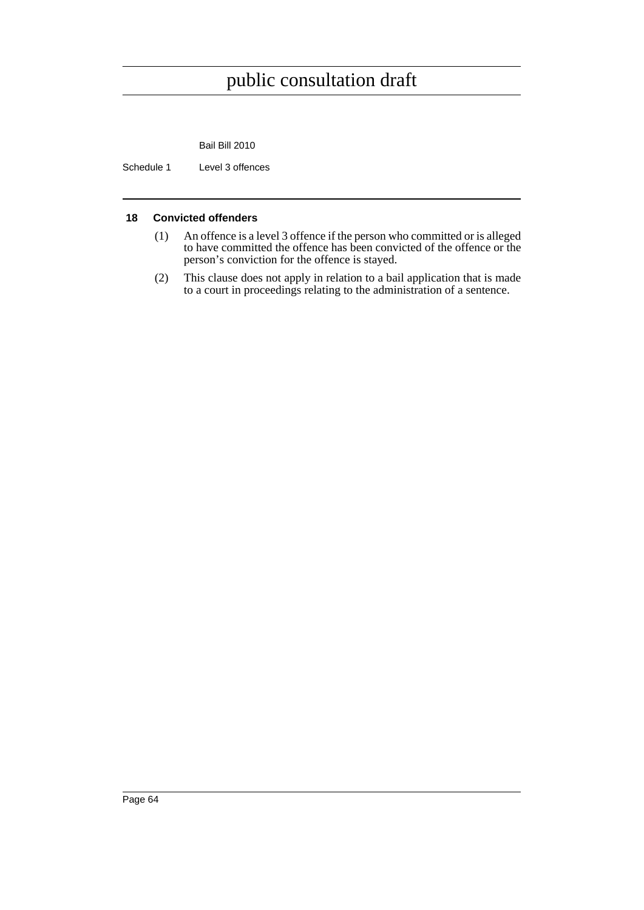Bail Bill 2010

Schedule 1 Level 3 offences

### **18 Convicted offenders**

- (1) An offence is a level 3 offence if the person who committed or is alleged to have committed the offence has been convicted of the offence or the person's conviction for the offence is stayed.
- (2) This clause does not apply in relation to a bail application that is made to a court in proceedings relating to the administration of a sentence.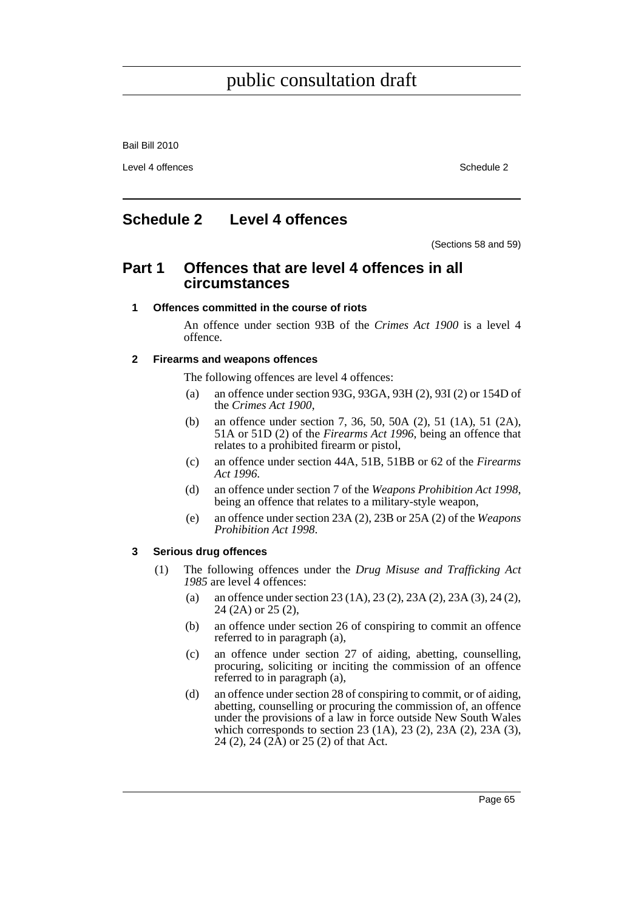Bail Bill 2010

Level 4 offences Schedule 2

# **Schedule 2 Level 4 offences**

(Sections 58 and 59)

# **Part 1 Offences that are level 4 offences in all circumstances**

### **1 Offences committed in the course of riots**

An offence under section 93B of the *Crimes Act 1900* is a level 4 offence.

### **2 Firearms and weapons offences**

The following offences are level 4 offences:

- (a) an offence under section 93G, 93GA, 93H (2), 93I (2) or 154D of the *Crimes Act 1900*,
- (b) an offence under section 7, 36, 50, 50A (2), 51 (1A), 51 (2A), 51A or 51D (2) of the *Firearms Act 1996*, being an offence that relates to a prohibited firearm or pistol,
- (c) an offence under section 44A, 51B, 51BB or 62 of the *Firearms Act 1996*.
- (d) an offence under section 7 of the *Weapons Prohibition Act 1998*, being an offence that relates to a military-style weapon,
- (e) an offence under section 23A (2), 23B or 25A (2) of the *Weapons Prohibition Act 1998*.

### **3 Serious drug offences**

- (1) The following offences under the *Drug Misuse and Trafficking Act 1985* are level 4 offences:
	- (a) an offence under section 23 (1A), 23 (2), 23A (2), 23A (3), 24 (2), 24 (2A) or 25 (2),
	- (b) an offence under section 26 of conspiring to commit an offence referred to in paragraph (a),
	- (c) an offence under section 27 of aiding, abetting, counselling, procuring, soliciting or inciting the commission of an offence referred to in paragraph (a),
	- (d) an offence under section 28 of conspiring to commit, or of aiding, abetting, counselling or procuring the commission of, an offence under the provisions of a law in force outside New South Wales which corresponds to section 23 (1A), 23 (2), 23A (2), 23A (3), 24 (2), 24 (2A) or 25 (2) of that Act.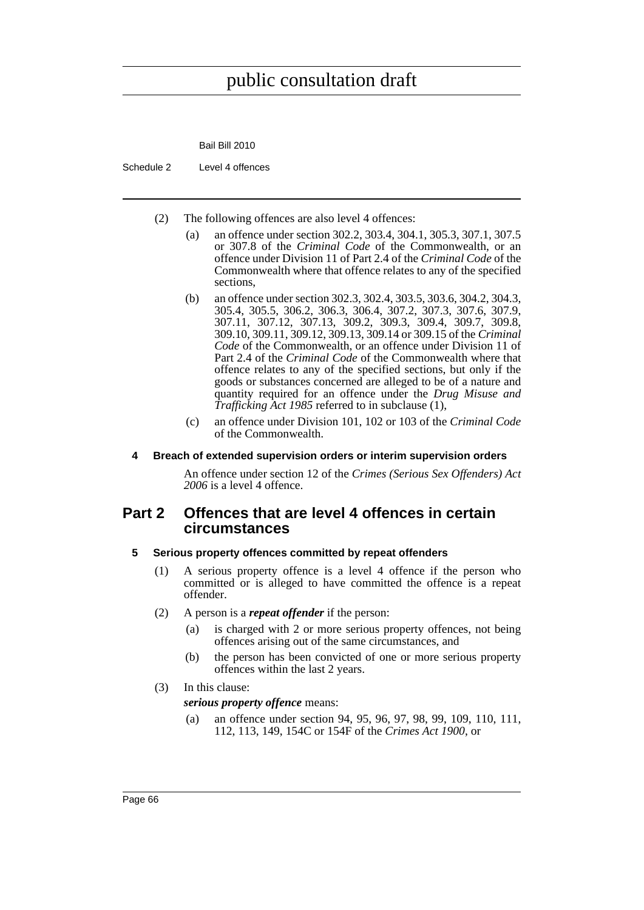

- Schedule 2 Level 4 offences
	- (2) The following offences are also level 4 offences:
		- (a) an offence under section 302.2, 303.4, 304.1, 305.3, 307.1, 307.5 or 307.8 of the *Criminal Code* of the Commonwealth, or an offence under Division 11 of Part 2.4 of the *Criminal Code* of the Commonwealth where that offence relates to any of the specified sections,
		- (b) an offence under section 302.3, 302.4, 303.5, 303.6, 304.2, 304.3, 305.4, 305.5, 306.2, 306.3, 306.4, 307.2, 307.3, 307.6, 307.9, 307.11, 307.12, 307.13, 309.2, 309.3, 309.4, 309.7, 309.8, 309.10, 309.11, 309.12, 309.13, 309.14 or 309.15 of the *Criminal Code* of the Commonwealth, or an offence under Division 11 of Part 2.4 of the *Criminal Code* of the Commonwealth where that offence relates to any of the specified sections, but only if the goods or substances concerned are alleged to be of a nature and quantity required for an offence under the *Drug Misuse and Trafficking Act 1985* referred to in subclause (1),
		- (c) an offence under Division 101, 102 or 103 of the *Criminal Code* of the Commonwealth.

#### **4 Breach of extended supervision orders or interim supervision orders**

An offence under section 12 of the *Crimes (Serious Sex Offenders) Act 2006* is a level 4 offence.

# **Part 2 Offences that are level 4 offences in certain circumstances**

#### **5 Serious property offences committed by repeat offenders**

- (1) A serious property offence is a level 4 offence if the person who committed or is alleged to have committed the offence is a repeat offender.
- (2) A person is a *repeat offender* if the person:
	- (a) is charged with 2 or more serious property offences, not being offences arising out of the same circumstances, and
	- (b) the person has been convicted of one or more serious property offences within the last 2 years.
- (3) In this clause:

*serious property offence* means:

(a) an offence under section 94, 95, 96, 97, 98, 99, 109, 110, 111, 112, 113, 149, 154C or 154F of the *Crimes Act 1900*, or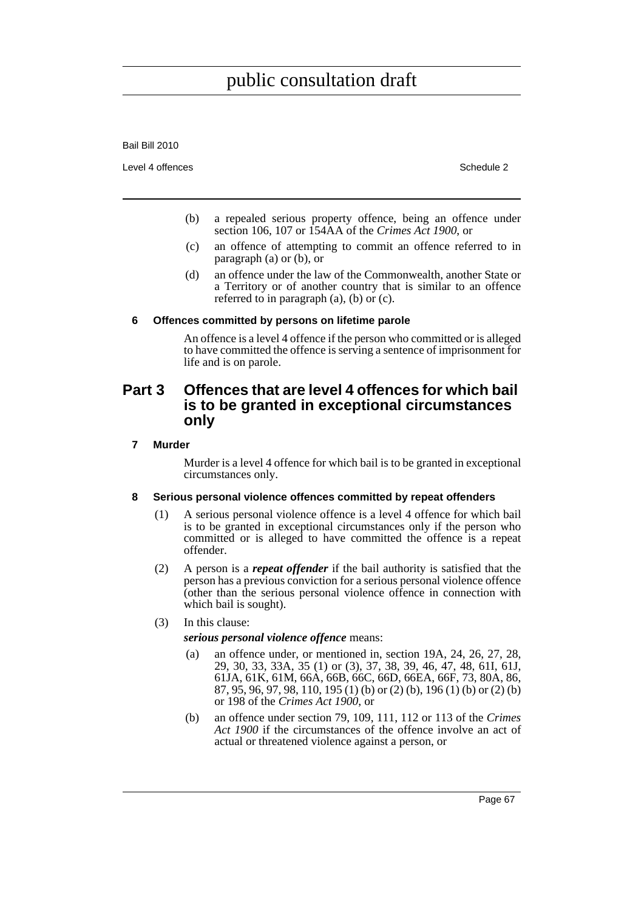Bail Bill 2010

Level 4 offences Schedule 2

- (b) a repealed serious property offence, being an offence under section 106, 107 or 154AA of the *Crimes Act 1900*, or
- (c) an offence of attempting to commit an offence referred to in paragraph (a) or (b), or
- (d) an offence under the law of the Commonwealth, another State or a Territory or of another country that is similar to an offence referred to in paragraph (a), (b) or (c).

#### **6 Offences committed by persons on lifetime parole**

An offence is a level 4 offence if the person who committed or is alleged to have committed the offence is serving a sentence of imprisonment for life and is on parole.

# **Part 3 Offences that are level 4 offences for which bail is to be granted in exceptional circumstances only**

#### **7 Murder**

Murder is a level 4 offence for which bail is to be granted in exceptional circumstances only.

## **8 Serious personal violence offences committed by repeat offenders**

- (1) A serious personal violence offence is a level 4 offence for which bail is to be granted in exceptional circumstances only if the person who committed or is alleged to have committed the offence is a repeat offender.
- (2) A person is a *repeat offender* if the bail authority is satisfied that the person has a previous conviction for a serious personal violence offence (other than the serious personal violence offence in connection with which bail is sought).

## (3) In this clause:

*serious personal violence offence* means:

- (a) an offence under, or mentioned in, section 19A, 24, 26, 27, 28, 29, 30, 33, 33A, 35 (1) or (3), 37, 38, 39, 46, 47, 48, 61I, 61J, 61JA, 61K, 61M, 66A, 66B, 66C, 66D, 66EA, 66F, 73, 80A, 86, 87, 95, 96, 97, 98, 110, 195 (1) (b) or (2) (b), 196 (1) (b) or (2) (b) or 198 of the *Crimes Act 1900*, or
- (b) an offence under section 79, 109, 111, 112 or 113 of the *Crimes Act 1900* if the circumstances of the offence involve an act of actual or threatened violence against a person, or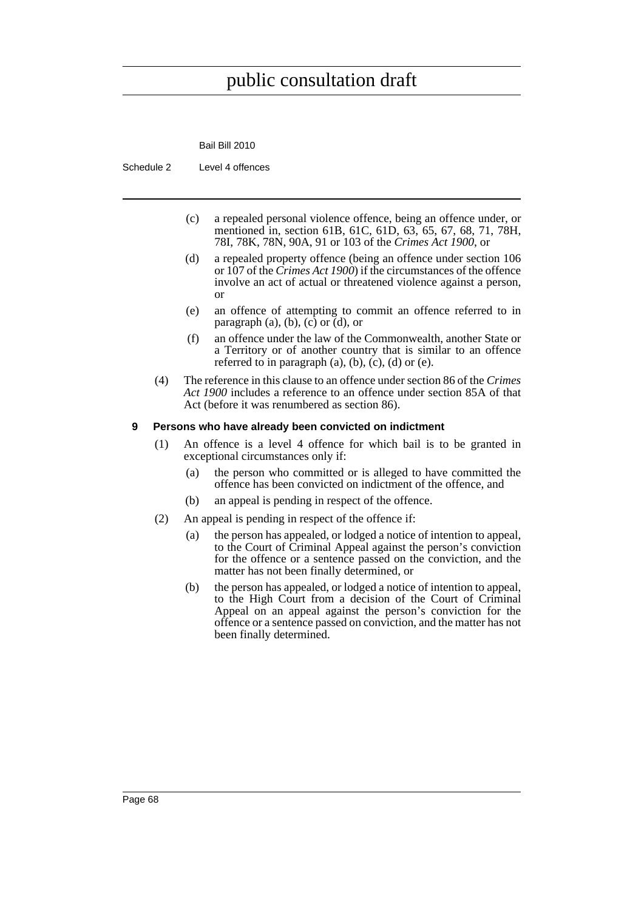

Schedule 2 Level 4 offences

- (c) a repealed personal violence offence, being an offence under, or mentioned in, section 61B, 61C, 61D, 63, 65, 67, 68, 71, 78H, 78I, 78K, 78N, 90A, 91 or 103 of the *Crimes Act 1900*, or
- (d) a repealed property offence (being an offence under section 106 or 107 of the *Crimes Act 1900*) if the circumstances of the offence involve an act of actual or threatened violence against a person, or
- (e) an offence of attempting to commit an offence referred to in paragraph  $(a)$ ,  $(b)$ ,  $(c)$  or  $(d)$ , or
- (f) an offence under the law of the Commonwealth, another State or a Territory or of another country that is similar to an offence referred to in paragraph  $(a)$ ,  $(b)$ ,  $(c)$ ,  $(d)$  or  $(e)$ .
- (4) The reference in this clause to an offence under section 86 of the *Crimes Act 1900* includes a reference to an offence under section 85A of that Act (before it was renumbered as section 86).

#### **9 Persons who have already been convicted on indictment**

- (1) An offence is a level 4 offence for which bail is to be granted in exceptional circumstances only if:
	- (a) the person who committed or is alleged to have committed the offence has been convicted on indictment of the offence, and
	- (b) an appeal is pending in respect of the offence.
- (2) An appeal is pending in respect of the offence if:
	- (a) the person has appealed, or lodged a notice of intention to appeal, to the Court of Criminal Appeal against the person's conviction for the offence or a sentence passed on the conviction, and the matter has not been finally determined, or
	- (b) the person has appealed, or lodged a notice of intention to appeal, to the High Court from a decision of the Court of Criminal Appeal on an appeal against the person's conviction for the offence or a sentence passed on conviction, and the matter has not been finally determined.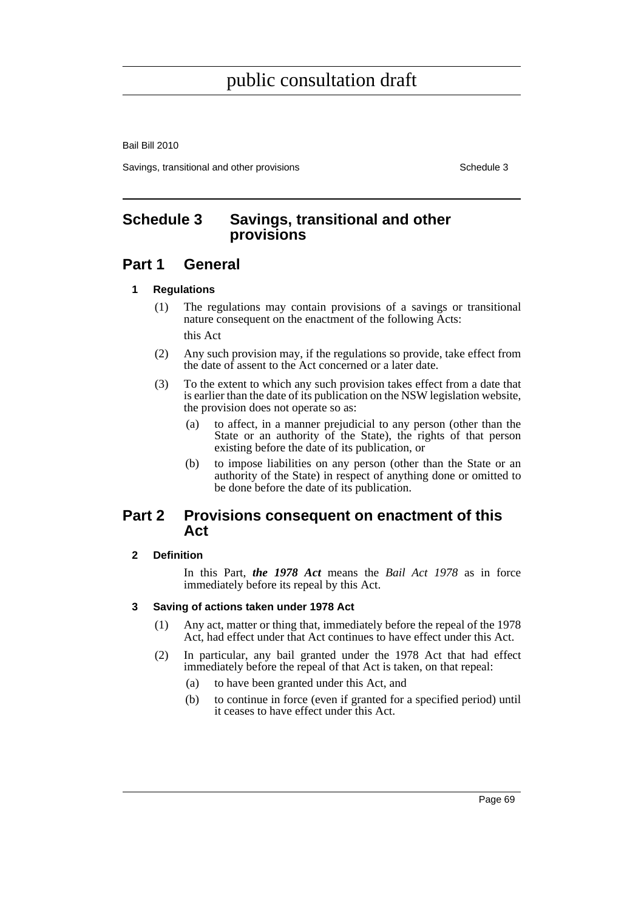Bail Bill 2010

Savings, transitional and other provisions Schedule 3 Schedule 3

# **Schedule 3 Savings, transitional and other provisions**

# **Part 1 General**

## **1 Regulations**

- (1) The regulations may contain provisions of a savings or transitional nature consequent on the enactment of the following Acts: this Act
- (2) Any such provision may, if the regulations so provide, take effect from the date of assent to the Act concerned or a later date.
- (3) To the extent to which any such provision takes effect from a date that is earlier than the date of its publication on the NSW legislation website, the provision does not operate so as:
	- (a) to affect, in a manner prejudicial to any person (other than the State or an authority of the State), the rights of that person existing before the date of its publication, or
	- (b) to impose liabilities on any person (other than the State or an authority of the State) in respect of anything done or omitted to be done before the date of its publication.

# **Part 2 Provisions consequent on enactment of this Act**

## **2 Definition**

In this Part, *the 1978 Act* means the *Bail Act 1978* as in force immediately before its repeal by this Act.

## **3 Saving of actions taken under 1978 Act**

- (1) Any act, matter or thing that, immediately before the repeal of the 1978 Act, had effect under that Act continues to have effect under this Act.
- (2) In particular, any bail granted under the 1978 Act that had effect immediately before the repeal of that Act is taken, on that repeal:
	- (a) to have been granted under this Act, and
	- (b) to continue in force (even if granted for a specified period) until it ceases to have effect under this Act.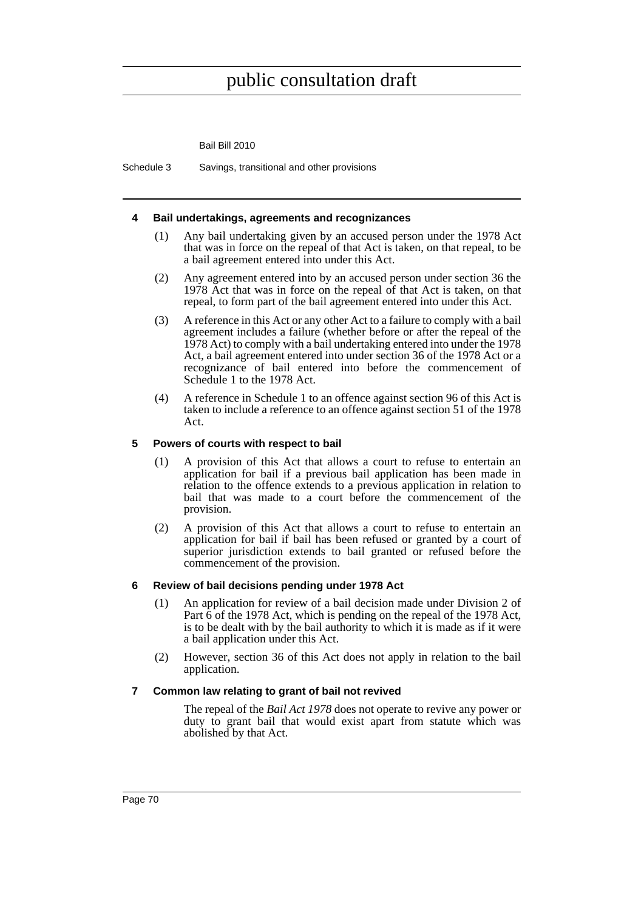Bail Bill 2010

Schedule 3 Savings, transitional and other provisions

#### **4 Bail undertakings, agreements and recognizances**

- (1) Any bail undertaking given by an accused person under the 1978 Act that was in force on the repeal of that Act is taken, on that repeal, to be a bail agreement entered into under this Act.
- (2) Any agreement entered into by an accused person under section 36 the 1978 Act that was in force on the repeal of that Act is taken, on that repeal, to form part of the bail agreement entered into under this Act.
- (3) A reference in this Act or any other Act to a failure to comply with a bail agreement includes a failure (whether before or after the repeal of the 1978 Act) to comply with a bail undertaking entered into under the 1978 Act, a bail agreement entered into under section 36 of the 1978 Act or a recognizance of bail entered into before the commencement of Schedule 1 to the 1978 Act.
- (4) A reference in Schedule 1 to an offence against section 96 of this Act is taken to include a reference to an offence against section 51 of the 1978 Act.

#### **5 Powers of courts with respect to bail**

- (1) A provision of this Act that allows a court to refuse to entertain an application for bail if a previous bail application has been made in relation to the offence extends to a previous application in relation to bail that was made to a court before the commencement of the provision.
- (2) A provision of this Act that allows a court to refuse to entertain an application for bail if bail has been refused or granted by a court of superior jurisdiction extends to bail granted or refused before the commencement of the provision.

#### **6 Review of bail decisions pending under 1978 Act**

- (1) An application for review of a bail decision made under Division 2 of Part 6 of the 1978 Act, which is pending on the repeal of the 1978 Act, is to be dealt with by the bail authority to which it is made as if it were a bail application under this Act.
- (2) However, section 36 of this Act does not apply in relation to the bail application.

#### **7 Common law relating to grant of bail not revived**

The repeal of the *Bail Act 1978* does not operate to revive any power or duty to grant bail that would exist apart from statute which was abolished by that Act.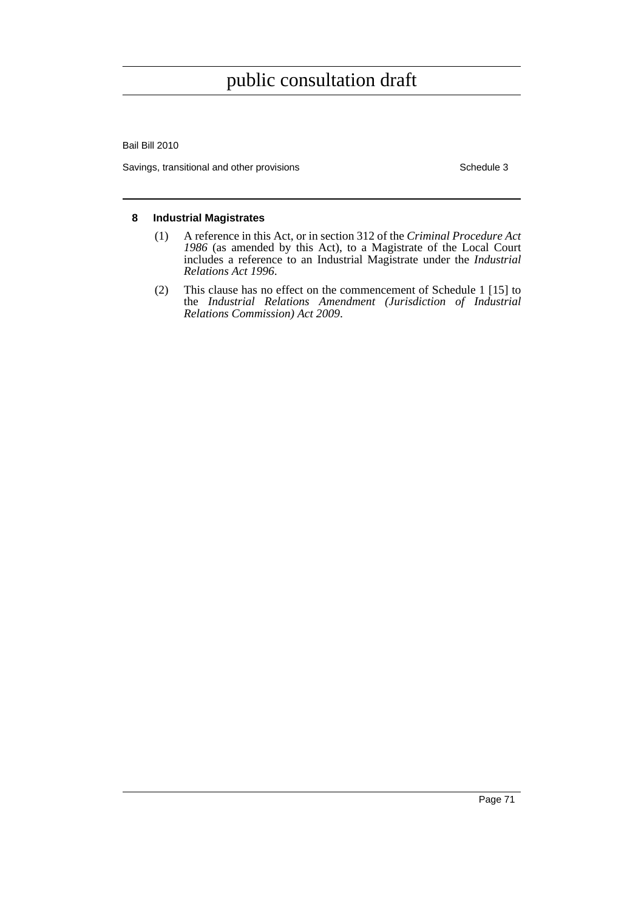Bail Bill 2010

Savings, transitional and other provisions Schedule 3

#### **8 Industrial Magistrates**

- (1) A reference in this Act, or in section 312 of the *Criminal Procedure Act 1986* (as amended by this Act), to a Magistrate of the Local Court includes a reference to an Industrial Magistrate under the *Industrial Relations Act 1996*.
- (2) This clause has no effect on the commencement of Schedule 1 [15] to the *Industrial Relations Amendment (Jurisdiction of Industrial Relations Commission) Act 2009*.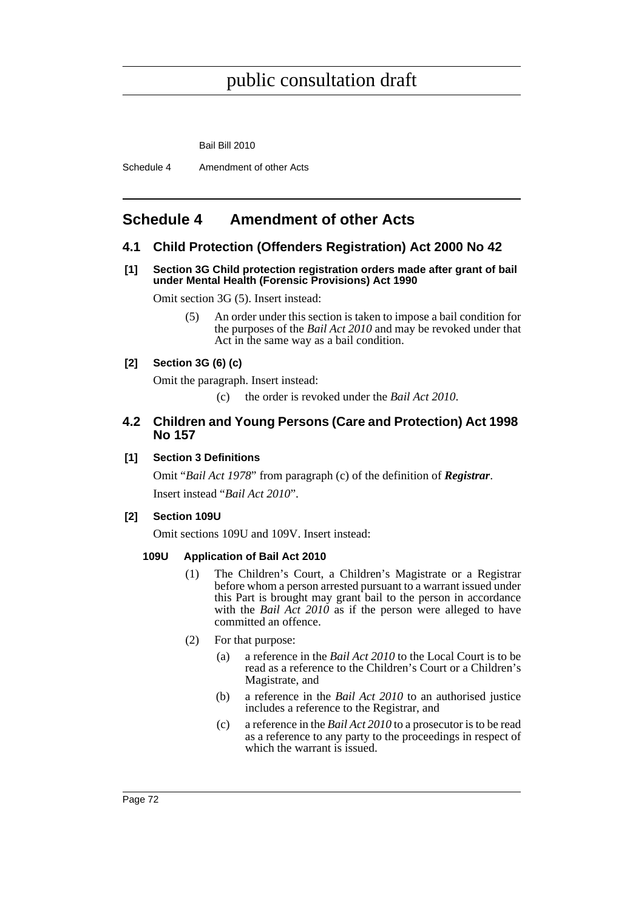Bail Bill 2010

Schedule 4 Amendment of other Acts

# **Schedule 4 Amendment of other Acts**

## **4.1 Child Protection (Offenders Registration) Act 2000 No 42**

#### **[1] Section 3G Child protection registration orders made after grant of bail under Mental Health (Forensic Provisions) Act 1990**

Omit section 3G (5). Insert instead:

(5) An order under this section is taken to impose a bail condition for the purposes of the *Bail Act 2010* and may be revoked under that Act in the same way as a bail condition.

## **[2] Section 3G (6) (c)**

Omit the paragraph. Insert instead:

(c) the order is revoked under the *Bail Act 2010*.

## **4.2 Children and Young Persons (Care and Protection) Act 1998 No 157**

## **[1] Section 3 Definitions**

Omit "*Bail Act 1978*" from paragraph (c) of the definition of *Registrar*. Insert instead "*Bail Act 2010*".

## **[2] Section 109U**

Omit sections 109U and 109V. Insert instead:

## **109U Application of Bail Act 2010**

- (1) The Children's Court, a Children's Magistrate or a Registrar before whom a person arrested pursuant to a warrant issued under this Part is brought may grant bail to the person in accordance with the *Bail Act 2010* as if the person were alleged to have committed an offence.
- (2) For that purpose:
	- (a) a reference in the *Bail Act 2010* to the Local Court is to be read as a reference to the Children's Court or a Children's Magistrate, and
	- (b) a reference in the *Bail Act 2010* to an authorised justice includes a reference to the Registrar, and
	- (c) a reference in the *Bail Act 2010* to a prosecutor is to be read as a reference to any party to the proceedings in respect of which the warrant is issued.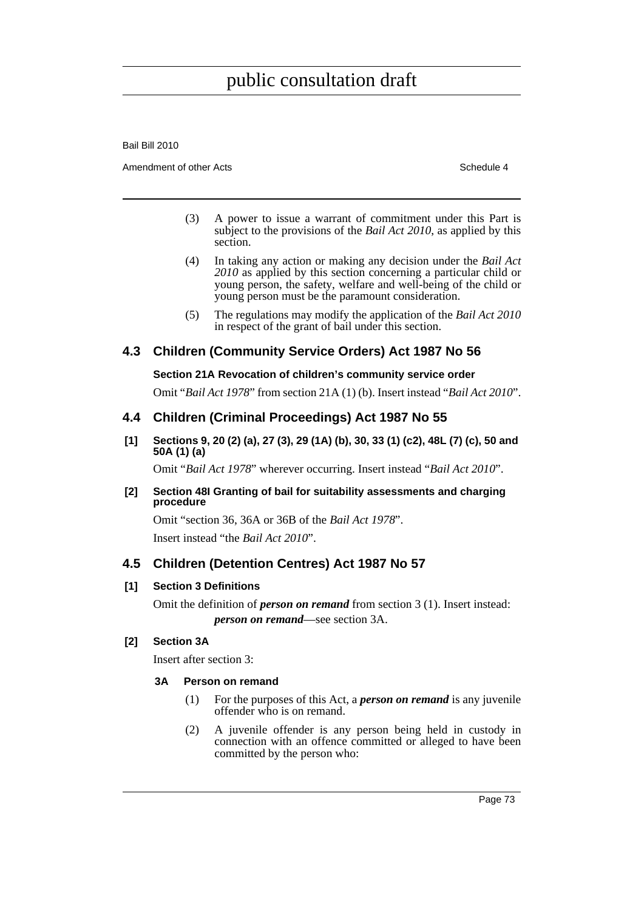Bail Bill 2010

Amendment of other Acts **Schedule 4** and the Acts Schedule 4 and the Schedule 4 and the Schedule 4

- (3) A power to issue a warrant of commitment under this Part is subject to the provisions of the *Bail Act 2010*, as applied by this section.
- (4) In taking any action or making any decision under the *Bail Act 2010* as applied by this section concerning a particular child or young person, the safety, welfare and well-being of the child or young person must be the paramount consideration.
- (5) The regulations may modify the application of the *Bail Act 2010* in respect of the grant of bail under this section.

# **4.3 Children (Community Service Orders) Act 1987 No 56**

## **Section 21A Revocation of children's community service order**

Omit "*Bail Act 1978*" from section 21A (1) (b). Insert instead "*Bail Act 2010*".

## **4.4 Children (Criminal Proceedings) Act 1987 No 55**

**[1] Sections 9, 20 (2) (a), 27 (3), 29 (1A) (b), 30, 33 (1) (c2), 48L (7) (c), 50 and 50A (1) (a)**

Omit "*Bail Act 1978*" wherever occurring. Insert instead "*Bail Act 2010*".

#### **[2] Section 48I Granting of bail for suitability assessments and charging procedure**

Omit "section 36, 36A or 36B of the *Bail Act 1978*". Insert instead "the *Bail Act 2010*".

## **4.5 Children (Detention Centres) Act 1987 No 57**

## **[1] Section 3 Definitions**

Omit the definition of *person on remand* from section 3 (1). Insert instead: *person on remand*—see section 3A.

## **[2] Section 3A**

Insert after section 3:

#### **3A Person on remand**

- (1) For the purposes of this Act, a *person on remand* is any juvenile offender who is on remand.
- (2) A juvenile offender is any person being held in custody in connection with an offence committed or alleged to have been committed by the person who: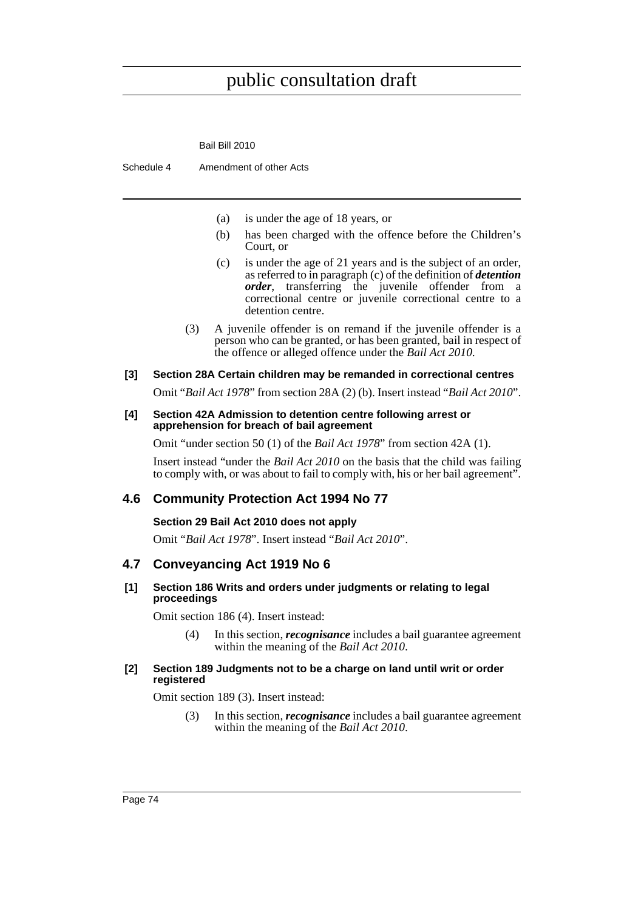|                                         | Bail Bill 2010                                                                                                                                                                                                                                                                      |  |
|-----------------------------------------|-------------------------------------------------------------------------------------------------------------------------------------------------------------------------------------------------------------------------------------------------------------------------------------|--|
|                                         | Amendment of other Acts<br>Schedule 4                                                                                                                                                                                                                                               |  |
|                                         |                                                                                                                                                                                                                                                                                     |  |
|                                         | is under the age of 18 years, or<br>(a)                                                                                                                                                                                                                                             |  |
|                                         | has been charged with the offence before the Children's<br>(b)<br>Court, or                                                                                                                                                                                                         |  |
|                                         | is under the age of 21 years and is the subject of an order,<br>(c)<br>as referred to in paragraph $(c)$ of the definition of <i>detention</i><br>order, transferring the juvenile offender from a<br>correctional centre or juvenile correctional centre to a<br>detention centre. |  |
|                                         | A juvenile offender is on remand if the juvenile offender is a<br>(3)<br>person who can be granted, or has been granted, bail in respect of<br>the offence or alleged offence under the <i>Bail Act 2010</i> .                                                                      |  |
| [3]                                     | Section 28A Certain children may be remanded in correctional centres                                                                                                                                                                                                                |  |
|                                         | Omit "Bail Act 1978" from section 28A (2) (b). Insert instead "Bail Act 2010".                                                                                                                                                                                                      |  |
| [4]                                     | Section 42A Admission to detention centre following arrest or<br>apprehension for breach of bail agreement                                                                                                                                                                          |  |
|                                         | Omit "under section 50 (1) of the <i>Bail Act 1978</i> " from section 42A (1).                                                                                                                                                                                                      |  |
|                                         | Insert instead "under the <i>Bail Act 2010</i> on the basis that the child was failing<br>to comply with, or was about to fail to comply with, his or her bail agreement".                                                                                                          |  |
| 4.6                                     | <b>Community Protection Act 1994 No 77</b>                                                                                                                                                                                                                                          |  |
| Section 29 Bail Act 2010 does not apply |                                                                                                                                                                                                                                                                                     |  |

Omit "*Bail Act 1978*". Insert instead "*Bail Act 2010*".

# **4.7 Conveyancing Act 1919 No 6**

#### **[1] Section 186 Writs and orders under judgments or relating to legal proceedings**

Omit section 186 (4). Insert instead:

(4) In this section, *recognisance* includes a bail guarantee agreement within the meaning of the *Bail Act 2010*.

#### **[2] Section 189 Judgments not to be a charge on land until writ or order registered**

Omit section 189 (3). Insert instead:

(3) In this section, *recognisance* includes a bail guarantee agreement within the meaning of the *Bail Act 2010*.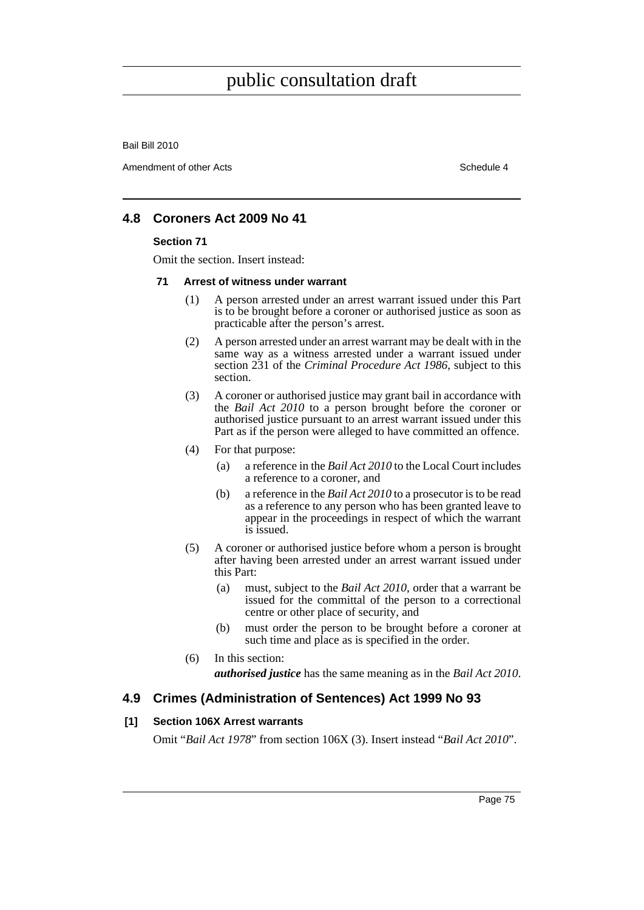Bail Bill 2010

Amendment of other Acts **Schedule 4** and the state of the Schedule 4

## **4.8 Coroners Act 2009 No 41**

#### **Section 71**

Omit the section. Insert instead:

#### **71 Arrest of witness under warrant**

- (1) A person arrested under an arrest warrant issued under this Part is to be brought before a coroner or authorised justice as soon as practicable after the person's arrest.
- (2) A person arrested under an arrest warrant may be dealt with in the same way as a witness arrested under a warrant issued under section 231 of the *Criminal Procedure Act 1986*, subject to this section.
- (3) A coroner or authorised justice may grant bail in accordance with the *Bail Act 2010* to a person brought before the coroner or authorised justice pursuant to an arrest warrant issued under this Part as if the person were alleged to have committed an offence.
- (4) For that purpose:
	- (a) a reference in the *Bail Act 2010* to the Local Court includes a reference to a coroner, and
	- (b) a reference in the *Bail Act 2010* to a prosecutor is to be read as a reference to any person who has been granted leave to appear in the proceedings in respect of which the warrant is issued.
- (5) A coroner or authorised justice before whom a person is brought after having been arrested under an arrest warrant issued under this Part:
	- (a) must, subject to the *Bail Act 2010*, order that a warrant be issued for the committal of the person to a correctional centre or other place of security, and
	- (b) must order the person to be brought before a coroner at such time and place as is specified in the order.
- (6) In this section: *authorised justice* has the same meaning as in the *Bail Act 2010*.

## **4.9 Crimes (Administration of Sentences) Act 1999 No 93**

#### **[1] Section 106X Arrest warrants**

Omit "*Bail Act 1978*" from section 106X (3). Insert instead "*Bail Act 2010*".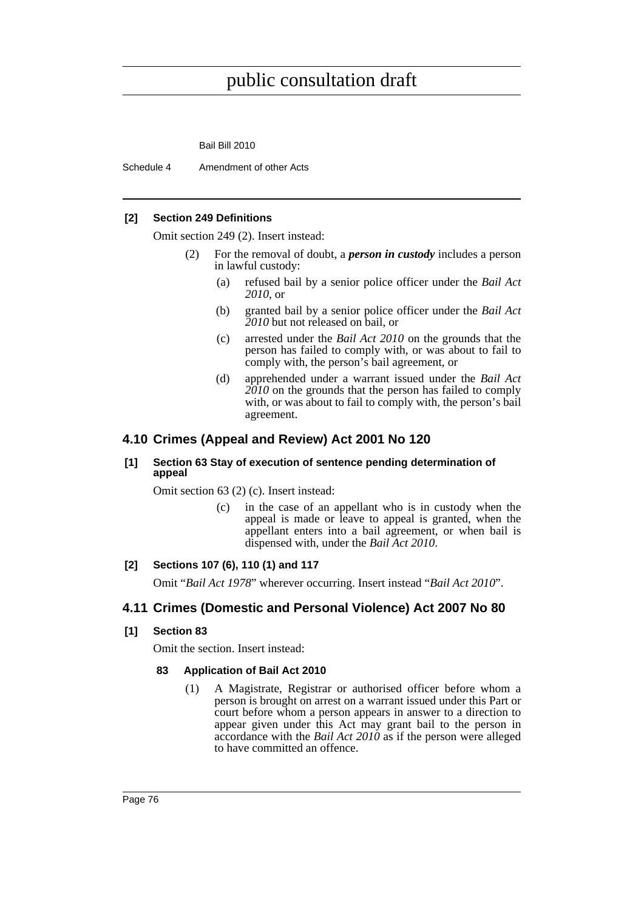Bail Bill 2010

Schedule 4 Amendment of other Acts

#### **[2] Section 249 Definitions**

Omit section 249 (2). Insert instead:

- (2) For the removal of doubt, a *person in custody* includes a person in lawful custody:
	- (a) refused bail by a senior police officer under the *Bail Act 2010*, or
	- (b) granted bail by a senior police officer under the *Bail Act 2010* but not released on bail, or
	- (c) arrested under the *Bail Act 2010* on the grounds that the person has failed to comply with, or was about to fail to comply with, the person's bail agreement, or
	- (d) apprehended under a warrant issued under the *Bail Act 2010* on the grounds that the person has failed to comply with, or was about to fail to comply with, the person's bail agreement.

## **4.10 Crimes (Appeal and Review) Act 2001 No 120**

#### **[1] Section 63 Stay of execution of sentence pending determination of appeal**

Omit section 63 (2) (c). Insert instead:

(c) in the case of an appellant who is in custody when the appeal is made or leave to appeal is granted, when the appellant enters into a bail agreement, or when bail is dispensed with, under the *Bail Act 2010*.

## **[2] Sections 107 (6), 110 (1) and 117**

Omit "*Bail Act 1978*" wherever occurring. Insert instead "*Bail Act 2010*".

## **4.11 Crimes (Domestic and Personal Violence) Act 2007 No 80**

#### **[1] Section 83**

Omit the section. Insert instead:

#### **83 Application of Bail Act 2010**

(1) A Magistrate, Registrar or authorised officer before whom a person is brought on arrest on a warrant issued under this Part or court before whom a person appears in answer to a direction to appear given under this Act may grant bail to the person in accordance with the *Bail Act 2010* as if the person were alleged to have committed an offence.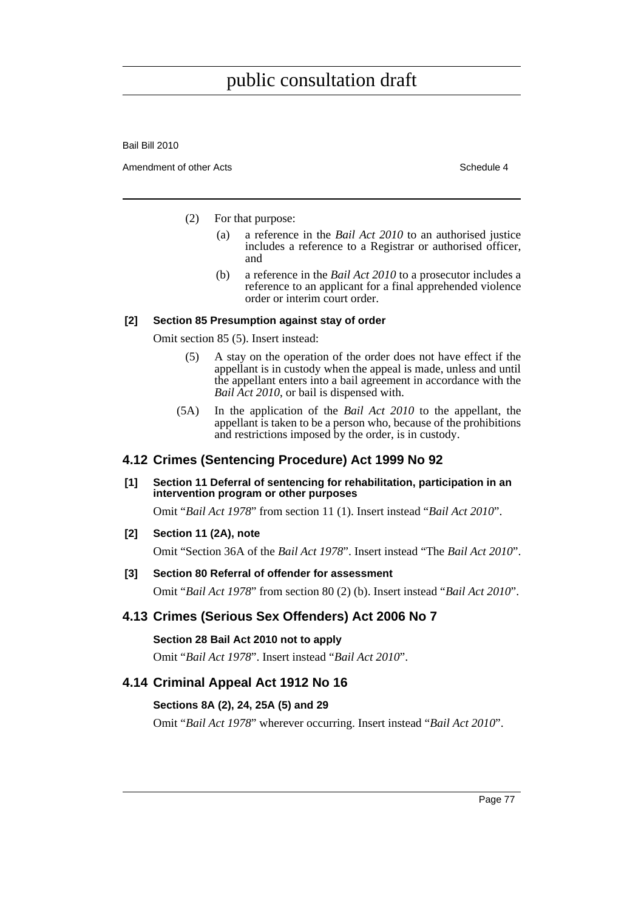Bail Bill 2010

Amendment of other Acts **Schedule 4** and the state of the Schedule 4

- (2) For that purpose:
	- (a) a reference in the *Bail Act 2010* to an authorised justice includes a reference to a Registrar or authorised officer, and
	- (b) a reference in the *Bail Act 2010* to a prosecutor includes a reference to an applicant for a final apprehended violence order or interim court order.

#### **[2] Section 85 Presumption against stay of order**

Omit section 85 (5). Insert instead:

- (5) A stay on the operation of the order does not have effect if the appellant is in custody when the appeal is made, unless and until the appellant enters into a bail agreement in accordance with the *Bail Act 2010*, or bail is dispensed with.
- (5A) In the application of the *Bail Act 2010* to the appellant, the appellant is taken to be a person who, because of the prohibitions and restrictions imposed by the order, is in custody.

# **4.12 Crimes (Sentencing Procedure) Act 1999 No 92**

**[1] Section 11 Deferral of sentencing for rehabilitation, participation in an intervention program or other purposes**

Omit "*Bail Act 1978*" from section 11 (1). Insert instead "*Bail Act 2010*".

**[2] Section 11 (2A), note**

Omit "Section 36A of the *Bail Act 1978*". Insert instead "The *Bail Act 2010*".

## **[3] Section 80 Referral of offender for assessment**

Omit "*Bail Act 1978*" from section 80 (2) (b). Insert instead "*Bail Act 2010*".

# **4.13 Crimes (Serious Sex Offenders) Act 2006 No 7**

**Section 28 Bail Act 2010 not to apply**

Omit "*Bail Act 1978*". Insert instead "*Bail Act 2010*".

## **4.14 Criminal Appeal Act 1912 No 16**

## **Sections 8A (2), 24, 25A (5) and 29**

Omit "*Bail Act 1978*" wherever occurring. Insert instead "*Bail Act 2010*".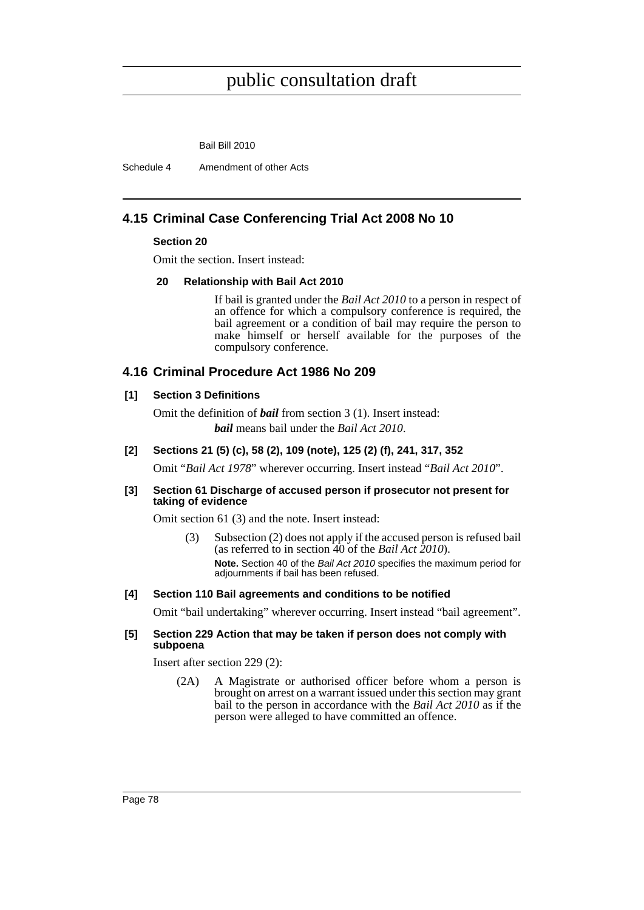Bail Bill 2010

Schedule 4 Amendment of other Acts

# **4.15 Criminal Case Conferencing Trial Act 2008 No 10**

#### **Section 20**

Omit the section. Insert instead:

#### **20 Relationship with Bail Act 2010**

If bail is granted under the *Bail Act 2010* to a person in respect of an offence for which a compulsory conference is required, the bail agreement or a condition of bail may require the person to make himself or herself available for the purposes of the compulsory conference.

## **4.16 Criminal Procedure Act 1986 No 209**

#### **[1] Section 3 Definitions**

Omit the definition of *bail* from section 3 (1). Insert instead: *bail* means bail under the *Bail Act 2010*.

#### **[2] Sections 21 (5) (c), 58 (2), 109 (note), 125 (2) (f), 241, 317, 352**

Omit "*Bail Act 1978*" wherever occurring. Insert instead "*Bail Act 2010*".

#### **[3] Section 61 Discharge of accused person if prosecutor not present for taking of evidence**

Omit section 61 (3) and the note. Insert instead:

(3) Subsection (2) does not apply if the accused person is refused bail (as referred to in section 40 of the *Bail Act 2010*). **Note.** Section 40 of the *Bail Act 2010* specifies the maximum period for adjournments if bail has been refused.

#### **[4] Section 110 Bail agreements and conditions to be notified**

Omit "bail undertaking" wherever occurring. Insert instead "bail agreement".

#### **[5] Section 229 Action that may be taken if person does not comply with subpoena**

Insert after section 229 (2):

(2A) A Magistrate or authorised officer before whom a person is brought on arrest on a warrant issued under this section may grant bail to the person in accordance with the *Bail Act 2010* as if the person were alleged to have committed an offence.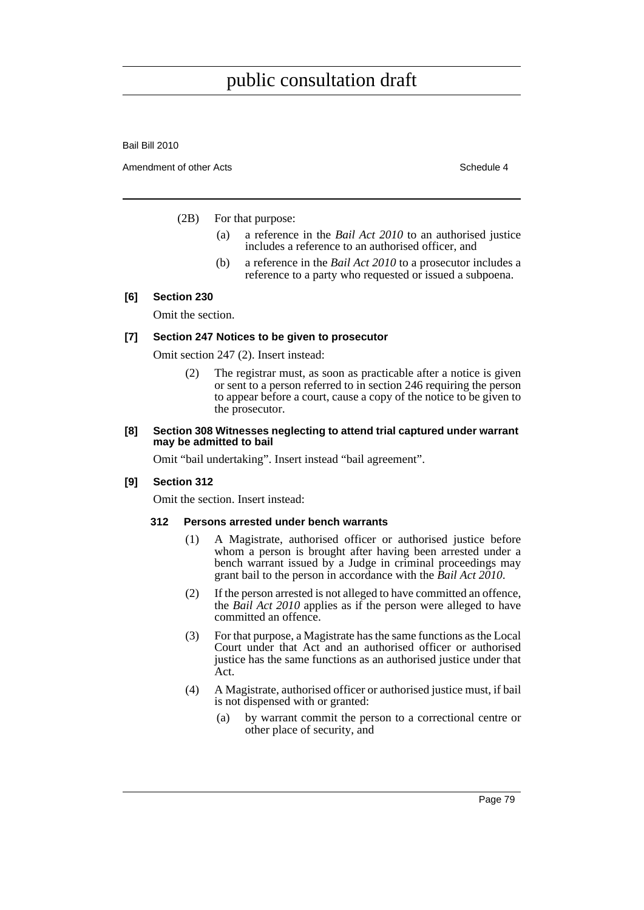Bail Bill 2010

Amendment of other Acts **Schedule 4** and the state of the Schedule 4

(2B) For that purpose:

- (a) a reference in the *Bail Act 2010* to an authorised justice includes a reference to an authorised officer, and
- (b) a reference in the *Bail Act 2010* to a prosecutor includes a reference to a party who requested or issued a subpoena.

#### **[6] Section 230**

Omit the section.

#### **[7] Section 247 Notices to be given to prosecutor**

Omit section 247 (2). Insert instead:

(2) The registrar must, as soon as practicable after a notice is given or sent to a person referred to in section 246 requiring the person to appear before a court, cause a copy of the notice to be given to the prosecutor.

#### **[8] Section 308 Witnesses neglecting to attend trial captured under warrant may be admitted to bail**

Omit "bail undertaking". Insert instead "bail agreement".

## **[9] Section 312**

Omit the section. Insert instead:

#### **312 Persons arrested under bench warrants**

- (1) A Magistrate, authorised officer or authorised justice before whom a person is brought after having been arrested under a bench warrant issued by a Judge in criminal proceedings may grant bail to the person in accordance with the *Bail Act 2010*.
- (2) If the person arrested is not alleged to have committed an offence, the *Bail Act 2010* applies as if the person were alleged to have committed an offence.
- (3) For that purpose, a Magistrate has the same functions as the Local Court under that Act and an authorised officer or authorised justice has the same functions as an authorised justice under that Act.
- (4) A Magistrate, authorised officer or authorised justice must, if bail is not dispensed with or granted:
	- (a) by warrant commit the person to a correctional centre or other place of security, and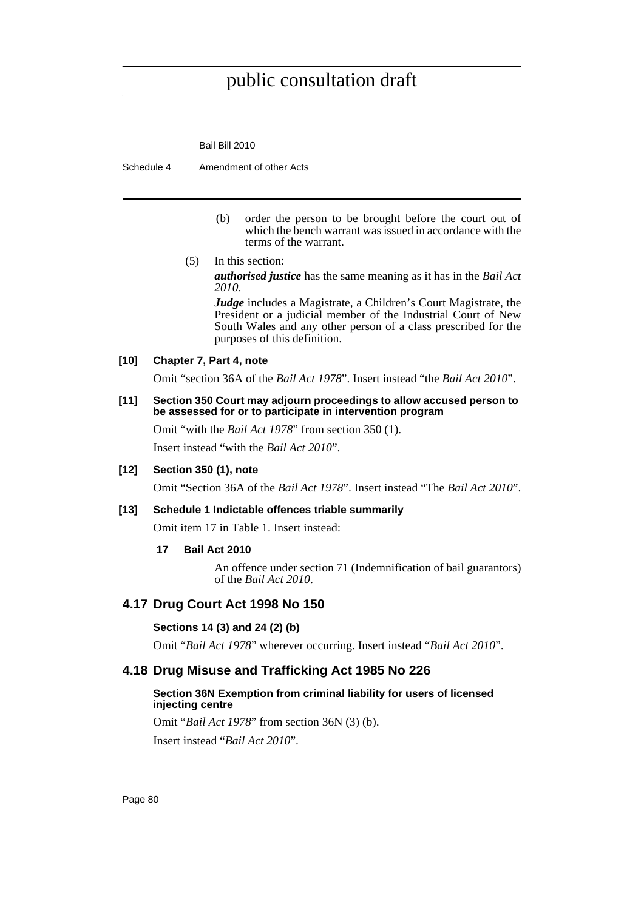Bail Bill 2010

Schedule 4 Amendment of other Acts

- (b) order the person to be brought before the court out of which the bench warrant was issued in accordance with the terms of the warrant.
- (5) In this section:

*authorised justice* has the same meaning as it has in the *Bail Act 2010*.

*Judge* includes a Magistrate, a Children's Court Magistrate, the President or a judicial member of the Industrial Court of New South Wales and any other person of a class prescribed for the purposes of this definition.

## **[10] Chapter 7, Part 4, note**

Omit "section 36A of the *Bail Act 1978*". Insert instead "the *Bail Act 2010*".

#### **[11] Section 350 Court may adjourn proceedings to allow accused person to be assessed for or to participate in intervention program**

Omit "with the *Bail Act 1978*" from section 350 (1).

Insert instead "with the *Bail Act 2010*".

#### **[12] Section 350 (1), note**

Omit "Section 36A of the *Bail Act 1978*". Insert instead "The *Bail Act 2010*".

#### **[13] Schedule 1 Indictable offences triable summarily**

Omit item 17 in Table 1. Insert instead:

#### **17 Bail Act 2010**

An offence under section 71 (Indemnification of bail guarantors) of the *Bail Act 2010*.

#### **4.17 Drug Court Act 1998 No 150**

#### **Sections 14 (3) and 24 (2) (b)**

Omit "*Bail Act 1978*" wherever occurring. Insert instead "*Bail Act 2010*".

## **4.18 Drug Misuse and Trafficking Act 1985 No 226**

#### **Section 36N Exemption from criminal liability for users of licensed injecting centre**

Omit "*Bail Act 1978*" from section 36N (3) (b).

Insert instead "*Bail Act 2010*".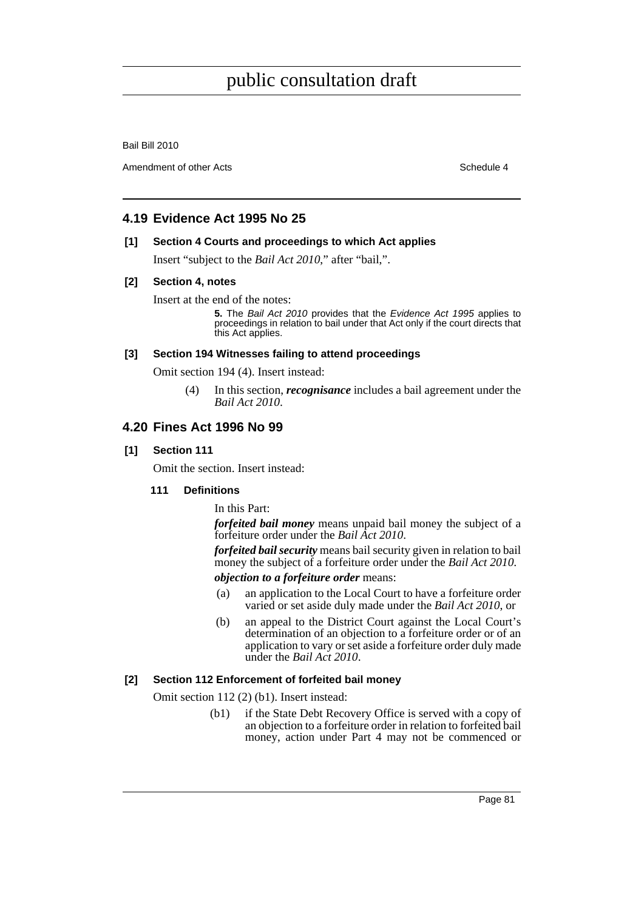Bail Bill 2010

Amendment of other Acts **Schedule 4** and the state of the Schedule 4

## **4.19 Evidence Act 1995 No 25**

#### **[1] Section 4 Courts and proceedings to which Act applies**

Insert "subject to the *Bail Act 2010*," after "bail,".

#### **[2] Section 4, notes**

Insert at the end of the notes:

**5.** The *Bail Act 2010* provides that the *Evidence Act 1995* applies to proceedings in relation to bail under that Act only if the court directs that this Act applies.

#### **[3] Section 194 Witnesses failing to attend proceedings**

Omit section 194 (4). Insert instead:

(4) In this section, *recognisance* includes a bail agreement under the *Bail Act 2010*.

## **4.20 Fines Act 1996 No 99**

#### **[1] Section 111**

Omit the section. Insert instead:

## **111 Definitions**

In this Part:

*forfeited bail money* means unpaid bail money the subject of a forfeiture order under the *Bail Act 2010*.

*forfeited bail security* means bail security given in relation to bail money the subject of a forfeiture order under the *Bail Act 2010*. *objection to a forfeiture order* means:

- (a) an application to the Local Court to have a forfeiture order varied or set aside duly made under the *Bail Act 2010*, or
- (b) an appeal to the District Court against the Local Court's determination of an objection to a forfeiture order or of an application to vary or set aside a forfeiture order duly made under the *Bail Act 2010*.

## **[2] Section 112 Enforcement of forfeited bail money**

Omit section 112 (2) (b1). Insert instead:

(b1) if the State Debt Recovery Office is served with a copy of an objection to a forfeiture order in relation to forfeited bail money, action under Part 4 may not be commenced or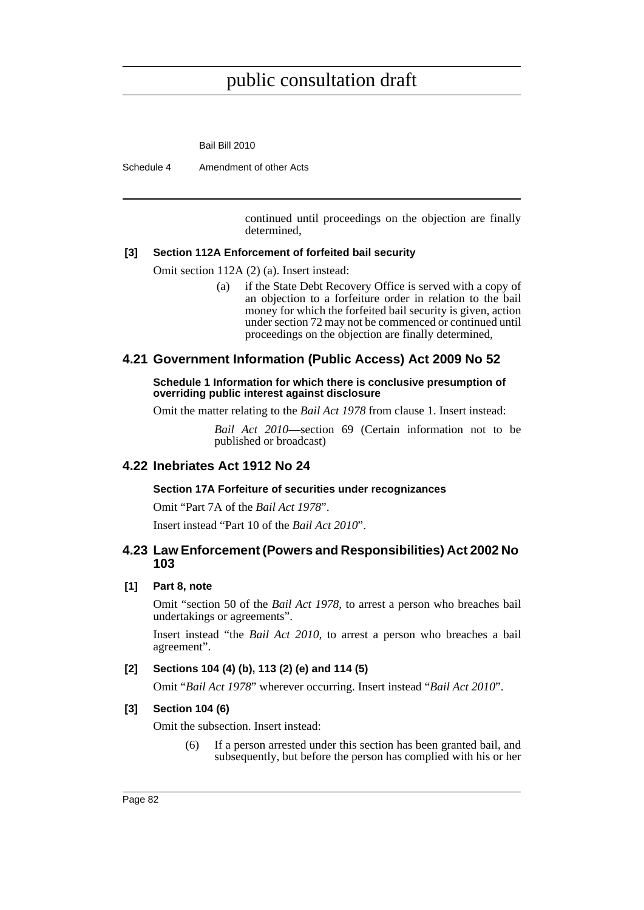Bail Bill 2010

Schedule 4 Amendment of other Acts

continued until proceedings on the objection are finally determined,

#### **[3] Section 112A Enforcement of forfeited bail security**

Omit section 112A (2) (a). Insert instead:

(a) if the State Debt Recovery Office is served with a copy of an objection to a forfeiture order in relation to the bail money for which the forfeited bail security is given, action under section 72 may not be commenced or continued until proceedings on the objection are finally determined,

## **4.21 Government Information (Public Access) Act 2009 No 52**

**Schedule 1 Information for which there is conclusive presumption of overriding public interest against disclosure**

Omit the matter relating to the *Bail Act 1978* from clause 1. Insert instead:

*Bail Act 2010*—section 69 (Certain information not to be published or broadcast)

## **4.22 Inebriates Act 1912 No 24**

#### **Section 17A Forfeiture of securities under recognizances**

Omit "Part 7A of the *Bail Act 1978*".

Insert instead "Part 10 of the *Bail Act 2010*".

## **4.23 Law Enforcement (Powers and Responsibilities) Act 2002 No 103**

## **[1] Part 8, note**

Omit "section 50 of the *Bail Act 1978*, to arrest a person who breaches bail undertakings or agreements".

Insert instead "the *Bail Act 2010*, to arrest a person who breaches a bail agreement".

## **[2] Sections 104 (4) (b), 113 (2) (e) and 114 (5)**

Omit "*Bail Act 1978*" wherever occurring. Insert instead "*Bail Act 2010*".

## **[3] Section 104 (6)**

Omit the subsection. Insert instead:

(6) If a person arrested under this section has been granted bail, and subsequently, but before the person has complied with his or her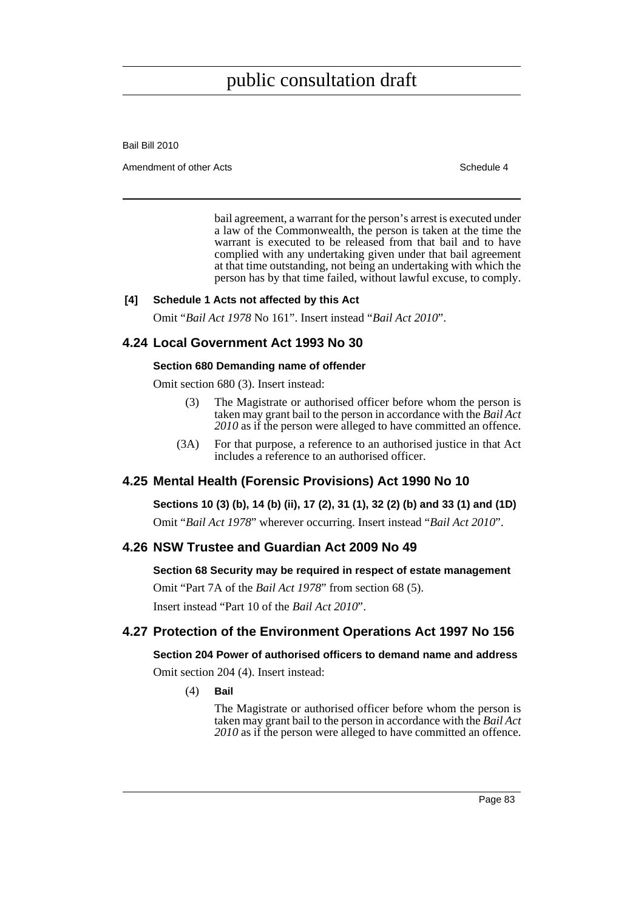Bail Bill 2010

Amendment of other Acts **Schedule 4** and the state of the Schedule 4

bail agreement, a warrant for the person's arrest is executed under a law of the Commonwealth, the person is taken at the time the warrant is executed to be released from that bail and to have complied with any undertaking given under that bail agreement at that time outstanding, not being an undertaking with which the person has by that time failed, without lawful excuse, to comply.

#### **[4] Schedule 1 Acts not affected by this Act**

Omit "*Bail Act 1978* No 161". Insert instead "*Bail Act 2010*".

## **4.24 Local Government Act 1993 No 30**

#### **Section 680 Demanding name of offender**

Omit section 680 (3). Insert instead:

- (3) The Magistrate or authorised officer before whom the person is taken may grant bail to the person in accordance with the *Bail Act 2010* as if the person were alleged to have committed an offence.
- (3A) For that purpose, a reference to an authorised justice in that Act includes a reference to an authorised officer.

## **4.25 Mental Health (Forensic Provisions) Act 1990 No 10**

**Sections 10 (3) (b), 14 (b) (ii), 17 (2), 31 (1), 32 (2) (b) and 33 (1) and (1D)**

Omit "*Bail Act 1978*" wherever occurring. Insert instead "*Bail Act 2010*".

## **4.26 NSW Trustee and Guardian Act 2009 No 49**

#### **Section 68 Security may be required in respect of estate management**

Omit "Part 7A of the *Bail Act 1978*" from section 68 (5). Insert instead "Part 10 of the *Bail Act 2010*".

## **4.27 Protection of the Environment Operations Act 1997 No 156**

## **Section 204 Power of authorised officers to demand name and address**

Omit section 204 (4). Insert instead:

(4) **Bail**

The Magistrate or authorised officer before whom the person is taken may grant bail to the person in accordance with the *Bail Act 2010* as if the person were alleged to have committed an offence.